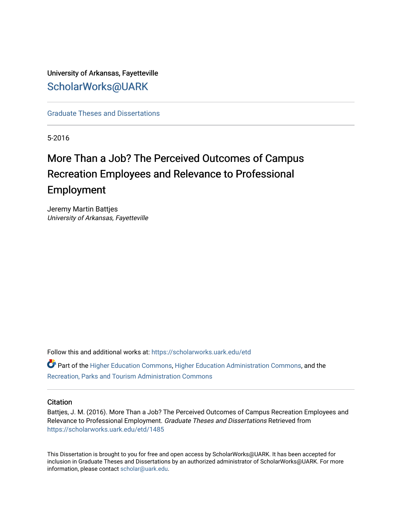# University of Arkansas, Fayetteville [ScholarWorks@UARK](https://scholarworks.uark.edu/)

[Graduate Theses and Dissertations](https://scholarworks.uark.edu/etd) 

5-2016

# More Than a Job? The Perceived Outcomes of Campus Recreation Employees and Relevance to Professional Employment

Jeremy Martin Battjes University of Arkansas, Fayetteville

Follow this and additional works at: [https://scholarworks.uark.edu/etd](https://scholarworks.uark.edu/etd?utm_source=scholarworks.uark.edu%2Fetd%2F1485&utm_medium=PDF&utm_campaign=PDFCoverPages)

Part of the [Higher Education Commons,](http://network.bepress.com/hgg/discipline/1245?utm_source=scholarworks.uark.edu%2Fetd%2F1485&utm_medium=PDF&utm_campaign=PDFCoverPages) [Higher Education Administration Commons,](http://network.bepress.com/hgg/discipline/791?utm_source=scholarworks.uark.edu%2Fetd%2F1485&utm_medium=PDF&utm_campaign=PDFCoverPages) and the [Recreation, Parks and Tourism Administration Commons](http://network.bepress.com/hgg/discipline/1067?utm_source=scholarworks.uark.edu%2Fetd%2F1485&utm_medium=PDF&utm_campaign=PDFCoverPages) 

#### **Citation**

Battjes, J. M. (2016). More Than a Job? The Perceived Outcomes of Campus Recreation Employees and Relevance to Professional Employment. Graduate Theses and Dissertations Retrieved from [https://scholarworks.uark.edu/etd/1485](https://scholarworks.uark.edu/etd/1485?utm_source=scholarworks.uark.edu%2Fetd%2F1485&utm_medium=PDF&utm_campaign=PDFCoverPages)

This Dissertation is brought to you for free and open access by ScholarWorks@UARK. It has been accepted for inclusion in Graduate Theses and Dissertations by an authorized administrator of ScholarWorks@UARK. For more information, please contact [scholar@uark.edu.](mailto:scholar@uark.edu)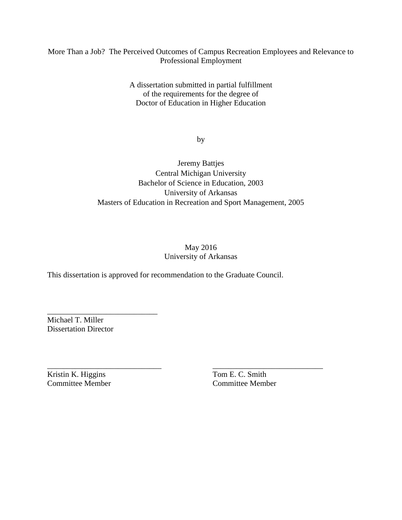# More Than a Job? The Perceived Outcomes of Campus Recreation Employees and Relevance to Professional Employment

A dissertation submitted in partial fulfillment of the requirements for the degree of Doctor of Education in Higher Education

by

Jeremy Battjes Central Michigan University Bachelor of Science in Education, 2003 University of Arkansas Masters of Education in Recreation and Sport Management, 2005

# May 2016 University of Arkansas

This dissertation is approved for recommendation to the Graduate Council.

\_\_\_\_\_\_\_\_\_\_\_\_\_\_\_\_\_\_\_\_\_\_\_\_\_\_\_\_\_ \_\_\_\_\_\_\_\_\_\_\_\_\_\_\_\_\_\_\_\_\_\_\_\_\_\_\_\_

Michael T. Miller Dissertation Director

\_\_\_\_\_\_\_\_\_\_\_\_\_\_\_\_\_\_\_\_\_\_\_\_\_\_\_\_

Kristin K. Higgins Tom E. C. Smith Committee Member Committee Member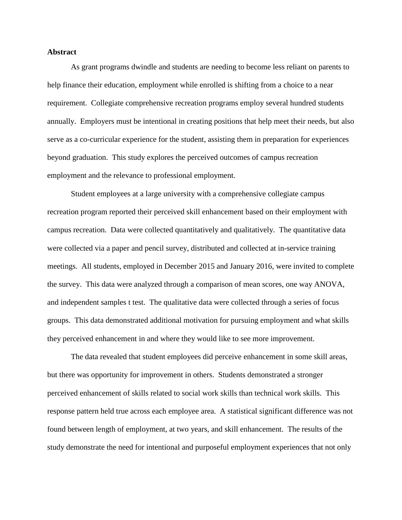#### **Abstract**

As grant programs dwindle and students are needing to become less reliant on parents to help finance their education, employment while enrolled is shifting from a choice to a near requirement. Collegiate comprehensive recreation programs employ several hundred students annually. Employers must be intentional in creating positions that help meet their needs, but also serve as a co-curricular experience for the student, assisting them in preparation for experiences beyond graduation. This study explores the perceived outcomes of campus recreation employment and the relevance to professional employment.

Student employees at a large university with a comprehensive collegiate campus recreation program reported their perceived skill enhancement based on their employment with campus recreation. Data were collected quantitatively and qualitatively. The quantitative data were collected via a paper and pencil survey, distributed and collected at in-service training meetings. All students, employed in December 2015 and January 2016, were invited to complete the survey. This data were analyzed through a comparison of mean scores, one way ANOVA, and independent samples t test. The qualitative data were collected through a series of focus groups. This data demonstrated additional motivation for pursuing employment and what skills they perceived enhancement in and where they would like to see more improvement.

The data revealed that student employees did perceive enhancement in some skill areas, but there was opportunity for improvement in others. Students demonstrated a stronger perceived enhancement of skills related to social work skills than technical work skills. This response pattern held true across each employee area. A statistical significant difference was not found between length of employment, at two years, and skill enhancement. The results of the study demonstrate the need for intentional and purposeful employment experiences that not only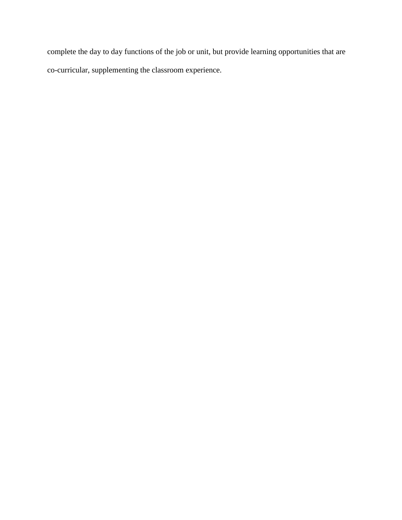complete the day to day functions of the job or unit, but provide learning opportunities that are co-curricular, supplementing the classroom experience.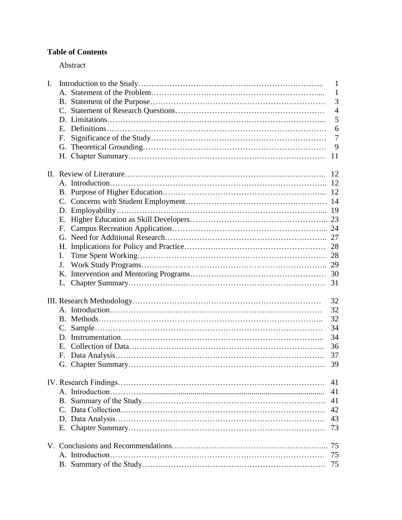# **Table of Contents**

# Abstract

| I. |              | $\mathbf{1}$   |
|----|--------------|----------------|
|    |              | $\mathbf{1}$   |
|    |              | 3              |
|    |              | $\overline{4}$ |
|    |              | 5              |
|    |              | 6              |
|    | F.           | $\overline{7}$ |
|    |              | 9              |
|    |              | 11             |
|    |              |                |
|    |              |                |
|    |              |                |
|    |              |                |
|    |              |                |
|    |              |                |
|    |              |                |
|    |              |                |
|    |              |                |
|    |              |                |
|    |              |                |
|    | I.           |                |
|    | J.           |                |
|    |              |                |
|    |              | 31             |
|    |              |                |
|    |              | 32             |
|    |              | 32             |
|    |              | 32             |
|    |              | 34             |
|    |              | 34             |
|    | $E_{\rm{m}}$ | 36             |
|    | F.           | 37             |
|    |              | 39             |
|    |              |                |
|    |              | 41             |
|    |              | 41             |
|    |              | 41             |
|    |              | 42             |
|    |              | 43             |
|    |              | 73             |
|    |              | 75             |
|    |              | 75             |
|    |              |                |
|    |              | 75             |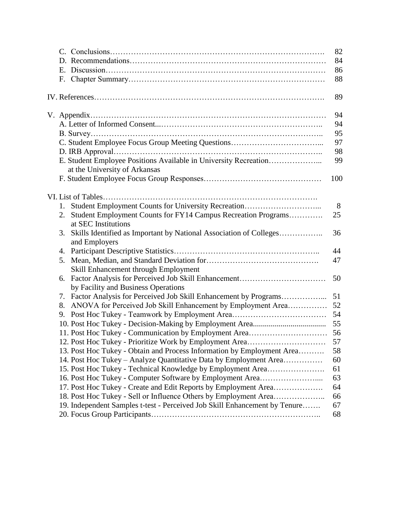|                                                                            | 82  |
|----------------------------------------------------------------------------|-----|
|                                                                            | 84  |
| Е.                                                                         | 86  |
| F.                                                                         | 88  |
|                                                                            |     |
|                                                                            | 89  |
|                                                                            | 94  |
|                                                                            | 94  |
|                                                                            | 95  |
|                                                                            | 97  |
|                                                                            | 98  |
|                                                                            | 99  |
|                                                                            |     |
| at the University of Arkansas                                              | 100 |
|                                                                            |     |
|                                                                            |     |
| Student Employment Counts for University Recreation<br>1.                  | 8   |
| Student Employment Counts for FY14 Campus Recreation Programs<br>2.        | 25  |
| at SEC Institutions                                                        |     |
| Skills Identified as Important by National Association of Colleges<br>3.   | 36  |
| and Employers                                                              |     |
| 4.                                                                         | 44  |
| 5.                                                                         | 47  |
| Skill Enhancement through Employment                                       |     |
| 6.                                                                         | 50  |
| by Facility and Business Operations                                        |     |
| Factor Analysis for Perceived Job Skill Enhancement by Programs<br>7.      | 51  |
| 8.                                                                         | 52  |
| 9.                                                                         | 54  |
|                                                                            |     |
|                                                                            |     |
| 12. Post Hoc Tukey - Prioritize Work by Employment Area                    | 57  |
| 13. Post Hoc Tukey - Obtain and Process Information by Employment Area     | 58  |
| 14. Post Hoc Tukey – Analyze Quantitative Data by Employment Area          | 60  |
| 15. Post Hoc Tukey - Technical Knowledge by Employment Area                | 61  |
| 16. Post Hoc Tukey - Computer Software by Employment Area                  | 63  |
| 17. Post Hoc Tukey - Create and Edit Reports by Employment Area            | 64  |
|                                                                            | 66  |
| 19. Independent Samples t-test - Perceived Job Skill Enhancement by Tenure | 67  |
|                                                                            | 68  |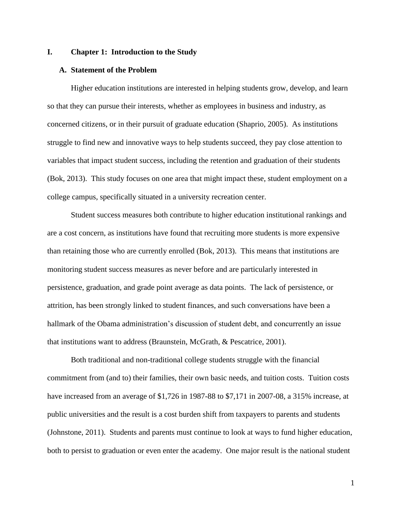#### **I. Chapter 1: Introduction to the Study**

#### **A. Statement of the Problem**

Higher education institutions are interested in helping students grow, develop, and learn so that they can pursue their interests, whether as employees in business and industry, as concerned citizens, or in their pursuit of graduate education (Shaprio, 2005). As institutions struggle to find new and innovative ways to help students succeed, they pay close attention to variables that impact student success, including the retention and graduation of their students (Bok, 2013). This study focuses on one area that might impact these, student employment on a college campus, specifically situated in a university recreation center.

Student success measures both contribute to higher education institutional rankings and are a cost concern, as institutions have found that recruiting more students is more expensive than retaining those who are currently enrolled (Bok, 2013). This means that institutions are monitoring student success measures as never before and are particularly interested in persistence, graduation, and grade point average as data points. The lack of persistence, or attrition, has been strongly linked to student finances, and such conversations have been a hallmark of the Obama administration's discussion of student debt, and concurrently an issue that institutions want to address (Braunstein, McGrath, & Pescatrice, 2001).

Both traditional and non-traditional college students struggle with the financial commitment from (and to) their families, their own basic needs, and tuition costs. Tuition costs have increased from an average of \$1,726 in 1987-88 to \$7,171 in 2007-08, a 315% increase, at public universities and the result is a cost burden shift from taxpayers to parents and students (Johnstone, 2011). Students and parents must continue to look at ways to fund higher education, both to persist to graduation or even enter the academy. One major result is the national student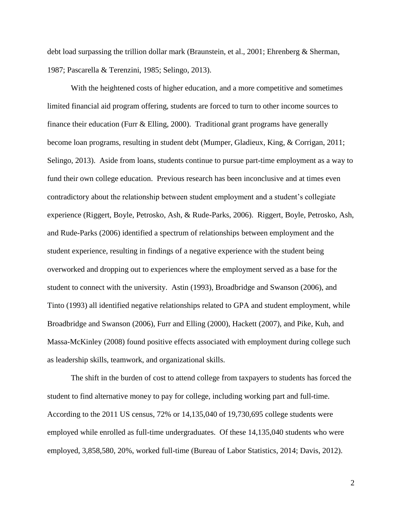debt load surpassing the trillion dollar mark (Braunstein, et al., 2001; Ehrenberg & Sherman, 1987; Pascarella & Terenzini, 1985; Selingo, 2013).

With the heightened costs of higher education, and a more competitive and sometimes limited financial aid program offering, students are forced to turn to other income sources to finance their education (Furr  $\&$  Elling, 2000). Traditional grant programs have generally become loan programs, resulting in student debt (Mumper, Gladieux, King, & Corrigan, 2011; Selingo, 2013). Aside from loans, students continue to pursue part-time employment as a way to fund their own college education. Previous research has been inconclusive and at times even contradictory about the relationship between student employment and a student's collegiate experience (Riggert, Boyle, Petrosko, Ash, & Rude-Parks, 2006). Riggert, Boyle, Petrosko, Ash, and Rude-Parks (2006) identified a spectrum of relationships between employment and the student experience, resulting in findings of a negative experience with the student being overworked and dropping out to experiences where the employment served as a base for the student to connect with the university. Astin (1993), Broadbridge and Swanson (2006), and Tinto (1993) all identified negative relationships related to GPA and student employment, while Broadbridge and Swanson (2006), Furr and Elling (2000), Hackett (2007), and Pike, Kuh, and Massa-McKinley (2008) found positive effects associated with employment during college such as leadership skills, teamwork, and organizational skills.

The shift in the burden of cost to attend college from taxpayers to students has forced the student to find alternative money to pay for college, including working part and full-time. According to the 2011 US census, 72% or 14,135,040 of 19,730,695 college students were employed while enrolled as full-time undergraduates. Of these 14,135,040 students who were employed, 3,858,580, 20%, worked full-time (Bureau of Labor Statistics, 2014; Davis, 2012).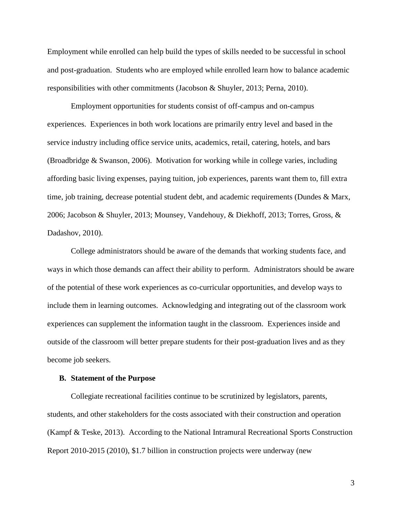Employment while enrolled can help build the types of skills needed to be successful in school and post-graduation. Students who are employed while enrolled learn how to balance academic responsibilities with other commitments (Jacobson & Shuyler, 2013; Perna, 2010).

Employment opportunities for students consist of off-campus and on-campus experiences. Experiences in both work locations are primarily entry level and based in the service industry including office service units, academics, retail, catering, hotels, and bars (Broadbridge & Swanson, 2006). Motivation for working while in college varies, including affording basic living expenses, paying tuition, job experiences, parents want them to, fill extra time, job training, decrease potential student debt, and academic requirements (Dundes & Marx, 2006; Jacobson & Shuyler, 2013; Mounsey, Vandehouy, & Diekhoff, 2013; Torres, Gross, & Dadashov, 2010).

College administrators should be aware of the demands that working students face, and ways in which those demands can affect their ability to perform. Administrators should be aware of the potential of these work experiences as co-curricular opportunities, and develop ways to include them in learning outcomes. Acknowledging and integrating out of the classroom work experiences can supplement the information taught in the classroom. Experiences inside and outside of the classroom will better prepare students for their post-graduation lives and as they become job seekers.

#### **B. Statement of the Purpose**

Collegiate recreational facilities continue to be scrutinized by legislators, parents, students, and other stakeholders for the costs associated with their construction and operation (Kampf & Teske, 2013). According to the National Intramural Recreational Sports Construction Report 2010-2015 (2010), \$1.7 billion in construction projects were underway (new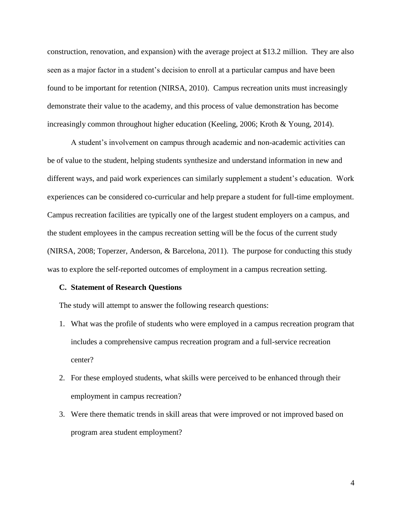construction, renovation, and expansion) with the average project at \$13.2 million. They are also seen as a major factor in a student's decision to enroll at a particular campus and have been found to be important for retention (NIRSA, 2010). Campus recreation units must increasingly demonstrate their value to the academy, and this process of value demonstration has become increasingly common throughout higher education (Keeling, 2006; Kroth & Young, 2014).

A student's involvement on campus through academic and non-academic activities can be of value to the student, helping students synthesize and understand information in new and different ways, and paid work experiences can similarly supplement a student's education. Work experiences can be considered co-curricular and help prepare a student for full-time employment. Campus recreation facilities are typically one of the largest student employers on a campus, and the student employees in the campus recreation setting will be the focus of the current study (NIRSA, 2008; Toperzer, Anderson, & Barcelona, 2011). The purpose for conducting this study was to explore the self-reported outcomes of employment in a campus recreation setting.

#### **C. Statement of Research Questions**

The study will attempt to answer the following research questions:

- 1. What was the profile of students who were employed in a campus recreation program that includes a comprehensive campus recreation program and a full-service recreation center?
- 2. For these employed students, what skills were perceived to be enhanced through their employment in campus recreation?
- 3. Were there thematic trends in skill areas that were improved or not improved based on program area student employment?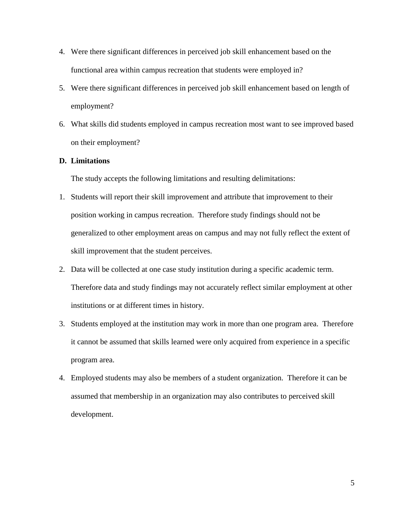- 4. Were there significant differences in perceived job skill enhancement based on the functional area within campus recreation that students were employed in?
- 5. Were there significant differences in perceived job skill enhancement based on length of employment?
- 6. What skills did students employed in campus recreation most want to see improved based on their employment?

## **D. Limitations**

The study accepts the following limitations and resulting delimitations:

- 1. Students will report their skill improvement and attribute that improvement to their position working in campus recreation. Therefore study findings should not be generalized to other employment areas on campus and may not fully reflect the extent of skill improvement that the student perceives.
- 2. Data will be collected at one case study institution during a specific academic term. Therefore data and study findings may not accurately reflect similar employment at other institutions or at different times in history.
- 3. Students employed at the institution may work in more than one program area. Therefore it cannot be assumed that skills learned were only acquired from experience in a specific program area.
- 4. Employed students may also be members of a student organization. Therefore it can be assumed that membership in an organization may also contributes to perceived skill development.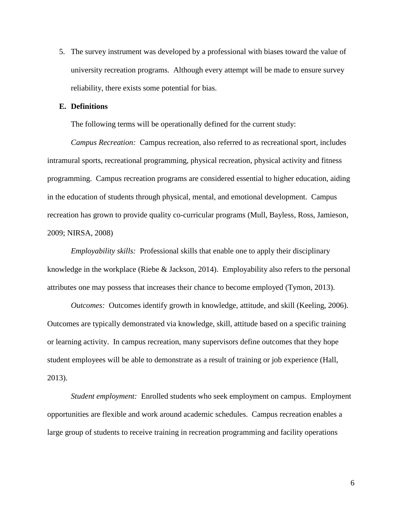5. The survey instrument was developed by a professional with biases toward the value of university recreation programs. Although every attempt will be made to ensure survey reliability, there exists some potential for bias.

## **E. Definitions**

The following terms will be operationally defined for the current study:

*Campus Recreation:* Campus recreation, also referred to as recreational sport, includes intramural sports, recreational programming, physical recreation, physical activity and fitness programming. Campus recreation programs are considered essential to higher education, aiding in the education of students through physical, mental, and emotional development. Campus recreation has grown to provide quality co-curricular programs (Mull, Bayless, Ross, Jamieson, 2009; NIRSA, 2008)

*Employability skills:* Professional skills that enable one to apply their disciplinary knowledge in the workplace (Riebe & Jackson, 2014). Employability also refers to the personal attributes one may possess that increases their chance to become employed (Tymon, 2013).

*Outcomes:*Outcomes identify growth in knowledge, attitude, and skill (Keeling, 2006). Outcomes are typically demonstrated via knowledge, skill, attitude based on a specific training or learning activity. In campus recreation, many supervisors define outcomes that they hope student employees will be able to demonstrate as a result of training or job experience (Hall, 2013).

*Student employment:*Enrolled students who seek employment on campus. Employment opportunities are flexible and work around academic schedules. Campus recreation enables a large group of students to receive training in recreation programming and facility operations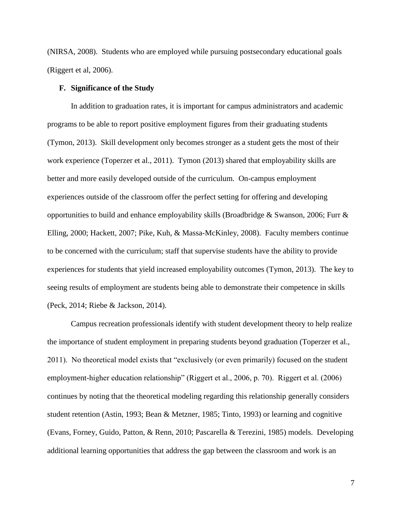(NIRSA, 2008). Students who are employed while pursuing postsecondary educational goals (Riggert et al, 2006).

#### **F. Significance of the Study**

In addition to graduation rates, it is important for campus administrators and academic programs to be able to report positive employment figures from their graduating students (Tymon, 2013). Skill development only becomes stronger as a student gets the most of their work experience (Toperzer et al., 2011). Tymon (2013) shared that employability skills are better and more easily developed outside of the curriculum. On-campus employment experiences outside of the classroom offer the perfect setting for offering and developing opportunities to build and enhance employability skills (Broadbridge & Swanson, 2006; Furr  $\&$ Elling, 2000; Hackett, 2007; Pike, Kuh, & Massa-McKinley, 2008). Faculty members continue to be concerned with the curriculum; staff that supervise students have the ability to provide experiences for students that yield increased employability outcomes (Tymon, 2013). The key to seeing results of employment are students being able to demonstrate their competence in skills (Peck, 2014; Riebe & Jackson, 2014).

Campus recreation professionals identify with student development theory to help realize the importance of student employment in preparing students beyond graduation (Toperzer et al., 2011). No theoretical model exists that "exclusively (or even primarily) focused on the student employment-higher education relationship" (Riggert et al., 2006, p. 70). Riggert et al. (2006) continues by noting that the theoretical modeling regarding this relationship generally considers student retention (Astin, 1993; Bean & Metzner, 1985; Tinto, 1993) or learning and cognitive (Evans, Forney, Guido, Patton, & Renn, 2010; Pascarella & Terezini, 1985) models. Developing additional learning opportunities that address the gap between the classroom and work is an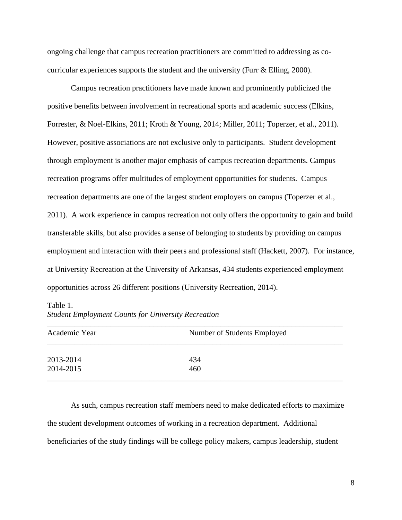ongoing challenge that campus recreation practitioners are committed to addressing as cocurricular experiences supports the student and the university (Furr  $\&$  Elling, 2000).

Campus recreation practitioners have made known and prominently publicized the positive benefits between involvement in recreational sports and academic success (Elkins, Forrester, & Noel-Elkins, 2011; Kroth & Young, 2014; Miller, 2011; Toperzer, et al., 2011). However, positive associations are not exclusive only to participants. Student development through employment is another major emphasis of campus recreation departments. Campus recreation programs offer multitudes of employment opportunities for students. Campus recreation departments are one of the largest student employers on campus (Toperzer et al., 2011). A work experience in campus recreation not only offers the opportunity to gain and build transferable skills, but also provides a sense of belonging to students by providing on campus employment and interaction with their peers and professional staff (Hackett, 2007). For instance, at University Recreation at the University of Arkansas, 434 students experienced employment opportunities across 26 different positions (University Recreation, 2014).

Table 1.

| <b>Student Employment Counts for University Recreation</b> |  |  |
|------------------------------------------------------------|--|--|
|                                                            |  |  |

| Academic Year | Number of Students Employed |
|---------------|-----------------------------|
| 2013-2014     | 434                         |
| 2014-2015     | 460                         |

As such, campus recreation staff members need to make dedicated efforts to maximize the student development outcomes of working in a recreation department. Additional beneficiaries of the study findings will be college policy makers, campus leadership, student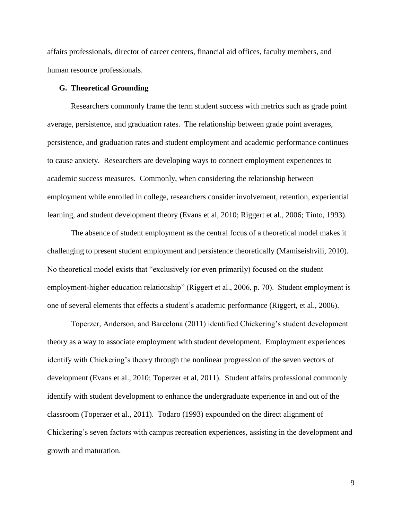affairs professionals, director of career centers, financial aid offices, faculty members, and human resource professionals.

#### **G. Theoretical Grounding**

Researchers commonly frame the term student success with metrics such as grade point average, persistence, and graduation rates. The relationship between grade point averages, persistence, and graduation rates and student employment and academic performance continues to cause anxiety. Researchers are developing ways to connect employment experiences to academic success measures. Commonly, when considering the relationship between employment while enrolled in college, researchers consider involvement, retention, experiential learning, and student development theory (Evans et al, 2010; Riggert et al., 2006; Tinto, 1993).

The absence of student employment as the central focus of a theoretical model makes it challenging to present student employment and persistence theoretically (Mamiseishvili, 2010). No theoretical model exists that "exclusively (or even primarily) focused on the student employment-higher education relationship" (Riggert et al., 2006, p. 70). Student employment is one of several elements that effects a student's academic performance (Riggert, et al., 2006).

Toperzer, Anderson, and Barcelona (2011) identified Chickering's student development theory as a way to associate employment with student development. Employment experiences identify with Chickering's theory through the nonlinear progression of the seven vectors of development (Evans et al., 2010; Toperzer et al, 2011). Student affairs professional commonly identify with student development to enhance the undergraduate experience in and out of the classroom (Toperzer et al., 2011). Todaro (1993) expounded on the direct alignment of Chickering's seven factors with campus recreation experiences, assisting in the development and growth and maturation.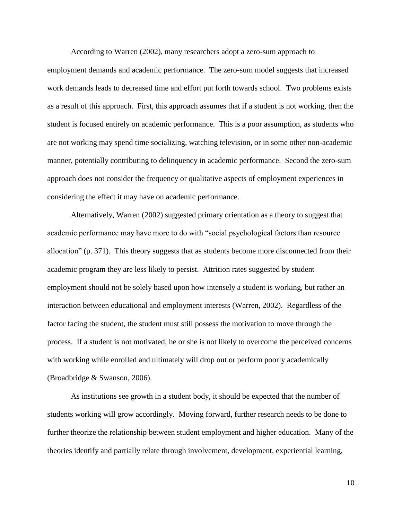According to Warren (2002), many researchers adopt a zero-sum approach to

employment demands and academic performance. The zero-sum model suggests that increased work demands leads to decreased time and effort put forth towards school. Two problems exists as a result of this approach. First, this approach assumes that if a student is not working, then the student is focused entirely on academic performance. This is a poor assumption, as students who are not working may spend time socializing, watching television, or in some other non-academic manner, potentially contributing to delinquency in academic performance. Second the zero-sum approach does not consider the frequency or qualitative aspects of employment experiences in considering the effect it may have on academic performance.

Alternatively, Warren (2002) suggested primary orientation as a theory to suggest that academic performance may have more to do with "social psychological factors than resource allocation" (p. 371). This theory suggests that as students become more disconnected from their academic program they are less likely to persist. Attrition rates suggested by student employment should not be solely based upon how intensely a student is working, but rather an interaction between educational and employment interests (Warren, 2002). Regardless of the factor facing the student, the student must still possess the motivation to move through the process. If a student is not motivated, he or she is not likely to overcome the perceived concerns with working while enrolled and ultimately will drop out or perform poorly academically (Broadbridge & Swanson, 2006).

As institutions see growth in a student body, it should be expected that the number of students working will grow accordingly. Moving forward, further research needs to be done to further theorize the relationship between student employment and higher education. Many of the theories identify and partially relate through involvement, development, experiential learning,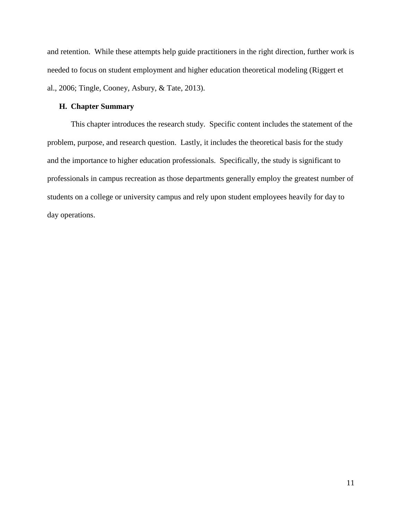and retention. While these attempts help guide practitioners in the right direction, further work is needed to focus on student employment and higher education theoretical modeling (Riggert et al., 2006; Tingle, Cooney, Asbury, & Tate, 2013).

### **H. Chapter Summary**

This chapter introduces the research study. Specific content includes the statement of the problem, purpose, and research question. Lastly, it includes the theoretical basis for the study and the importance to higher education professionals. Specifically, the study is significant to professionals in campus recreation as those departments generally employ the greatest number of students on a college or university campus and rely upon student employees heavily for day to day operations.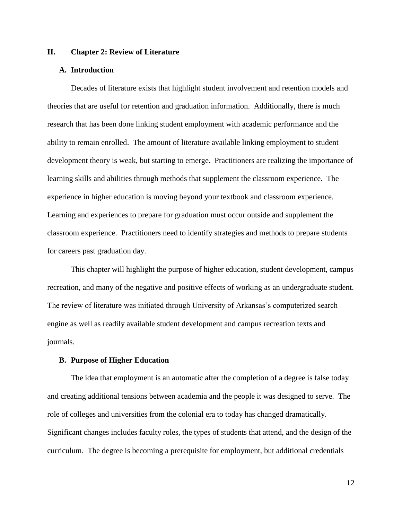#### **II. Chapter 2: Review of Literature**

#### **A. Introduction**

Decades of literature exists that highlight student involvement and retention models and theories that are useful for retention and graduation information. Additionally, there is much research that has been done linking student employment with academic performance and the ability to remain enrolled. The amount of literature available linking employment to student development theory is weak, but starting to emerge. Practitioners are realizing the importance of learning skills and abilities through methods that supplement the classroom experience. The experience in higher education is moving beyond your textbook and classroom experience. Learning and experiences to prepare for graduation must occur outside and supplement the classroom experience. Practitioners need to identify strategies and methods to prepare students for careers past graduation day.

This chapter will highlight the purpose of higher education, student development, campus recreation, and many of the negative and positive effects of working as an undergraduate student. The review of literature was initiated through University of Arkansas's computerized search engine as well as readily available student development and campus recreation texts and journals.

#### **B. Purpose of Higher Education**

The idea that employment is an automatic after the completion of a degree is false today and creating additional tensions between academia and the people it was designed to serve. The role of colleges and universities from the colonial era to today has changed dramatically. Significant changes includes faculty roles, the types of students that attend, and the design of the curriculum. The degree is becoming a prerequisite for employment, but additional credentials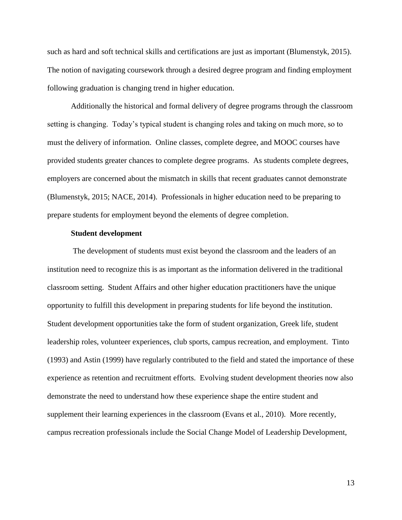such as hard and soft technical skills and certifications are just as important (Blumenstyk, 2015). The notion of navigating coursework through a desired degree program and finding employment following graduation is changing trend in higher education.

Additionally the historical and formal delivery of degree programs through the classroom setting is changing. Today's typical student is changing roles and taking on much more, so to must the delivery of information. Online classes, complete degree, and MOOC courses have provided students greater chances to complete degree programs. As students complete degrees, employers are concerned about the mismatch in skills that recent graduates cannot demonstrate (Blumenstyk, 2015; NACE, 2014). Professionals in higher education need to be preparing to prepare students for employment beyond the elements of degree completion.

#### **Student development**

The development of students must exist beyond the classroom and the leaders of an institution need to recognize this is as important as the information delivered in the traditional classroom setting. Student Affairs and other higher education practitioners have the unique opportunity to fulfill this development in preparing students for life beyond the institution. Student development opportunities take the form of student organization, Greek life, student leadership roles, volunteer experiences, club sports, campus recreation, and employment. Tinto (1993) and Astin (1999) have regularly contributed to the field and stated the importance of these experience as retention and recruitment efforts. Evolving student development theories now also demonstrate the need to understand how these experience shape the entire student and supplement their learning experiences in the classroom (Evans et al., 2010). More recently, campus recreation professionals include the Social Change Model of Leadership Development,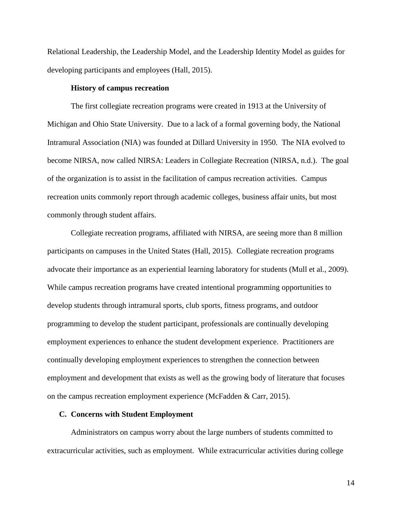Relational Leadership, the Leadership Model, and the Leadership Identity Model as guides for developing participants and employees (Hall, 2015).

#### **History of campus recreation**

The first collegiate recreation programs were created in 1913 at the University of Michigan and Ohio State University. Due to a lack of a formal governing body, the National Intramural Association (NIA) was founded at Dillard University in 1950. The NIA evolved to become NIRSA, now called NIRSA: Leaders in Collegiate Recreation (NIRSA, n.d.). The goal of the organization is to assist in the facilitation of campus recreation activities. Campus recreation units commonly report through academic colleges, business affair units, but most commonly through student affairs.

Collegiate recreation programs, affiliated with NIRSA, are seeing more than 8 million participants on campuses in the United States (Hall, 2015). Collegiate recreation programs advocate their importance as an experiential learning laboratory for students (Mull et al., 2009). While campus recreation programs have created intentional programming opportunities to develop students through intramural sports, club sports, fitness programs, and outdoor programming to develop the student participant, professionals are continually developing employment experiences to enhance the student development experience. Practitioners are continually developing employment experiences to strengthen the connection between employment and development that exists as well as the growing body of literature that focuses on the campus recreation employment experience (McFadden & Carr, 2015).

#### **C. Concerns with Student Employment**

Administrators on campus worry about the large numbers of students committed to extracurricular activities, such as employment. While extracurricular activities during college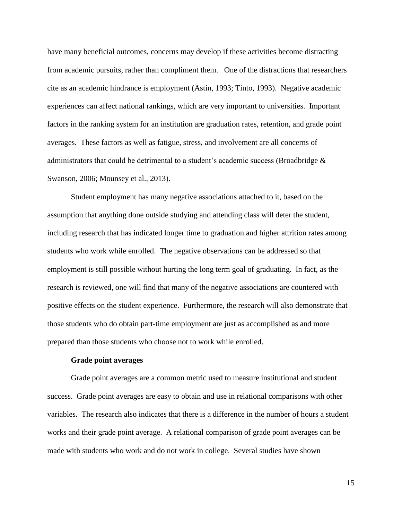have many beneficial outcomes, concerns may develop if these activities become distracting from academic pursuits, rather than compliment them. One of the distractions that researchers cite as an academic hindrance is employment (Astin, 1993; Tinto, 1993). Negative academic experiences can affect national rankings, which are very important to universities. Important factors in the ranking system for an institution are graduation rates, retention, and grade point averages. These factors as well as fatigue, stress, and involvement are all concerns of administrators that could be detrimental to a student's academic success (Broadbridge  $\&$ Swanson, 2006; Mounsey et al., 2013).

Student employment has many negative associations attached to it, based on the assumption that anything done outside studying and attending class will deter the student, including research that has indicated longer time to graduation and higher attrition rates among students who work while enrolled. The negative observations can be addressed so that employment is still possible without hurting the long term goal of graduating. In fact, as the research is reviewed, one will find that many of the negative associations are countered with positive effects on the student experience. Furthermore, the research will also demonstrate that those students who do obtain part-time employment are just as accomplished as and more prepared than those students who choose not to work while enrolled.

#### **Grade point averages**

Grade point averages are a common metric used to measure institutional and student success. Grade point averages are easy to obtain and use in relational comparisons with other variables. The research also indicates that there is a difference in the number of hours a student works and their grade point average. A relational comparison of grade point averages can be made with students who work and do not work in college. Several studies have shown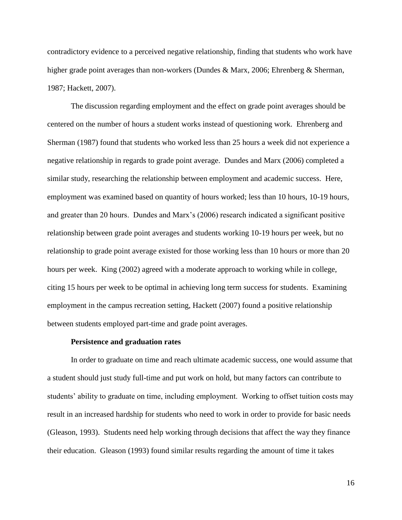contradictory evidence to a perceived negative relationship, finding that students who work have higher grade point averages than non-workers (Dundes & Marx, 2006; Ehrenberg & Sherman, 1987; Hackett, 2007).

The discussion regarding employment and the effect on grade point averages should be centered on the number of hours a student works instead of questioning work. Ehrenberg and Sherman (1987) found that students who worked less than 25 hours a week did not experience a negative relationship in regards to grade point average. Dundes and Marx (2006) completed a similar study, researching the relationship between employment and academic success. Here, employment was examined based on quantity of hours worked; less than 10 hours, 10-19 hours, and greater than 20 hours. Dundes and Marx's (2006) research indicated a significant positive relationship between grade point averages and students working 10-19 hours per week, but no relationship to grade point average existed for those working less than 10 hours or more than 20 hours per week. King (2002) agreed with a moderate approach to working while in college, citing 15 hours per week to be optimal in achieving long term success for students. Examining employment in the campus recreation setting, Hackett (2007) found a positive relationship between students employed part-time and grade point averages.

#### **Persistence and graduation rates**

In order to graduate on time and reach ultimate academic success, one would assume that a student should just study full-time and put work on hold, but many factors can contribute to students' ability to graduate on time, including employment. Working to offset tuition costs may result in an increased hardship for students who need to work in order to provide for basic needs (Gleason, 1993). Students need help working through decisions that affect the way they finance their education. Gleason (1993) found similar results regarding the amount of time it takes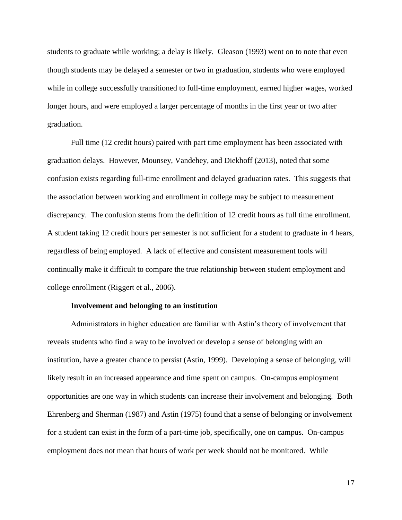students to graduate while working; a delay is likely. Gleason (1993) went on to note that even though students may be delayed a semester or two in graduation, students who were employed while in college successfully transitioned to full-time employment, earned higher wages, worked longer hours, and were employed a larger percentage of months in the first year or two after graduation.

Full time (12 credit hours) paired with part time employment has been associated with graduation delays. However, Mounsey, Vandehey, and Diekhoff (2013), noted that some confusion exists regarding full-time enrollment and delayed graduation rates. This suggests that the association between working and enrollment in college may be subject to measurement discrepancy. The confusion stems from the definition of 12 credit hours as full time enrollment. A student taking 12 credit hours per semester is not sufficient for a student to graduate in 4 hears, regardless of being employed. A lack of effective and consistent measurement tools will continually make it difficult to compare the true relationship between student employment and college enrollment (Riggert et al., 2006).

#### **Involvement and belonging to an institution**

Administrators in higher education are familiar with Astin's theory of involvement that reveals students who find a way to be involved or develop a sense of belonging with an institution, have a greater chance to persist (Astin, 1999). Developing a sense of belonging, will likely result in an increased appearance and time spent on campus. On-campus employment opportunities are one way in which students can increase their involvement and belonging. Both Ehrenberg and Sherman (1987) and Astin (1975) found that a sense of belonging or involvement for a student can exist in the form of a part-time job, specifically, one on campus. On-campus employment does not mean that hours of work per week should not be monitored. While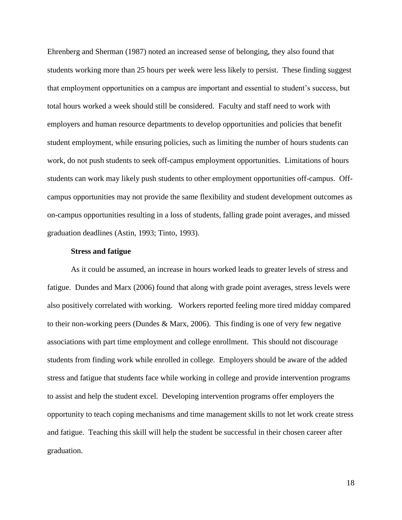Ehrenberg and Sherman (1987) noted an increased sense of belonging, they also found that students working more than 25 hours per week were less likely to persist. These finding suggest that employment opportunities on a campus are important and essential to student's success, but total hours worked a week should still be considered. Faculty and staff need to work with employers and human resource departments to develop opportunities and policies that benefit student employment, while ensuring policies, such as limiting the number of hours students can work, do not push students to seek off-campus employment opportunities. Limitations of hours students can work may likely push students to other employment opportunities off-campus. Offcampus opportunities may not provide the same flexibility and student development outcomes as on-campus opportunities resulting in a loss of students, falling grade point averages, and missed graduation deadlines (Astin, 1993; Tinto, 1993).

#### **Stress and fatigue**

As it could be assumed, an increase in hours worked leads to greater levels of stress and fatigue. Dundes and Marx (2006) found that along with grade point averages, stress levels were also positively correlated with working. Workers reported feeling more tired midday compared to their non-working peers (Dundes & Marx, 2006). This finding is one of very few negative associations with part time employment and college enrollment. This should not discourage students from finding work while enrolled in college. Employers should be aware of the added stress and fatigue that students face while working in college and provide intervention programs to assist and help the student excel. Developing intervention programs offer employers the opportunity to teach coping mechanisms and time management skills to not let work create stress and fatigue. Teaching this skill will help the student be successful in their chosen career after graduation.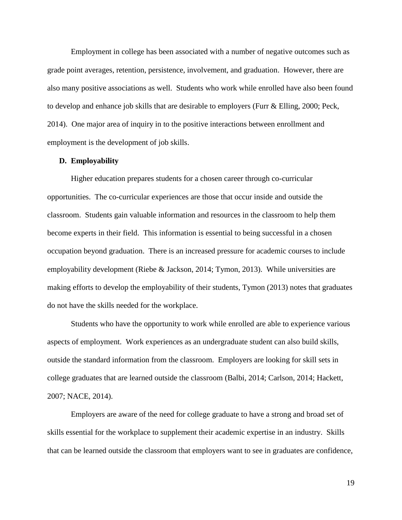Employment in college has been associated with a number of negative outcomes such as grade point averages, retention, persistence, involvement, and graduation. However, there are also many positive associations as well. Students who work while enrolled have also been found to develop and enhance job skills that are desirable to employers (Furr & Elling, 2000; Peck, 2014). One major area of inquiry in to the positive interactions between enrollment and employment is the development of job skills.

#### **D. Employability**

Higher education prepares students for a chosen career through co-curricular opportunities. The co-curricular experiences are those that occur inside and outside the classroom. Students gain valuable information and resources in the classroom to help them become experts in their field. This information is essential to being successful in a chosen occupation beyond graduation. There is an increased pressure for academic courses to include employability development (Riebe & Jackson, 2014; Tymon, 2013). While universities are making efforts to develop the employability of their students, Tymon (2013) notes that graduates do not have the skills needed for the workplace.

Students who have the opportunity to work while enrolled are able to experience various aspects of employment. Work experiences as an undergraduate student can also build skills, outside the standard information from the classroom. Employers are looking for skill sets in college graduates that are learned outside the classroom (Balbi, 2014; Carlson, 2014; Hackett, 2007; NACE, 2014).

Employers are aware of the need for college graduate to have a strong and broad set of skills essential for the workplace to supplement their academic expertise in an industry. Skills that can be learned outside the classroom that employers want to see in graduates are confidence,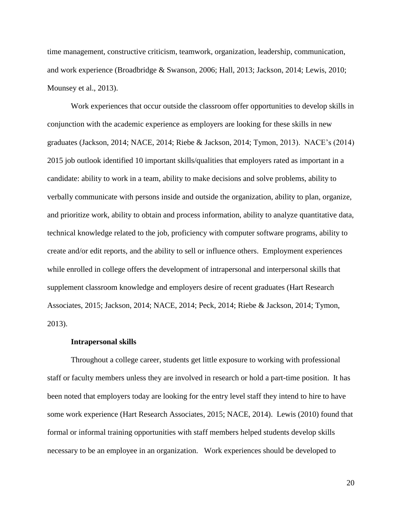time management, constructive criticism, teamwork, organization, leadership, communication, and work experience (Broadbridge & Swanson, 2006; Hall, 2013; Jackson, 2014; Lewis, 2010; Mounsey et al., 2013).

Work experiences that occur outside the classroom offer opportunities to develop skills in conjunction with the academic experience as employers are looking for these skills in new graduates (Jackson, 2014; NACE, 2014; Riebe & Jackson, 2014; Tymon, 2013). NACE's (2014) 2015 job outlook identified 10 important skills/qualities that employers rated as important in a candidate: ability to work in a team, ability to make decisions and solve problems, ability to verbally communicate with persons inside and outside the organization, ability to plan, organize, and prioritize work, ability to obtain and process information, ability to analyze quantitative data, technical knowledge related to the job, proficiency with computer software programs, ability to create and/or edit reports, and the ability to sell or influence others. Employment experiences while enrolled in college offers the development of intrapersonal and interpersonal skills that supplement classroom knowledge and employers desire of recent graduates (Hart Research Associates, 2015; Jackson, 2014; NACE, 2014; Peck, 2014; Riebe & Jackson, 2014; Tymon, 2013).

#### **Intrapersonal skills**

Throughout a college career, students get little exposure to working with professional staff or faculty members unless they are involved in research or hold a part-time position. It has been noted that employers today are looking for the entry level staff they intend to hire to have some work experience (Hart Research Associates, 2015; NACE, 2014). Lewis (2010) found that formal or informal training opportunities with staff members helped students develop skills necessary to be an employee in an organization. Work experiences should be developed to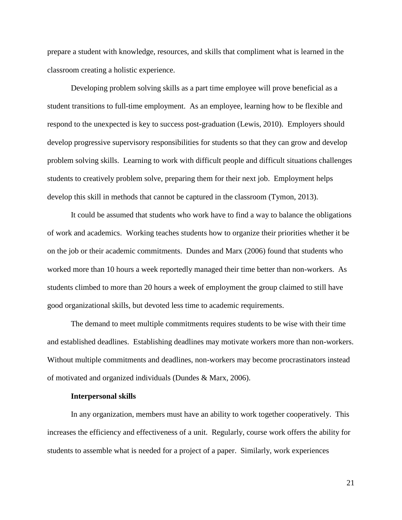prepare a student with knowledge, resources, and skills that compliment what is learned in the classroom creating a holistic experience.

Developing problem solving skills as a part time employee will prove beneficial as a student transitions to full-time employment. As an employee, learning how to be flexible and respond to the unexpected is key to success post-graduation (Lewis, 2010). Employers should develop progressive supervisory responsibilities for students so that they can grow and develop problem solving skills. Learning to work with difficult people and difficult situations challenges students to creatively problem solve, preparing them for their next job. Employment helps develop this skill in methods that cannot be captured in the classroom (Tymon, 2013).

It could be assumed that students who work have to find a way to balance the obligations of work and academics. Working teaches students how to organize their priorities whether it be on the job or their academic commitments. Dundes and Marx (2006) found that students who worked more than 10 hours a week reportedly managed their time better than non-workers. As students climbed to more than 20 hours a week of employment the group claimed to still have good organizational skills, but devoted less time to academic requirements.

The demand to meet multiple commitments requires students to be wise with their time and established deadlines. Establishing deadlines may motivate workers more than non-workers. Without multiple commitments and deadlines, non-workers may become procrastinators instead of motivated and organized individuals (Dundes & Marx, 2006).

#### **Interpersonal skills**

In any organization, members must have an ability to work together cooperatively. This increases the efficiency and effectiveness of a unit. Regularly, course work offers the ability for students to assemble what is needed for a project of a paper. Similarly, work experiences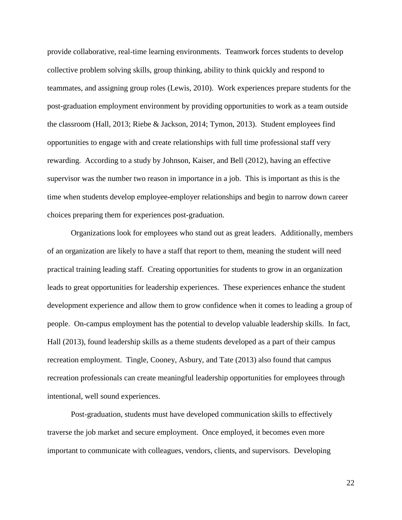provide collaborative, real-time learning environments. Teamwork forces students to develop collective problem solving skills, group thinking, ability to think quickly and respond to teammates, and assigning group roles (Lewis, 2010). Work experiences prepare students for the post-graduation employment environment by providing opportunities to work as a team outside the classroom (Hall, 2013; Riebe & Jackson, 2014; Tymon, 2013). Student employees find opportunities to engage with and create relationships with full time professional staff very rewarding. According to a study by Johnson, Kaiser, and Bell (2012), having an effective supervisor was the number two reason in importance in a job. This is important as this is the time when students develop employee-employer relationships and begin to narrow down career choices preparing them for experiences post-graduation.

Organizations look for employees who stand out as great leaders. Additionally, members of an organization are likely to have a staff that report to them, meaning the student will need practical training leading staff. Creating opportunities for students to grow in an organization leads to great opportunities for leadership experiences. These experiences enhance the student development experience and allow them to grow confidence when it comes to leading a group of people. On-campus employment has the potential to develop valuable leadership skills. In fact, Hall (2013), found leadership skills as a theme students developed as a part of their campus recreation employment. Tingle, Cooney, Asbury, and Tate (2013) also found that campus recreation professionals can create meaningful leadership opportunities for employees through intentional, well sound experiences.

Post-graduation, students must have developed communication skills to effectively traverse the job market and secure employment. Once employed, it becomes even more important to communicate with colleagues, vendors, clients, and supervisors. Developing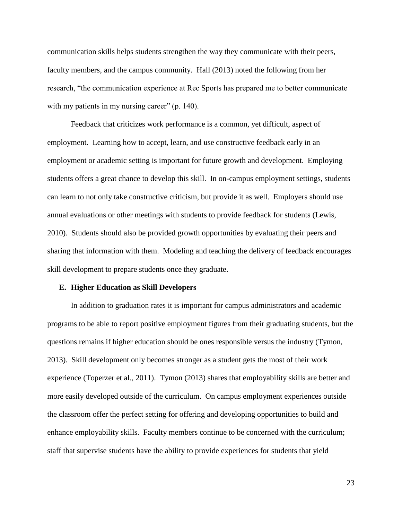communication skills helps students strengthen the way they communicate with their peers, faculty members, and the campus community. Hall (2013) noted the following from her research, "the communication experience at Rec Sports has prepared me to better communicate with my patients in my nursing career" (p. 140).

Feedback that criticizes work performance is a common, yet difficult, aspect of employment. Learning how to accept, learn, and use constructive feedback early in an employment or academic setting is important for future growth and development. Employing students offers a great chance to develop this skill. In on-campus employment settings, students can learn to not only take constructive criticism, but provide it as well. Employers should use annual evaluations or other meetings with students to provide feedback for students (Lewis, 2010). Students should also be provided growth opportunities by evaluating their peers and sharing that information with them. Modeling and teaching the delivery of feedback encourages skill development to prepare students once they graduate.

#### **E. Higher Education as Skill Developers**

In addition to graduation rates it is important for campus administrators and academic programs to be able to report positive employment figures from their graduating students, but the questions remains if higher education should be ones responsible versus the industry (Tymon, 2013). Skill development only becomes stronger as a student gets the most of their work experience (Toperzer et al., 2011). Tymon (2013) shares that employability skills are better and more easily developed outside of the curriculum. On campus employment experiences outside the classroom offer the perfect setting for offering and developing opportunities to build and enhance employability skills. Faculty members continue to be concerned with the curriculum; staff that supervise students have the ability to provide experiences for students that yield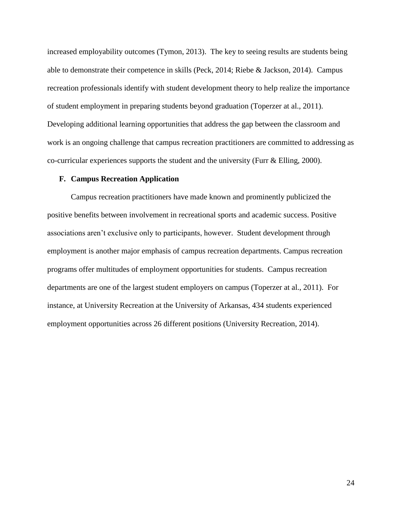increased employability outcomes (Tymon, 2013). The key to seeing results are students being able to demonstrate their competence in skills (Peck, 2014; Riebe & Jackson, 2014). Campus recreation professionals identify with student development theory to help realize the importance of student employment in preparing students beyond graduation (Toperzer at al., 2011). Developing additional learning opportunities that address the gap between the classroom and work is an ongoing challenge that campus recreation practitioners are committed to addressing as co-curricular experiences supports the student and the university (Furr & Elling, 2000).

#### **F. Campus Recreation Application**

Campus recreation practitioners have made known and prominently publicized the positive benefits between involvement in recreational sports and academic success. Positive associations aren't exclusive only to participants, however. Student development through employment is another major emphasis of campus recreation departments. Campus recreation programs offer multitudes of employment opportunities for students. Campus recreation departments are one of the largest student employers on campus (Toperzer at al., 2011). For instance, at University Recreation at the University of Arkansas, 434 students experienced employment opportunities across 26 different positions (University Recreation, 2014).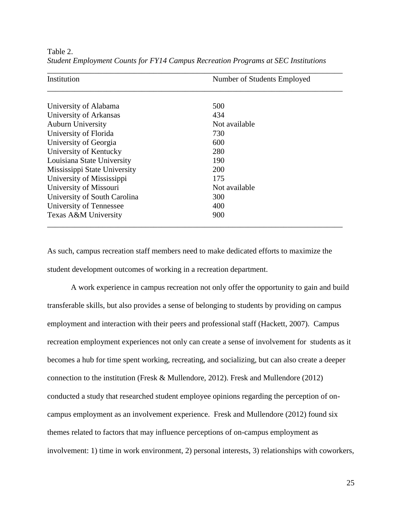| Institution                  | Number of Students Employed |  |
|------------------------------|-----------------------------|--|
|                              |                             |  |
| University of Alabama        | 500                         |  |
| University of Arkansas       | 434                         |  |
| <b>Auburn University</b>     | Not available               |  |
| University of Florida        | 730                         |  |
| University of Georgia        | 600                         |  |
| University of Kentucky       | 280                         |  |
| Louisiana State University   | 190                         |  |
| Mississippi State University | 200                         |  |
| University of Mississippi    | 175                         |  |
| University of Missouri       | Not available               |  |
| University of South Carolina | 300                         |  |
| University of Tennessee      | 400                         |  |
| Texas A&M University         | 900                         |  |

Table 2. *Student Employment Counts for FY14 Campus Recreation Programs at SEC Institutions*

As such, campus recreation staff members need to make dedicated efforts to maximize the student development outcomes of working in a recreation department.

A work experience in campus recreation not only offer the opportunity to gain and build transferable skills, but also provides a sense of belonging to students by providing on campus employment and interaction with their peers and professional staff (Hackett, 2007). Campus recreation employment experiences not only can create a sense of involvement for students as it becomes a hub for time spent working, recreating, and socializing, but can also create a deeper connection to the institution (Fresk & Mullendore, 2012). Fresk and Mullendore (2012) conducted a study that researched student employee opinions regarding the perception of oncampus employment as an involvement experience. Fresk and Mullendore (2012) found six themes related to factors that may influence perceptions of on-campus employment as involvement: 1) time in work environment, 2) personal interests, 3) relationships with coworkers,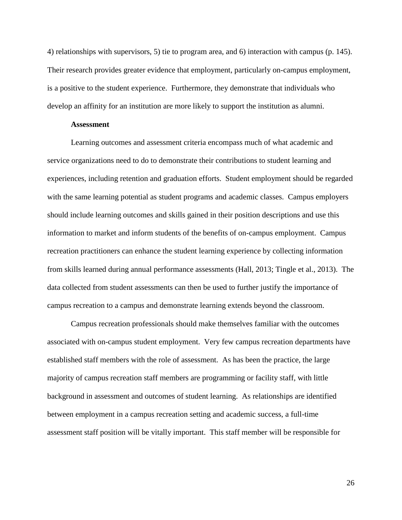4) relationships with supervisors, 5) tie to program area, and 6) interaction with campus (p. 145). Their research provides greater evidence that employment, particularly on-campus employment, is a positive to the student experience. Furthermore, they demonstrate that individuals who develop an affinity for an institution are more likely to support the institution as alumni.

#### **Assessment**

Learning outcomes and assessment criteria encompass much of what academic and service organizations need to do to demonstrate their contributions to student learning and experiences, including retention and graduation efforts. Student employment should be regarded with the same learning potential as student programs and academic classes. Campus employers should include learning outcomes and skills gained in their position descriptions and use this information to market and inform students of the benefits of on-campus employment. Campus recreation practitioners can enhance the student learning experience by collecting information from skills learned during annual performance assessments (Hall, 2013; Tingle et al., 2013). The data collected from student assessments can then be used to further justify the importance of campus recreation to a campus and demonstrate learning extends beyond the classroom.

Campus recreation professionals should make themselves familiar with the outcomes associated with on-campus student employment. Very few campus recreation departments have established staff members with the role of assessment. As has been the practice, the large majority of campus recreation staff members are programming or facility staff, with little background in assessment and outcomes of student learning. As relationships are identified between employment in a campus recreation setting and academic success, a full-time assessment staff position will be vitally important. This staff member will be responsible for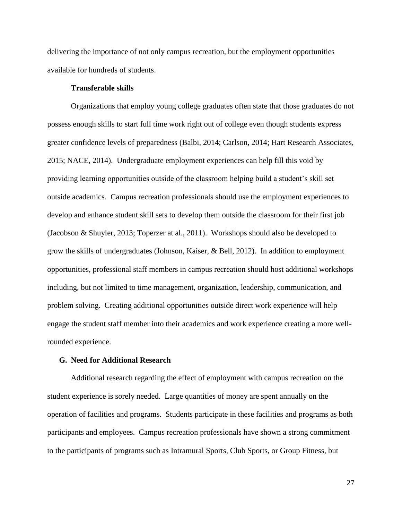delivering the importance of not only campus recreation, but the employment opportunities available for hundreds of students.

#### **Transferable skills**

Organizations that employ young college graduates often state that those graduates do not possess enough skills to start full time work right out of college even though students express greater confidence levels of preparedness (Balbi, 2014; Carlson, 2014; Hart Research Associates, 2015; NACE, 2014). Undergraduate employment experiences can help fill this void by providing learning opportunities outside of the classroom helping build a student's skill set outside academics. Campus recreation professionals should use the employment experiences to develop and enhance student skill sets to develop them outside the classroom for their first job (Jacobson & Shuyler, 2013; Toperzer at al., 2011). Workshops should also be developed to grow the skills of undergraduates (Johnson, Kaiser, & Bell, 2012). In addition to employment opportunities, professional staff members in campus recreation should host additional workshops including, but not limited to time management, organization, leadership, communication, and problem solving. Creating additional opportunities outside direct work experience will help engage the student staff member into their academics and work experience creating a more wellrounded experience.

#### **G. Need for Additional Research**

Additional research regarding the effect of employment with campus recreation on the student experience is sorely needed. Large quantities of money are spent annually on the operation of facilities and programs. Students participate in these facilities and programs as both participants and employees. Campus recreation professionals have shown a strong commitment to the participants of programs such as Intramural Sports, Club Sports, or Group Fitness, but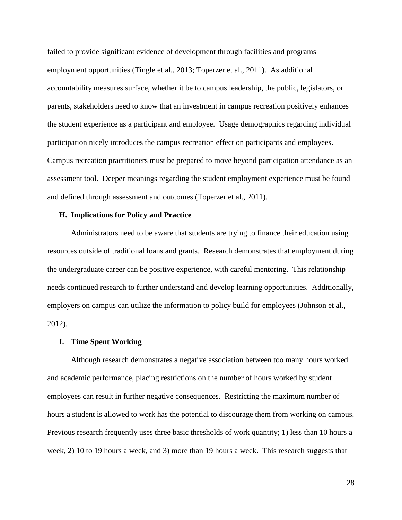failed to provide significant evidence of development through facilities and programs employment opportunities (Tingle et al., 2013; Toperzer et al., 2011). As additional accountability measures surface, whether it be to campus leadership, the public, legislators, or parents, stakeholders need to know that an investment in campus recreation positively enhances the student experience as a participant and employee. Usage demographics regarding individual participation nicely introduces the campus recreation effect on participants and employees. Campus recreation practitioners must be prepared to move beyond participation attendance as an assessment tool. Deeper meanings regarding the student employment experience must be found and defined through assessment and outcomes (Toperzer et al., 2011).

#### **H. Implications for Policy and Practice**

Administrators need to be aware that students are trying to finance their education using resources outside of traditional loans and grants. Research demonstrates that employment during the undergraduate career can be positive experience, with careful mentoring. This relationship needs continued research to further understand and develop learning opportunities. Additionally, employers on campus can utilize the information to policy build for employees (Johnson et al., 2012).

#### **I. Time Spent Working**

Although research demonstrates a negative association between too many hours worked and academic performance, placing restrictions on the number of hours worked by student employees can result in further negative consequences. Restricting the maximum number of hours a student is allowed to work has the potential to discourage them from working on campus. Previous research frequently uses three basic thresholds of work quantity; 1) less than 10 hours a week, 2) 10 to 19 hours a week, and 3) more than 19 hours a week. This research suggests that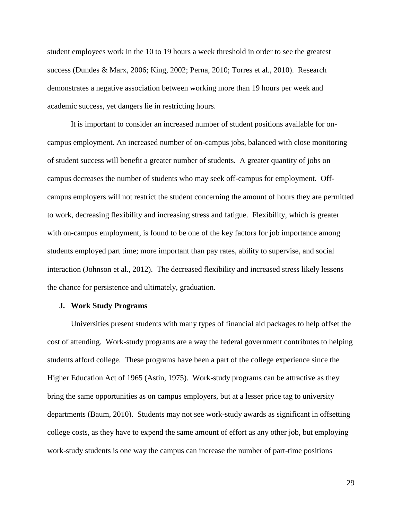student employees work in the 10 to 19 hours a week threshold in order to see the greatest success (Dundes & Marx, 2006; King, 2002; Perna, 2010; Torres et al., 2010). Research demonstrates a negative association between working more than 19 hours per week and academic success, yet dangers lie in restricting hours.

It is important to consider an increased number of student positions available for oncampus employment. An increased number of on-campus jobs, balanced with close monitoring of student success will benefit a greater number of students. A greater quantity of jobs on campus decreases the number of students who may seek off-campus for employment. Offcampus employers will not restrict the student concerning the amount of hours they are permitted to work, decreasing flexibility and increasing stress and fatigue. Flexibility, which is greater with on-campus employment, is found to be one of the key factors for job importance among students employed part time; more important than pay rates, ability to supervise, and social interaction (Johnson et al., 2012). The decreased flexibility and increased stress likely lessens the chance for persistence and ultimately, graduation.

#### **J. Work Study Programs**

Universities present students with many types of financial aid packages to help offset the cost of attending. Work-study programs are a way the federal government contributes to helping students afford college. These programs have been a part of the college experience since the Higher Education Act of 1965 (Astin, 1975). Work-study programs can be attractive as they bring the same opportunities as on campus employers, but at a lesser price tag to university departments (Baum, 2010). Students may not see work-study awards as significant in offsetting college costs, as they have to expend the same amount of effort as any other job, but employing work-study students is one way the campus can increase the number of part-time positions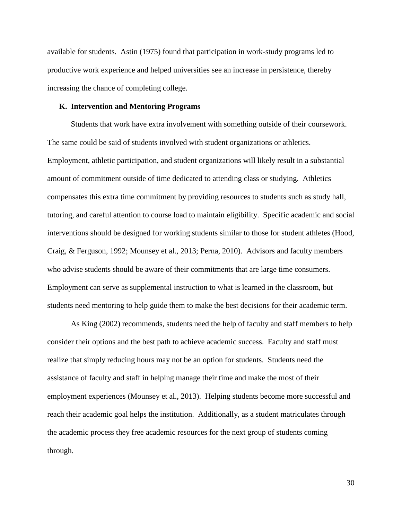available for students. Astin (1975) found that participation in work-study programs led to productive work experience and helped universities see an increase in persistence, thereby increasing the chance of completing college.

#### **K. Intervention and Mentoring Programs**

Students that work have extra involvement with something outside of their coursework. The same could be said of students involved with student organizations or athletics. Employment, athletic participation, and student organizations will likely result in a substantial amount of commitment outside of time dedicated to attending class or studying. Athletics compensates this extra time commitment by providing resources to students such as study hall, tutoring, and careful attention to course load to maintain eligibility. Specific academic and social interventions should be designed for working students similar to those for student athletes (Hood, Craig, & Ferguson, 1992; Mounsey et al., 2013; Perna, 2010). Advisors and faculty members who advise students should be aware of their commitments that are large time consumers. Employment can serve as supplemental instruction to what is learned in the classroom, but students need mentoring to help guide them to make the best decisions for their academic term.

As King (2002) recommends, students need the help of faculty and staff members to help consider their options and the best path to achieve academic success. Faculty and staff must realize that simply reducing hours may not be an option for students. Students need the assistance of faculty and staff in helping manage their time and make the most of their employment experiences (Mounsey et al., 2013). Helping students become more successful and reach their academic goal helps the institution. Additionally, as a student matriculates through the academic process they free academic resources for the next group of students coming through.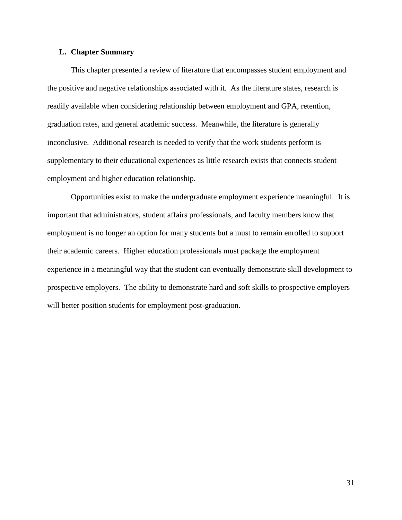## **L. Chapter Summary**

This chapter presented a review of literature that encompasses student employment and the positive and negative relationships associated with it. As the literature states, research is readily available when considering relationship between employment and GPA, retention, graduation rates, and general academic success. Meanwhile, the literature is generally inconclusive. Additional research is needed to verify that the work students perform is supplementary to their educational experiences as little research exists that connects student employment and higher education relationship.

Opportunities exist to make the undergraduate employment experience meaningful. It is important that administrators, student affairs professionals, and faculty members know that employment is no longer an option for many students but a must to remain enrolled to support their academic careers. Higher education professionals must package the employment experience in a meaningful way that the student can eventually demonstrate skill development to prospective employers. The ability to demonstrate hard and soft skills to prospective employers will better position students for employment post-graduation.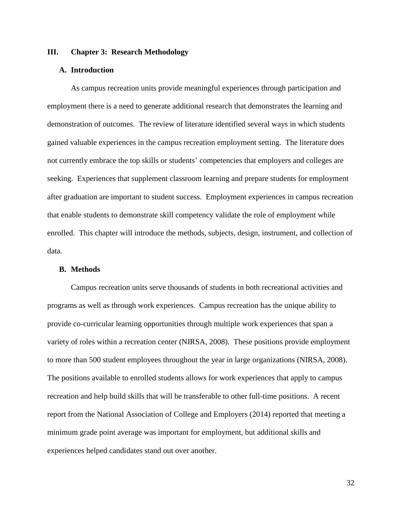## **III. Chapter 3: Research Methodology**

## **A. Introduction**

As campus recreation units provide meaningful experiences through participation and employment there is a need to generate additional research that demonstrates the learning and demonstration of outcomes. The review of literature identified several ways in which students gained valuable experiences in the campus recreation employment setting. The literature does not currently embrace the top skills or students' competencies that employers and colleges are seeking. Experiences that supplement classroom learning and prepare students for employment after graduation are important to student success. Employment experiences in campus recreation that enable students to demonstrate skill competency validate the role of employment while enrolled. This chapter will introduce the methods, subjects, design, instrument, and collection of data.

### **B. Methods**

Campus recreation units serve thousands of students in both recreational activities and programs as well as through work experiences. Campus recreation has the unique ability to provide co-curricular learning opportunities through multiple work experiences that span a variety of roles within a recreation center (NIRSA, 2008). These positions provide employment to more than 500 student employees throughout the year in large organizations (NIRSA, 2008). The positions available to enrolled students allows for work experiences that apply to campus recreation and help build skills that will be transferable to other full-time positions. A recent report from the National Association of College and Employers (2014) reported that meeting a minimum grade point average was important for employment, but additional skills and experiences helped candidates stand out over another.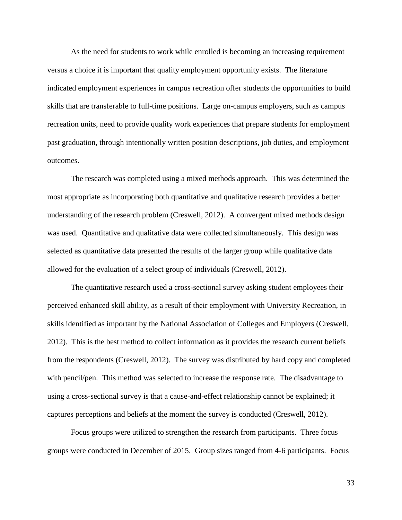As the need for students to work while enrolled is becoming an increasing requirement versus a choice it is important that quality employment opportunity exists. The literature indicated employment experiences in campus recreation offer students the opportunities to build skills that are transferable to full-time positions. Large on-campus employers, such as campus recreation units, need to provide quality work experiences that prepare students for employment past graduation, through intentionally written position descriptions, job duties, and employment outcomes.

The research was completed using a mixed methods approach. This was determined the most appropriate as incorporating both quantitative and qualitative research provides a better understanding of the research problem (Creswell, 2012). A convergent mixed methods design was used. Quantitative and qualitative data were collected simultaneously. This design was selected as quantitative data presented the results of the larger group while qualitative data allowed for the evaluation of a select group of individuals (Creswell, 2012).

The quantitative research used a cross-sectional survey asking student employees their perceived enhanced skill ability, as a result of their employment with University Recreation, in skills identified as important by the National Association of Colleges and Employers (Creswell, 2012). This is the best method to collect information as it provides the research current beliefs from the respondents (Creswell, 2012). The survey was distributed by hard copy and completed with pencil/pen. This method was selected to increase the response rate. The disadvantage to using a cross-sectional survey is that a cause-and-effect relationship cannot be explained; it captures perceptions and beliefs at the moment the survey is conducted (Creswell, 2012).

Focus groups were utilized to strengthen the research from participants. Three focus groups were conducted in December of 2015. Group sizes ranged from 4-6 participants. Focus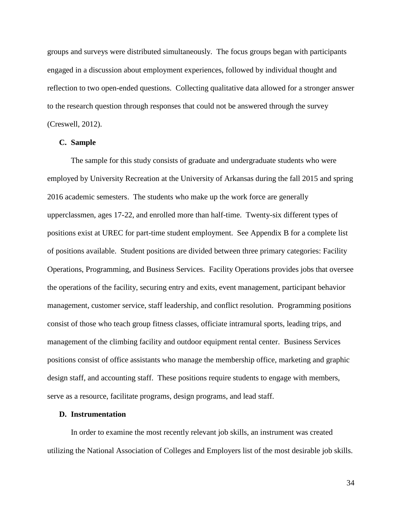groups and surveys were distributed simultaneously. The focus groups began with participants engaged in a discussion about employment experiences, followed by individual thought and reflection to two open-ended questions. Collecting qualitative data allowed for a stronger answer to the research question through responses that could not be answered through the survey (Creswell, 2012).

## **C. Sample**

The sample for this study consists of graduate and undergraduate students who were employed by University Recreation at the University of Arkansas during the fall 2015 and spring 2016 academic semesters. The students who make up the work force are generally upperclassmen, ages 17-22, and enrolled more than half-time. Twenty-six different types of positions exist at UREC for part-time student employment. See Appendix B for a complete list of positions available. Student positions are divided between three primary categories: Facility Operations, Programming, and Business Services. Facility Operations provides jobs that oversee the operations of the facility, securing entry and exits, event management, participant behavior management, customer service, staff leadership, and conflict resolution. Programming positions consist of those who teach group fitness classes, officiate intramural sports, leading trips, and management of the climbing facility and outdoor equipment rental center. Business Services positions consist of office assistants who manage the membership office, marketing and graphic design staff, and accounting staff. These positions require students to engage with members, serve as a resource, facilitate programs, design programs, and lead staff.

#### **D. Instrumentation**

In order to examine the most recently relevant job skills, an instrument was created utilizing the National Association of Colleges and Employers list of the most desirable job skills.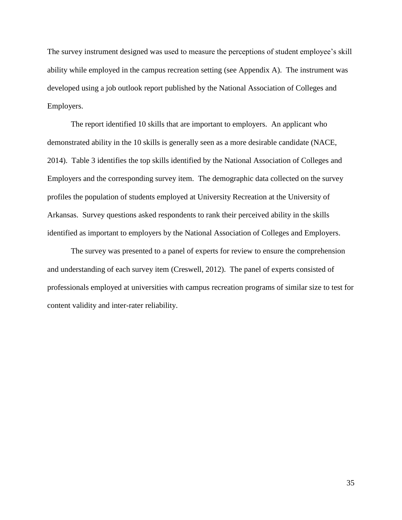The survey instrument designed was used to measure the perceptions of student employee's skill ability while employed in the campus recreation setting (see Appendix A). The instrument was developed using a job outlook report published by the National Association of Colleges and Employers.

The report identified 10 skills that are important to employers. An applicant who demonstrated ability in the 10 skills is generally seen as a more desirable candidate (NACE, 2014). Table 3 identifies the top skills identified by the National Association of Colleges and Employers and the corresponding survey item. The demographic data collected on the survey profiles the population of students employed at University Recreation at the University of Arkansas. Survey questions asked respondents to rank their perceived ability in the skills identified as important to employers by the National Association of Colleges and Employers.

The survey was presented to a panel of experts for review to ensure the comprehension and understanding of each survey item (Creswell, 2012). The panel of experts consisted of professionals employed at universities with campus recreation programs of similar size to test for content validity and inter-rater reliability.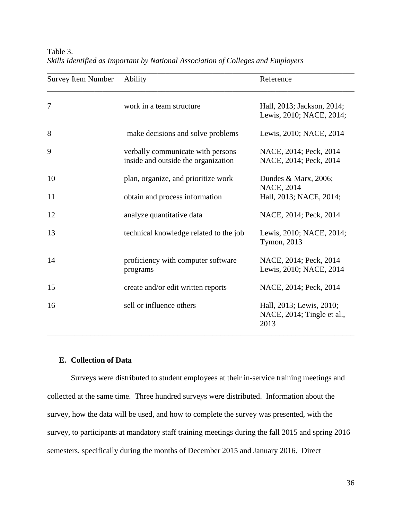| <b>Survey Item Number</b> | Ability                                                                  | Reference                                                      |
|---------------------------|--------------------------------------------------------------------------|----------------------------------------------------------------|
| 7                         | work in a team structure                                                 | Hall, 2013; Jackson, 2014;<br>Lewis, 2010; NACE, 2014;         |
| 8                         | make decisions and solve problems                                        | Lewis, 2010; NACE, 2014                                        |
| 9                         | verbally communicate with persons<br>inside and outside the organization | NACE, 2014; Peck, 2014<br>NACE, 2014; Peck, 2014               |
| 10                        | plan, organize, and prioritize work                                      | Dundes $& Marx, 2006;$                                         |
| 11                        | obtain and process information                                           | <b>NACE, 2014</b><br>Hall, 2013; NACE, 2014;                   |
| 12                        | analyze quantitative data                                                | NACE, 2014; Peck, 2014                                         |
| 13                        | technical knowledge related to the job                                   | Lewis, 2010; NACE, 2014;<br>Tymon, 2013                        |
| 14                        | proficiency with computer software<br>programs                           | NACE, 2014; Peck, 2014<br>Lewis, 2010; NACE, 2014              |
| 15                        | create and/or edit written reports                                       | NACE, 2014; Peck, 2014                                         |
| 16                        | sell or influence others                                                 | Hall, 2013; Lewis, 2010;<br>NACE, 2014; Tingle et al.,<br>2013 |

Table 3. *Skills Identified as Important by National Association of Colleges and Employers*

## **E. Collection of Data**

Surveys were distributed to student employees at their in-service training meetings and collected at the same time. Three hundred surveys were distributed. Information about the survey, how the data will be used, and how to complete the survey was presented, with the survey, to participants at mandatory staff training meetings during the fall 2015 and spring 2016 semesters, specifically during the months of December 2015 and January 2016. Direct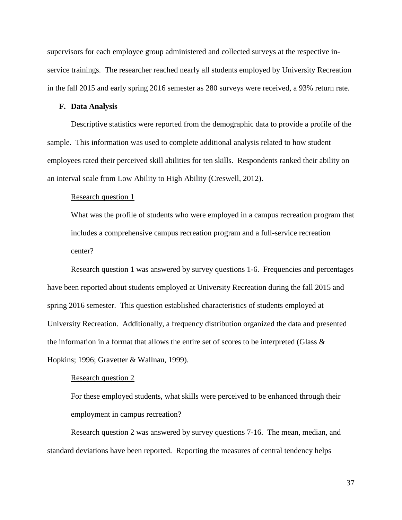supervisors for each employee group administered and collected surveys at the respective inservice trainings. The researcher reached nearly all students employed by University Recreation in the fall 2015 and early spring 2016 semester as 280 surveys were received, a 93% return rate.

## **F. Data Analysis**

Descriptive statistics were reported from the demographic data to provide a profile of the sample. This information was used to complete additional analysis related to how student employees rated their perceived skill abilities for ten skills. Respondents ranked their ability on an interval scale from Low Ability to High Ability (Creswell, 2012).

## Research question 1

What was the profile of students who were employed in a campus recreation program that includes a comprehensive campus recreation program and a full-service recreation center?

Research question 1 was answered by survey questions 1-6. Frequencies and percentages have been reported about students employed at University Recreation during the fall 2015 and spring 2016 semester. This question established characteristics of students employed at University Recreation. Additionally, a frequency distribution organized the data and presented the information in a format that allows the entire set of scores to be interpreted (Glass  $\&$ Hopkins; 1996; Gravetter & Wallnau, 1999).

#### Research question 2

For these employed students, what skills were perceived to be enhanced through their employment in campus recreation?

Research question 2 was answered by survey questions 7-16. The mean, median, and standard deviations have been reported. Reporting the measures of central tendency helps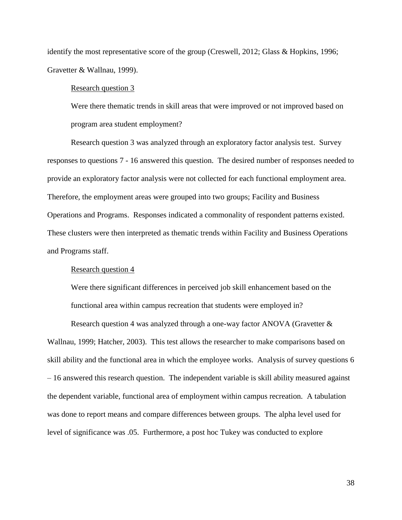identify the most representative score of the group (Creswell, 2012; Glass & Hopkins, 1996; Gravetter & Wallnau, 1999).

## Research question 3

Were there thematic trends in skill areas that were improved or not improved based on program area student employment?

Research question 3 was analyzed through an exploratory factor analysis test. Survey responses to questions 7 - 16 answered this question. The desired number of responses needed to provide an exploratory factor analysis were not collected for each functional employment area. Therefore, the employment areas were grouped into two groups; Facility and Business Operations and Programs. Responses indicated a commonality of respondent patterns existed. These clusters were then interpreted as thematic trends within Facility and Business Operations and Programs staff.

### Research question 4

Were there significant differences in perceived job skill enhancement based on the functional area within campus recreation that students were employed in?

Research question 4 was analyzed through a one-way factor ANOVA (Gravetter & Wallnau, 1999; Hatcher, 2003). This test allows the researcher to make comparisons based on skill ability and the functional area in which the employee works. Analysis of survey questions 6 – 16 answered this research question. The independent variable is skill ability measured against the dependent variable, functional area of employment within campus recreation. A tabulation was done to report means and compare differences between groups. The alpha level used for level of significance was .05. Furthermore, a post hoc Tukey was conducted to explore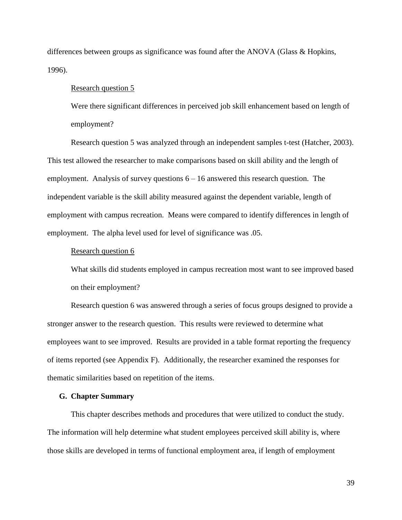differences between groups as significance was found after the ANOVA (Glass & Hopkins, 1996).

## Research question 5

Were there significant differences in perceived job skill enhancement based on length of employment?

Research question 5 was analyzed through an independent samples t-test (Hatcher, 2003). This test allowed the researcher to make comparisons based on skill ability and the length of employment. Analysis of survey questions  $6 - 16$  answered this research question. The independent variable is the skill ability measured against the dependent variable, length of employment with campus recreation. Means were compared to identify differences in length of employment. The alpha level used for level of significance was .05.

### Research question 6

What skills did students employed in campus recreation most want to see improved based on their employment?

Research question 6 was answered through a series of focus groups designed to provide a stronger answer to the research question. This results were reviewed to determine what employees want to see improved. Results are provided in a table format reporting the frequency of items reported (see Appendix F). Additionally, the researcher examined the responses for thematic similarities based on repetition of the items.

## **G. Chapter Summary**

This chapter describes methods and procedures that were utilized to conduct the study. The information will help determine what student employees perceived skill ability is, where those skills are developed in terms of functional employment area, if length of employment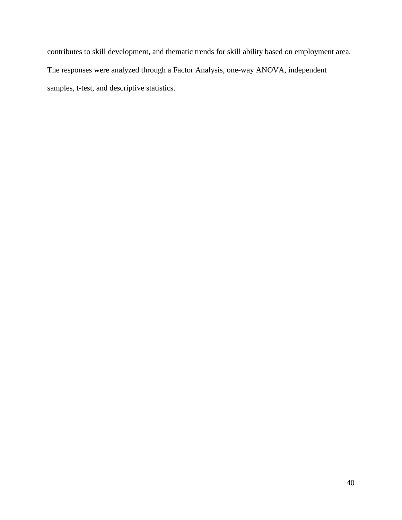contributes to skill development, and thematic trends for skill ability based on employment area. The responses were analyzed through a Factor Analysis, one-way ANOVA, independent samples, t-test, and descriptive statistics.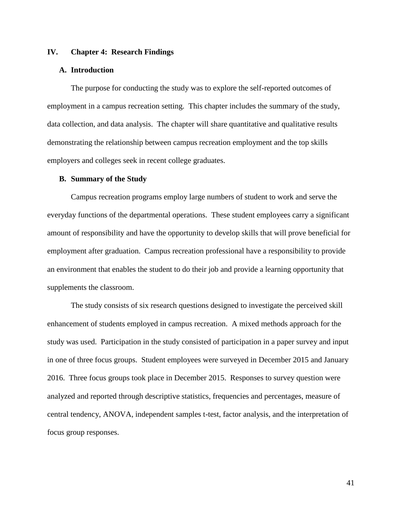## **IV. Chapter 4: Research Findings**

## **A. Introduction**

The purpose for conducting the study was to explore the self-reported outcomes of employment in a campus recreation setting. This chapter includes the summary of the study, data collection, and data analysis. The chapter will share quantitative and qualitative results demonstrating the relationship between campus recreation employment and the top skills employers and colleges seek in recent college graduates.

#### **B. Summary of the Study**

Campus recreation programs employ large numbers of student to work and serve the everyday functions of the departmental operations. These student employees carry a significant amount of responsibility and have the opportunity to develop skills that will prove beneficial for employment after graduation. Campus recreation professional have a responsibility to provide an environment that enables the student to do their job and provide a learning opportunity that supplements the classroom.

The study consists of six research questions designed to investigate the perceived skill enhancement of students employed in campus recreation. A mixed methods approach for the study was used. Participation in the study consisted of participation in a paper survey and input in one of three focus groups. Student employees were surveyed in December 2015 and January 2016. Three focus groups took place in December 2015. Responses to survey question were analyzed and reported through descriptive statistics, frequencies and percentages, measure of central tendency, ANOVA, independent samples t-test, factor analysis, and the interpretation of focus group responses.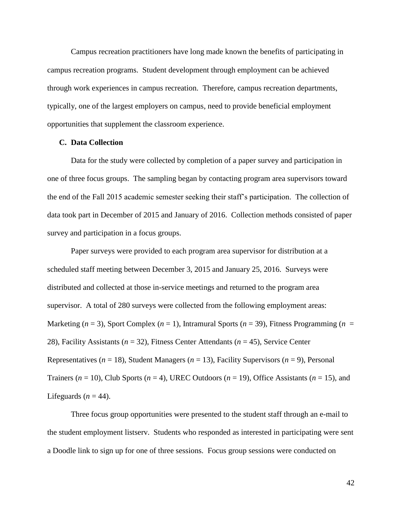Campus recreation practitioners have long made known the benefits of participating in campus recreation programs. Student development through employment can be achieved through work experiences in campus recreation. Therefore, campus recreation departments, typically, one of the largest employers on campus, need to provide beneficial employment opportunities that supplement the classroom experience.

## **C. Data Collection**

Data for the study were collected by completion of a paper survey and participation in one of three focus groups. The sampling began by contacting program area supervisors toward the end of the Fall 2015 academic semester seeking their staff's participation. The collection of data took part in December of 2015 and January of 2016. Collection methods consisted of paper survey and participation in a focus groups.

Paper surveys were provided to each program area supervisor for distribution at a scheduled staff meeting between December 3, 2015 and January 25, 2016. Surveys were distributed and collected at those in-service meetings and returned to the program area supervisor. A total of 280 surveys were collected from the following employment areas: Marketing (*n* = 3), Sport Complex (*n* = 1), Intramural Sports (*n* = 39), Fitness Programming (*n* = 28), Facility Assistants (*n* = 32), Fitness Center Attendants (*n* = 45), Service Center Representatives (*n* = 18), Student Managers (*n* = 13), Facility Supervisors (*n* = 9), Personal Trainers (*n* = 10), Club Sports (*n* = 4), UREC Outdoors (*n* = 19), Office Assistants (*n* = 15), and Lifeguards  $(n = 44)$ .

Three focus group opportunities were presented to the student staff through an e-mail to the student employment listserv. Students who responded as interested in participating were sent a Doodle link to sign up for one of three sessions. Focus group sessions were conducted on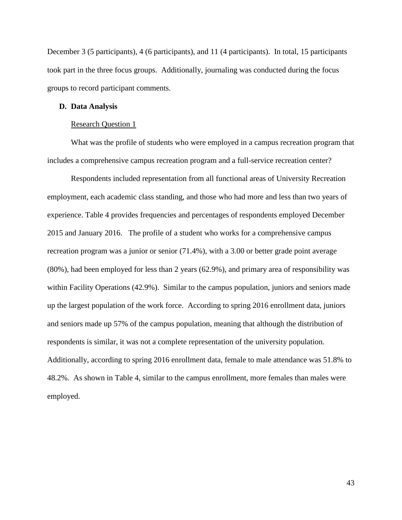December 3 (5 participants), 4 (6 participants), and 11 (4 participants). In total, 15 participants took part in the three focus groups. Additionally, journaling was conducted during the focus groups to record participant comments.

### **D. Data Analysis**

### Research Question 1

What was the profile of students who were employed in a campus recreation program that includes a comprehensive campus recreation program and a full-service recreation center?

Respondents included representation from all functional areas of University Recreation employment, each academic class standing, and those who had more and less than two years of experience. Table 4 provides frequencies and percentages of respondents employed December 2015 and January 2016. The profile of a student who works for a comprehensive campus recreation program was a junior or senior (71.4%), with a 3.00 or better grade point average (80%), had been employed for less than 2 years (62.9%), and primary area of responsibility was within Facility Operations (42.9%). Similar to the campus population, juniors and seniors made up the largest population of the work force. According to spring 2016 enrollment data, juniors and seniors made up 57% of the campus population, meaning that although the distribution of respondents is similar, it was not a complete representation of the university population. Additionally, according to spring 2016 enrollment data, female to male attendance was 51.8% to 48.2%. As shown in Table 4, similar to the campus enrollment, more females than males were employed.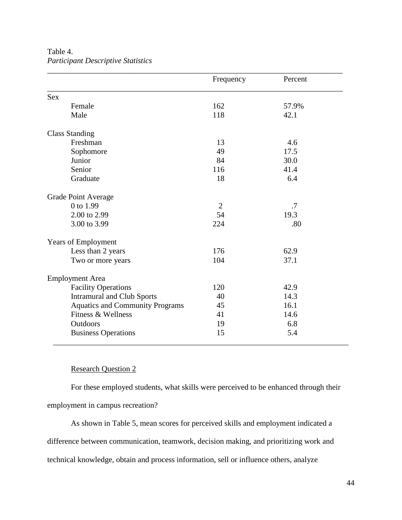|                                        | Frequency      | Percent |
|----------------------------------------|----------------|---------|
| <b>Sex</b>                             |                |         |
| Female                                 | 162            | 57.9%   |
| Male                                   | 118            | 42.1    |
| <b>Class Standing</b>                  |                |         |
| Freshman                               | 13             | 4.6     |
| Sophomore                              | 49             | 17.5    |
| Junior                                 | 84             | 30.0    |
| Senior                                 | 116            | 41.4    |
| Graduate                               | 18             | 6.4     |
| <b>Grade Point Average</b>             |                |         |
| 0 to 1.99                              | $\overline{2}$ | .7      |
| 2.00 to 2.99                           | 54             | 19.3    |
| 3.00 to 3.99                           | 224            | .80     |
| <b>Years of Employment</b>             |                |         |
| Less than 2 years                      | 176            | 62.9    |
| Two or more years                      | 104            | 37.1    |
| <b>Employment Area</b>                 |                |         |
| <b>Facility Operations</b>             | 120            | 42.9    |
| <b>Intramural and Club Sports</b>      | 40             | 14.3    |
| <b>Aquatics and Community Programs</b> | 45             | 16.1    |
| Fitness & Wellness                     | 41             | 14.6    |
| Outdoors                               | 19             | 6.8     |
| <b>Business Operations</b>             | 15             | 5.4     |

Table 4. *Participant Descriptive Statistics*

## Research Question 2

For these employed students, what skills were perceived to be enhanced through their employment in campus recreation?

As shown in Table 5, mean scores for perceived skills and employment indicated a difference between communication, teamwork, decision making, and prioritizing work and technical knowledge, obtain and process information, sell or influence others, analyze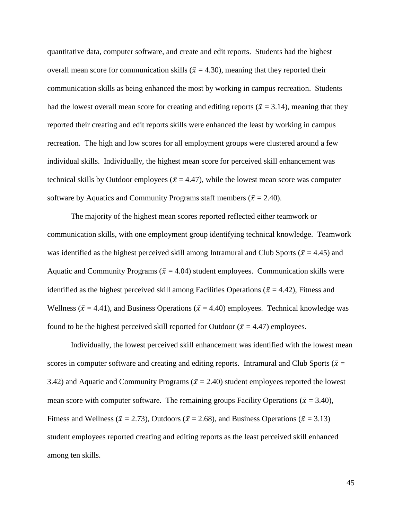quantitative data, computer software, and create and edit reports. Students had the highest overall mean score for communication skills ( $\bar{x}$  = 4.30), meaning that they reported their communication skills as being enhanced the most by working in campus recreation. Students had the lowest overall mean score for creating and editing reports ( $\bar{x}$  = 3.14), meaning that they reported their creating and edit reports skills were enhanced the least by working in campus recreation. The high and low scores for all employment groups were clustered around a few individual skills. Individually, the highest mean score for perceived skill enhancement was technical skills by Outdoor employees ( $\bar{x}$  = 4.47), while the lowest mean score was computer software by Aquatics and Community Programs staff members ( $\bar{x} = 2.40$ ).

The majority of the highest mean scores reported reflected either teamwork or communication skills, with one employment group identifying technical knowledge. Teamwork was identified as the highest perceived skill among Intramural and Club Sports ( $\bar{x}$  = 4.45) and Aquatic and Community Programs ( $\bar{x}$  = 4.04) student employees. Communication skills were identified as the highest perceived skill among Facilities Operations ( $\bar{x} = 4.42$ ), Fitness and Wellness ( $\bar{x}$  = 4.41), and Business Operations ( $\bar{x}$  = 4.40) employees. Technical knowledge was found to be the highest perceived skill reported for Outdoor ( $\bar{x}$  = 4.47) employees.

Individually, the lowest perceived skill enhancement was identified with the lowest mean scores in computer software and creating and editing reports. Intramural and Club Sports ( $\bar{x}$  = 3.42) and Aquatic and Community Programs ( $\bar{x}$  = 2.40) student employees reported the lowest mean score with computer software. The remaining groups Facility Operations ( $\bar{x}$  = 3.40), Fitness and Wellness ( $\bar{x}$  = 2.73), Outdoors ( $\bar{x}$  = 2.68), and Business Operations ( $\bar{x}$  = 3.13) student employees reported creating and editing reports as the least perceived skill enhanced among ten skills.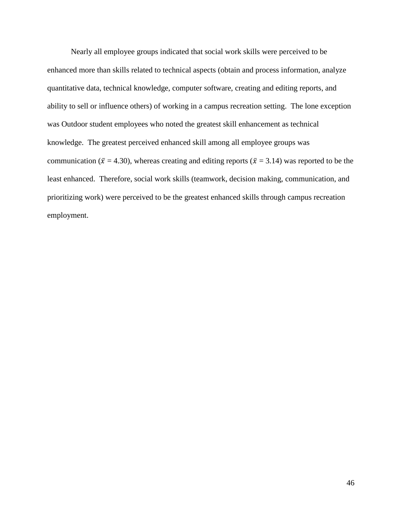Nearly all employee groups indicated that social work skills were perceived to be enhanced more than skills related to technical aspects (obtain and process information, analyze quantitative data, technical knowledge, computer software, creating and editing reports, and ability to sell or influence others) of working in a campus recreation setting. The lone exception was Outdoor student employees who noted the greatest skill enhancement as technical knowledge. The greatest perceived enhanced skill among all employee groups was communication ( $\bar{x}$  = 4.30), whereas creating and editing reports ( $\bar{x}$  = 3.14) was reported to be the least enhanced. Therefore, social work skills (teamwork, decision making, communication, and prioritizing work) were perceived to be the greatest enhanced skills through campus recreation employment.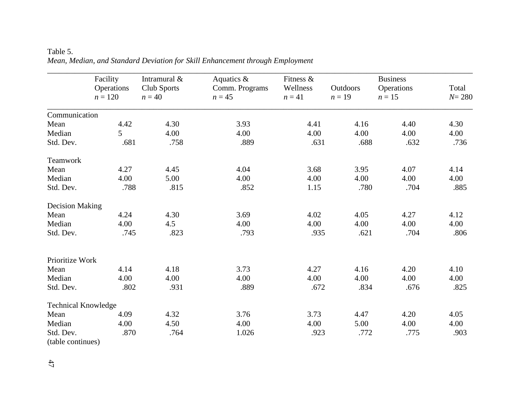# Table 5. *Mean, Median, and Standard Deviation for Skill Enhancement through Employment*

|                            | Facility<br>Operations<br>$n = 120$ | Intramural &<br>Club Sports<br>$n = 40$ | Aquatics &<br>Comm. Programs<br>$n = 45$ | Fitness &<br>Wellness<br>$n = 41$ | Outdoors<br>$n=19$ | <b>Business</b><br>Operations<br>$n=15$ | Total<br>$N = 280$ |
|----------------------------|-------------------------------------|-----------------------------------------|------------------------------------------|-----------------------------------|--------------------|-----------------------------------------|--------------------|
| Communication              |                                     |                                         |                                          |                                   |                    |                                         |                    |
| Mean                       | 4.42                                | 4.30                                    | 3.93                                     | 4.41                              | 4.16               | 4.40                                    | 4.30               |
| Median                     | $\overline{5}$                      | 4.00                                    | 4.00                                     | 4.00                              | 4.00               | 4.00                                    | 4.00               |
| Std. Dev.                  | .681                                | .758                                    | .889                                     | .631                              | .688               | .632                                    | .736               |
| Teamwork                   |                                     |                                         |                                          |                                   |                    |                                         |                    |
| Mean                       | 4.27                                | 4.45                                    | 4.04                                     | 3.68                              | 3.95               | 4.07                                    | 4.14               |
| Median                     | 4.00                                | 5.00                                    | 4.00                                     | 4.00                              | 4.00               | 4.00                                    | 4.00               |
| Std. Dev.                  | .788                                | .815                                    | .852                                     | 1.15                              | .780               | .704                                    | .885               |
| <b>Decision Making</b>     |                                     |                                         |                                          |                                   |                    |                                         |                    |
| Mean                       | 4.24                                | 4.30                                    | 3.69                                     | 4.02                              | 4.05               | 4.27                                    | 4.12               |
| Median                     | 4.00                                | 4.5                                     | 4.00                                     | 4.00                              | 4.00               | 4.00                                    | 4.00               |
| Std. Dev.                  | .745                                | .823                                    | .793                                     | .935                              | .621               | .704                                    | .806               |
| Prioritize Work            |                                     |                                         |                                          |                                   |                    |                                         |                    |
| Mean                       | 4.14                                | 4.18                                    | 3.73                                     | 4.27                              | 4.16               | 4.20                                    | 4.10               |
| Median                     | 4.00                                | 4.00                                    | 4.00                                     | 4.00                              | 4.00               | 4.00                                    | 4.00               |
| Std. Dev.                  | .802                                | .931                                    | .889                                     | .672                              | .834               | .676                                    | .825               |
| <b>Technical Knowledge</b> |                                     |                                         |                                          |                                   |                    |                                         |                    |
| Mean                       | 4.09                                | 4.32                                    | 3.76                                     | 3.73                              | 4.47               | 4.20                                    | 4.05               |
| Median                     | 4.00                                | 4.50                                    | 4.00                                     | 4.00                              | 5.00               | 4.00                                    | 4.00               |
| Std. Dev.                  | .870                                | .764                                    | 1.026                                    | .923                              | .772               | .775                                    | .903               |
| (table continues)          |                                     |                                         |                                          |                                   |                    |                                         |                    |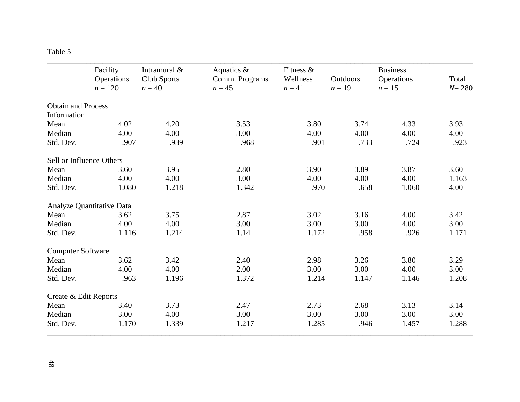| Г<br>. . |  |
|----------|--|
|----------|--|

|                           | Facility<br>Operations<br>$n = 120$ | Intramural &<br>Club Sports<br>$n = 40$ | Aquatics &<br>Comm. Programs<br>$n = 45$ | Fitness $\&$<br>Wellness<br>$n = 41$ | Outdoors<br>$n=19$ | <b>Business</b><br>Operations<br>$n=15$ | Total<br>$N = 280$ |
|---------------------------|-------------------------------------|-----------------------------------------|------------------------------------------|--------------------------------------|--------------------|-----------------------------------------|--------------------|
| <b>Obtain and Process</b> |                                     |                                         |                                          |                                      |                    |                                         |                    |
| Information               |                                     |                                         |                                          |                                      |                    |                                         |                    |
| Mean                      | 4.02                                | 4.20                                    | 3.53                                     | 3.80                                 | 3.74               | 4.33                                    | 3.93               |
| Median                    | 4.00                                | 4.00                                    | 3.00                                     | 4.00                                 | 4.00               | 4.00                                    | 4.00               |
| Std. Dev.                 | .907                                | .939                                    | .968                                     | .901                                 | .733               | .724                                    | .923               |
| Sell or Influence Others  |                                     |                                         |                                          |                                      |                    |                                         |                    |
| Mean                      | 3.60                                | 3.95                                    | 2.80                                     | 3.90                                 | 3.89               | 3.87                                    | 3.60               |
| Median                    | 4.00                                | 4.00                                    | 3.00                                     | 4.00                                 | 4.00               | 4.00                                    | 1.163              |
| Std. Dev.                 | 1.080                               | 1.218                                   | 1.342                                    | .970                                 | .658               | 1.060                                   | 4.00               |
|                           | Analyze Quantitative Data           |                                         |                                          |                                      |                    |                                         |                    |
| Mean                      | 3.62                                | 3.75                                    | 2.87                                     | 3.02                                 | 3.16               | 4.00                                    | 3.42               |
| Median                    | 4.00                                | 4.00                                    | 3.00                                     | 3.00                                 | 3.00               | 4.00                                    | 3.00               |
| Std. Dev.                 | 1.116                               | 1.214                                   | 1.14                                     | 1.172                                | .958               | .926                                    | 1.171              |
| <b>Computer Software</b>  |                                     |                                         |                                          |                                      |                    |                                         |                    |
| Mean                      | 3.62                                | 3.42                                    | 2.40                                     | 2.98                                 | 3.26               | 3.80                                    | 3.29               |
| Median                    | 4.00                                | 4.00                                    | 2.00                                     | 3.00                                 | 3.00               | 4.00                                    | 3.00               |
| Std. Dev.                 | .963                                | 1.196                                   | 1.372                                    | 1.214                                | 1.147              | 1.146                                   | 1.208              |
| Create & Edit Reports     |                                     |                                         |                                          |                                      |                    |                                         |                    |
| Mean                      | 3.40                                | 3.73                                    | 2.47                                     | 2.73                                 | 2.68               | 3.13                                    | 3.14               |
| Median                    | 3.00                                | 4.00                                    | 3.00                                     | 3.00                                 | 3.00               | 3.00                                    | 3.00               |
| Std. Dev.                 | 1.170                               | 1.339                                   | 1.217                                    | 1.285                                | .946               | 1.457                                   | 1.288              |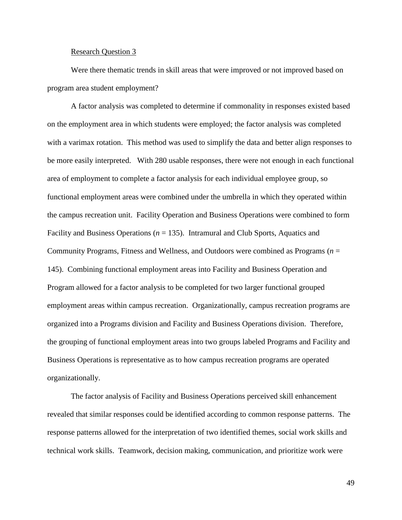#### Research Question 3

Were there thematic trends in skill areas that were improved or not improved based on program area student employment?

A factor analysis was completed to determine if commonality in responses existed based on the employment area in which students were employed; the factor analysis was completed with a varimax rotation. This method was used to simplify the data and better align responses to be more easily interpreted. With 280 usable responses, there were not enough in each functional area of employment to complete a factor analysis for each individual employee group, so functional employment areas were combined under the umbrella in which they operated within the campus recreation unit. Facility Operation and Business Operations were combined to form Facility and Business Operations (*n* = 135). Intramural and Club Sports, Aquatics and Community Programs, Fitness and Wellness, and Outdoors were combined as Programs (*n* = 145). Combining functional employment areas into Facility and Business Operation and Program allowed for a factor analysis to be completed for two larger functional grouped employment areas within campus recreation. Organizationally, campus recreation programs are organized into a Programs division and Facility and Business Operations division. Therefore, the grouping of functional employment areas into two groups labeled Programs and Facility and Business Operations is representative as to how campus recreation programs are operated organizationally.

The factor analysis of Facility and Business Operations perceived skill enhancement revealed that similar responses could be identified according to common response patterns. The response patterns allowed for the interpretation of two identified themes, social work skills and technical work skills. Teamwork, decision making, communication, and prioritize work were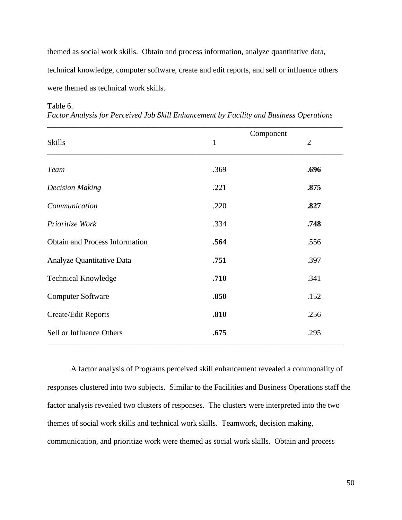themed as social work skills. Obtain and process information, analyze quantitative data, technical knowledge, computer software, create and edit reports, and sell or influence others were themed as technical work skills.

| <b>Skills</b>                         | $\mathbf{1}$ | Component | $\overline{2}$ |
|---------------------------------------|--------------|-----------|----------------|
| <b>Team</b>                           | .369         |           | .696           |
| <b>Decision Making</b>                | .221         |           | .875           |
| Communication                         | .220         |           | .827           |
| Prioritize Work                       | .334         |           | .748           |
| <b>Obtain and Process Information</b> | .564         |           | .556           |
| Analyze Quantitative Data             | .751         |           | .397           |
| <b>Technical Knowledge</b>            | .710         |           | .341           |
| <b>Computer Software</b>              | .850         |           | .152           |
| Create/Edit Reports                   | .810         |           | .256           |
| Sell or Influence Others              | .675         |           | .295           |

### Table 6.

*Factor Analysis for Perceived Job Skill Enhancement by Facility and Business Operations*

A factor analysis of Programs perceived skill enhancement revealed a commonality of responses clustered into two subjects. Similar to the Facilities and Business Operations staff the factor analysis revealed two clusters of responses. The clusters were interpreted into the two themes of social work skills and technical work skills. Teamwork, decision making, communication, and prioritize work were themed as social work skills. Obtain and process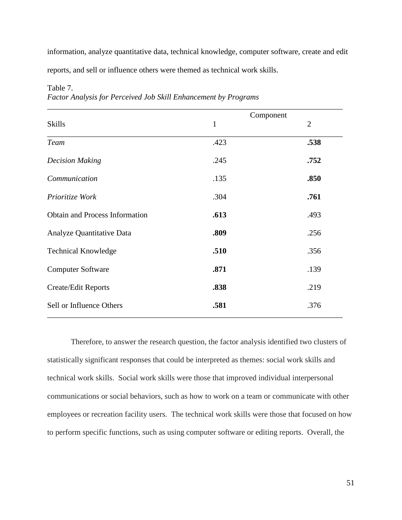information, analyze quantitative data, technical knowledge, computer software, create and edit reports, and sell or influence others were themed as technical work skills.

|                                       |              | Component      |
|---------------------------------------|--------------|----------------|
| <b>Skills</b>                         | $\mathbf{1}$ | $\overline{2}$ |
| <b>Team</b>                           | .423         | .538           |
| <b>Decision Making</b>                | .245         | .752           |
| Communication                         | .135         | .850           |
| Prioritize Work                       | .304         | .761           |
| <b>Obtain and Process Information</b> | .613         | .493           |
| Analyze Quantitative Data             | .809         | .256           |
| <b>Technical Knowledge</b>            | .510         | .356           |
| <b>Computer Software</b>              | .871         | .139           |
| <b>Create/Edit Reports</b>            | .838         | .219           |
| Sell or Influence Others              | .581         | .376           |

Table 7.

|  |  |  | Factor Analysis for Perceived Job Skill Enhancement by Programs |  |
|--|--|--|-----------------------------------------------------------------|--|
|  |  |  |                                                                 |  |

Therefore, to answer the research question, the factor analysis identified two clusters of statistically significant responses that could be interpreted as themes: social work skills and technical work skills. Social work skills were those that improved individual interpersonal communications or social behaviors, such as how to work on a team or communicate with other employees or recreation facility users. The technical work skills were those that focused on how to perform specific functions, such as using computer software or editing reports. Overall, the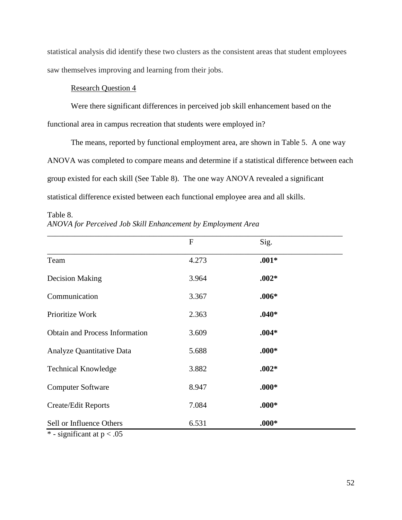statistical analysis did identify these two clusters as the consistent areas that student employees saw themselves improving and learning from their jobs.

## Research Question 4

Were there significant differences in perceived job skill enhancement based on the functional area in campus recreation that students were employed in?

The means, reported by functional employment area, are shown in Table 5. A one way ANOVA was completed to compare means and determine if a statistical difference between each group existed for each skill (See Table 8). The one way ANOVA revealed a significant statistical difference existed between each functional employee area and all skills.

Table 8. *ANOVA for Perceived Job Skill Enhancement by Employment Area*

|                                       | $\mathbf{F}$ | Sig.    |  |
|---------------------------------------|--------------|---------|--|
| Team                                  | 4.273        | $.001*$ |  |
| <b>Decision Making</b>                | 3.964        | $.002*$ |  |
| Communication                         | 3.367        | $.006*$ |  |
| Prioritize Work                       | 2.363        | $.040*$ |  |
| <b>Obtain and Process Information</b> | 3.609        | $.004*$ |  |
| Analyze Quantitative Data             | 5.688        | $.000*$ |  |
| <b>Technical Knowledge</b>            | 3.882        | $.002*$ |  |
| <b>Computer Software</b>              | 8.947        | $.000*$ |  |
| <b>Create/Edit Reports</b>            | 7.084        | $.000*$ |  |
| Sell or Influence Others              | 6.531        | $.000*$ |  |
| $*$ cionificant at $\sim 05$          |              |         |  |

 $*$  - significant at  $p < .05$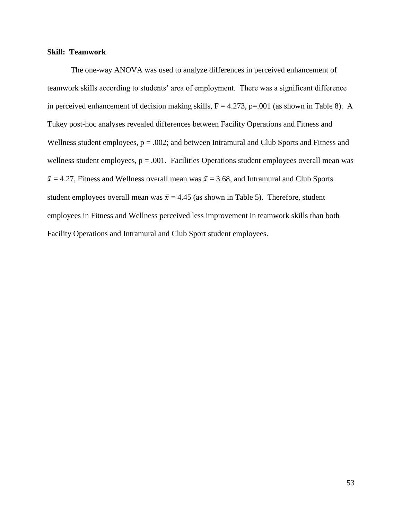## **Skill: Teamwork**

The one-way ANOVA was used to analyze differences in perceived enhancement of teamwork skills according to students' area of employment. There was a significant difference in perceived enhancement of decision making skills,  $F = 4.273$ ,  $p = .001$  (as shown in Table 8). A Tukey post-hoc analyses revealed differences between Facility Operations and Fitness and Wellness student employees,  $p = .002$ ; and between Intramural and Club Sports and Fitness and wellness student employees,  $p = .001$ . Facilities Operations student employees overall mean was  $\bar{x}$  = 4.27, Fitness and Wellness overall mean was  $\bar{x}$  = 3.68, and Intramural and Club Sports student employees overall mean was  $\bar{x} = 4.45$  (as shown in Table 5). Therefore, student employees in Fitness and Wellness perceived less improvement in teamwork skills than both Facility Operations and Intramural and Club Sport student employees.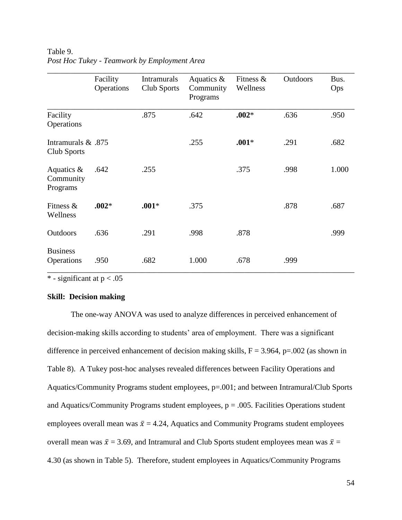|                                        | Facility<br>Operations | <b>Intramurals</b><br>Club Sports | Aquatics $\&$<br>Community<br>Programs | Fitness $\&$<br>Wellness | Outdoors | Bus.<br>Ops |
|----------------------------------------|------------------------|-----------------------------------|----------------------------------------|--------------------------|----------|-------------|
| Facility<br>Operations                 |                        | .875                              | .642                                   | $.002*$                  | .636     | .950        |
| 1875. Intramurals &<br>Club Sports     |                        |                                   | .255                                   | $.001*$                  | .291     | .682        |
| Aquatics $\&$<br>Community<br>Programs | .642                   | .255                              |                                        | .375                     | .998     | 1.000       |
| Fitness $\&$<br>Wellness               | $.002*$                | $.001*$                           | .375                                   |                          | .878     | .687        |
| Outdoors                               | .636                   | .291                              | .998                                   | .878                     |          | .999        |
| <b>Business</b><br>Operations          | .950                   | .682                              | 1.000                                  | .678                     | .999     |             |

Table 9. *Post Hoc Tukey - Teamwork by Employment Area*

 $*$  - significant at  $p < .05$ 

## **Skill: Decision making**

The one-way ANOVA was used to analyze differences in perceived enhancement of decision-making skills according to students' area of employment. There was a significant difference in perceived enhancement of decision making skills,  $F = 3.964$ , p=.002 (as shown in Table 8). A Tukey post-hoc analyses revealed differences between Facility Operations and Aquatics/Community Programs student employees, p=.001; and between Intramural/Club Sports and Aquatics/Community Programs student employees,  $p = .005$ . Facilities Operations student employees overall mean was  $\bar{x} = 4.24$ , Aquatics and Community Programs student employees overall mean was  $\bar{x} = 3.69$ , and Intramural and Club Sports student employees mean was  $\bar{x} =$ 4.30 (as shown in Table 5). Therefore, student employees in Aquatics/Community Programs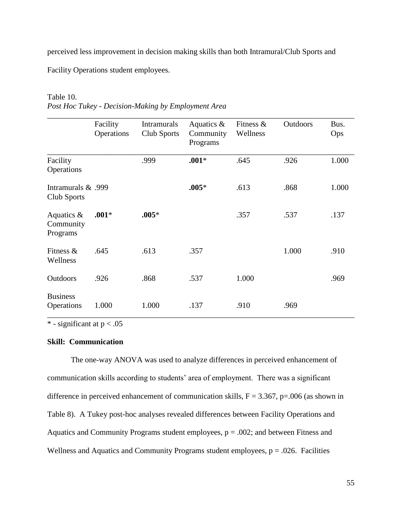perceived less improvement in decision making skills than both Intramural/Club Sports and

Facility Operations student employees.

## Table 10.

|                                        | Facility<br>Operations | <b>Intramurals</b><br>Club Sports | Aquatics $\&$<br>Community<br>Programs | Fitness $\&$<br>Wellness | <b>Outdoors</b> | Bus.<br>Ops |
|----------------------------------------|------------------------|-----------------------------------|----------------------------------------|--------------------------|-----------------|-------------|
| Facility<br>Operations                 |                        | .999                              | $.001*$                                | .645                     | .926            | 1.000       |
| 1999. Intramurals &<br>Club Sports     |                        |                                   | $.005*$                                | .613                     | .868            | 1.000       |
| Aquatics $\&$<br>Community<br>Programs | $.001*$                | $.005*$                           |                                        | .357                     | .537            | .137        |
| Fitness $\&$<br>Wellness               | .645                   | .613                              | .357                                   |                          | 1.000           | .910        |
| <b>Outdoors</b>                        | .926                   | .868                              | .537                                   | 1.000                    |                 | .969        |
| <b>Business</b><br>Operations          | 1.000                  | 1.000                             | .137                                   | .910                     | .969            |             |

\* - significant at  $p < .05$ 

## **Skill: Communication**

The one-way ANOVA was used to analyze differences in perceived enhancement of communication skills according to students' area of employment. There was a significant difference in perceived enhancement of communication skills,  $F = 3.367$ ,  $p = .006$  (as shown in Table 8). A Tukey post-hoc analyses revealed differences between Facility Operations and Aquatics and Community Programs student employees,  $p = .002$ ; and between Fitness and Wellness and Aquatics and Community Programs student employees,  $p = .026$ . Facilities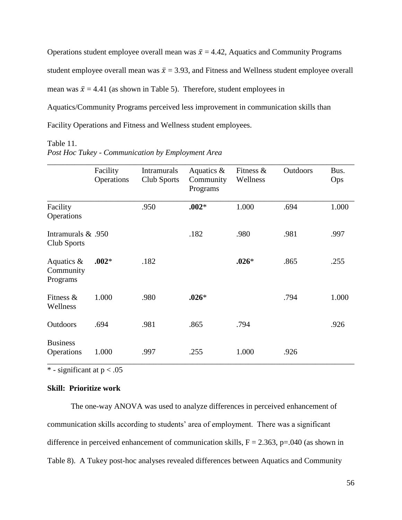Operations student employee overall mean was  $\bar{x} = 4.42$ , Aquatics and Community Programs student employee overall mean was  $\bar{x} = 3.93$ , and Fitness and Wellness student employee overall mean was  $\bar{x} = 4.41$  (as shown in Table 5). Therefore, student employees in Aquatics/Community Programs perceived less improvement in communication skills than Facility Operations and Fitness and Wellness student employees.

#### Table 11.

|                                        | Facility<br>Operations | <b>Intramurals</b><br>Club Sports | Aquatics $\&$<br>Community<br>Programs | Fitness $\&$<br>Wellness | Outdoors | Bus.<br>Ops |
|----------------------------------------|------------------------|-----------------------------------|----------------------------------------|--------------------------|----------|-------------|
| Facility<br>Operations                 |                        | .950                              | $.002*$                                | 1.000                    | .694     | 1.000       |
| Intramurals $& .950$<br>Club Sports    |                        |                                   | .182                                   | .980                     | .981     | .997        |
| Aquatics $\&$<br>Community<br>Programs | $.002*$                | .182                              |                                        | $.026*$                  | .865     | .255        |
| Fitness $\&$<br>Wellness               | 1.000                  | .980                              | $.026*$                                |                          | .794     | 1.000       |
| Outdoors                               | .694                   | .981                              | .865                                   | .794                     |          | .926        |
| <b>Business</b><br>Operations          | 1.000                  | .997                              | .255                                   | 1.000                    | .926     |             |

*Post Hoc Tukey - Communication by Employment Area*

 $*$  - significant at  $p < .05$ 

## **Skill: Prioritize work**

The one-way ANOVA was used to analyze differences in perceived enhancement of communication skills according to students' area of employment. There was a significant difference in perceived enhancement of communication skills,  $F = 2.363$ ,  $p = .040$  (as shown in Table 8). A Tukey post-hoc analyses revealed differences between Aquatics and Community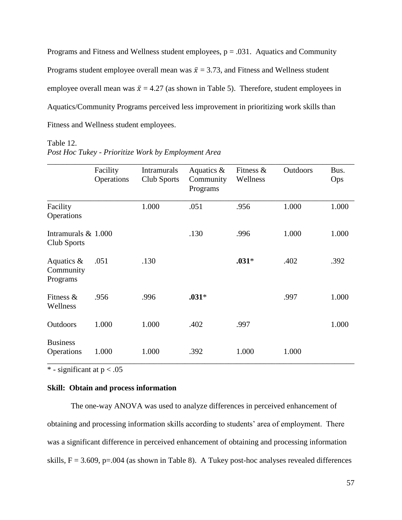Programs and Fitness and Wellness student employees,  $p = .031$ . Aquatics and Community Programs student employee overall mean was  $\bar{x} = 3.73$ , and Fitness and Wellness student employee overall mean was  $\bar{x} = 4.27$  (as shown in Table 5). Therefore, student employees in Aquatics/Community Programs perceived less improvement in prioritizing work skills than Fitness and Wellness student employees.

#### Table 12.

|                                        | Facility<br>Operations | <b>Intramurals</b><br>Club Sports | Aquatics $\&$<br>Community<br>Programs | Fitness $\&$<br>Wellness | Outdoors | Bus.<br>Ops |
|----------------------------------------|------------------------|-----------------------------------|----------------------------------------|--------------------------|----------|-------------|
| Facility<br>Operations                 |                        | 1.000                             | .051                                   | .956                     | 1.000    | 1.000       |
| Intramurals $& 1.000$<br>Club Sports   |                        |                                   | .130                                   | .996                     | 1.000    | 1.000       |
| Aquatics $\&$<br>Community<br>Programs | .051                   | .130                              |                                        | $.031*$                  | .402     | .392        |
| Fitness &<br>Wellness                  | .956                   | .996                              | $.031*$                                |                          | .997     | 1.000       |
| Outdoors                               | 1.000                  | 1.000                             | .402                                   | .997                     |          | 1.000       |
| <b>Business</b><br>Operations          | 1.000                  | 1.000                             | .392                                   | 1.000                    | 1.000    |             |

*Post Hoc Tukey - Prioritize Work by Employment Area*

 $*$  - significant at  $p < .05$ 

## **Skill: Obtain and process information**

The one-way ANOVA was used to analyze differences in perceived enhancement of obtaining and processing information skills according to students' area of employment. There was a significant difference in perceived enhancement of obtaining and processing information skills,  $F = 3.609$ , p=.004 (as shown in Table 8). A Tukey post-hoc analyses revealed differences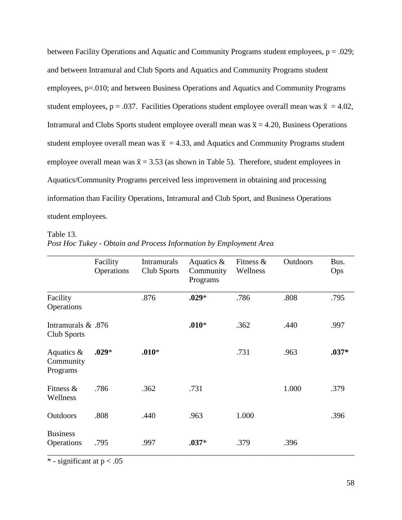between Facility Operations and Aquatic and Community Programs student employees,  $p = .029$ ; and between Intramural and Club Sports and Aquatics and Community Programs student employees, p=.010; and between Business Operations and Aquatics and Community Programs student employees, p = .037. Facilities Operations student employee overall mean was  $\bar{x} = 4.02$ , Intramural and Clubs Sports student employee overall mean was  $\bar{x} = 4.20$ , Business Operations student employee overall mean was  $\bar{x} = 4.33$ , and Aquatics and Community Programs student employee overall mean was  $\bar{x} = 3.53$  (as shown in Table 5). Therefore, student employees in Aquatics/Community Programs perceived less improvement in obtaining and processing information than Facility Operations, Intramural and Club Sport, and Business Operations student employees.

## Table 13. *Post Hoc Tukey - Obtain and Process Information by Employment Area*

|                                        | Facility<br>Operations | <b>Intramurals</b><br>Club Sports | Aquatics $\&$<br>Community<br>Programs | Fitness $\&$<br>Wellness | Outdoors | Bus.<br>Ops |
|----------------------------------------|------------------------|-----------------------------------|----------------------------------------|--------------------------|----------|-------------|
| Facility<br>Operations                 |                        | .876                              | $.029*$                                | .786                     | .808     | .795        |
| Intramurals & .876<br>Club Sports      |                        |                                   | $.010*$                                | .362                     | .440     | .997        |
| Aquatics $\&$<br>Community<br>Programs | $.029*$                | $.010*$                           |                                        | .731                     | .963     | $.037*$     |
| Fitness $\&$<br>Wellness               | .786                   | .362                              | .731                                   |                          | 1.000    | .379        |
| Outdoors                               | .808                   | .440                              | .963                                   | 1.000                    |          | .396        |
| <b>Business</b><br>Operations          | .795                   | .997                              | $.037*$                                | .379                     | .396     |             |

 $*$  - significant at  $p < .05$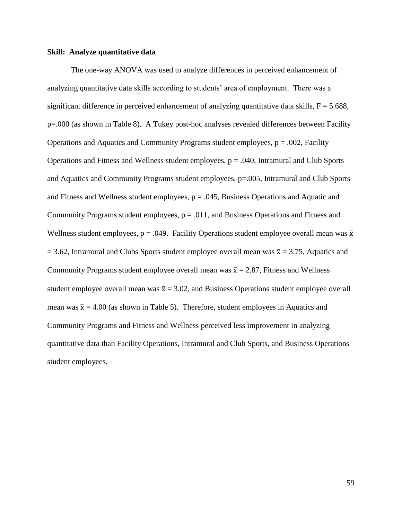### **Skill: Analyze quantitative data**

The one-way ANOVA was used to analyze differences in perceived enhancement of analyzing quantitative data skills according to students' area of employment. There was a significant difference in perceived enhancement of analyzing quantitative data skills,  $F = 5.688$ , p=.000 (as shown in Table 8). A Tukey post-hoc analyses revealed differences between Facility Operations and Aquatics and Community Programs student employees,  $p = .002$ , Facility Operations and Fitness and Wellness student employees,  $p = .040$ , Intramural and Club Sports and Aquatics and Community Programs student employees, p=.005, Intramural and Club Sports and Fitness and Wellness student employees,  $p = .045$ , Business Operations and Aquatic and Community Programs student employees,  $p = .011$ , and Business Operations and Fitness and Wellness student employees,  $p = .049$ . Facility Operations student employee overall mean was  $\bar{x}$  $= 3.62$ , Intramural and Clubs Sports student employee overall mean was  $\bar{x} = 3.75$ , Aquatics and Community Programs student employee overall mean was  $\bar{x} = 2.87$ , Fitness and Wellness student employee overall mean was  $\bar{x} = 3.02$ , and Business Operations student employee overall mean was  $\bar{x} = 4.00$  (as shown in Table 5). Therefore, student employees in Aquatics and Community Programs and Fitness and Wellness perceived less improvement in analyzing quantitative data than Facility Operations, Intramural and Club Sports, and Business Operations student employees.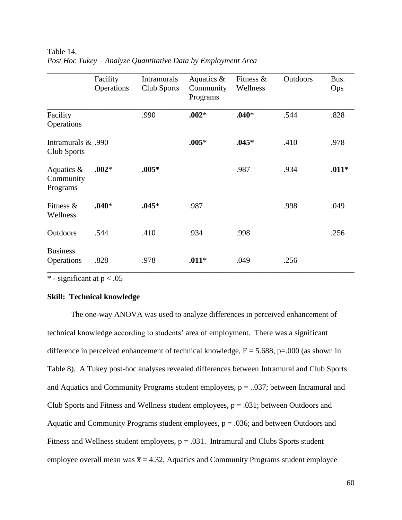|                                        | Facility<br>Operations | <b>Intramurals</b><br>Club Sports | Aquatics $\&$<br>Community<br>Programs | Fitness $\&$<br>Wellness | Outdoors | Bus.<br>Ops |
|----------------------------------------|------------------------|-----------------------------------|----------------------------------------|--------------------------|----------|-------------|
| Facility<br>Operations                 |                        | .990                              | $.002*$                                | $.040*$                  | .544     | .828        |
| 1990. Intramurals &<br>Club Sports     |                        |                                   | $.005*$                                | $.045*$                  | .410     | .978        |
| Aquatics $\&$<br>Community<br>Programs | $.002*$                | $.005*$                           |                                        | .987                     | .934     | $.011*$     |
| Fitness $\&$<br>Wellness               | $.040*$                | $.045*$                           | .987                                   |                          | .998     | .049        |
| Outdoors                               | .544                   | .410                              | .934                                   | .998                     |          | .256        |
| <b>Business</b><br>Operations          | .828                   | .978                              | $.011*$                                | .049                     | .256     |             |

Table 14. *Post Hoc Tukey – Analyze Quantitative Data by Employment Area*

 $*$  - significant at  $p < .05$ 

## **Skill: Technical knowledge**

The one-way ANOVA was used to analyze differences in perceived enhancement of technical knowledge according to students' area of employment. There was a significant difference in perceived enhancement of technical knowledge,  $F = 5.688$ ,  $p = .000$  (as shown in Table 8). A Tukey post-hoc analyses revealed differences between Intramural and Club Sports and Aquatics and Community Programs student employees,  $p = 0.037$ ; between Intramural and Club Sports and Fitness and Wellness student employees,  $p = .031$ ; between Outdoors and Aquatic and Community Programs student employees,  $p = .036$ ; and between Outdoors and Fitness and Wellness student employees,  $p = .031$ . Intramural and Clubs Sports student employee overall mean was  $\bar{x} = 4.32$ , Aquatics and Community Programs student employee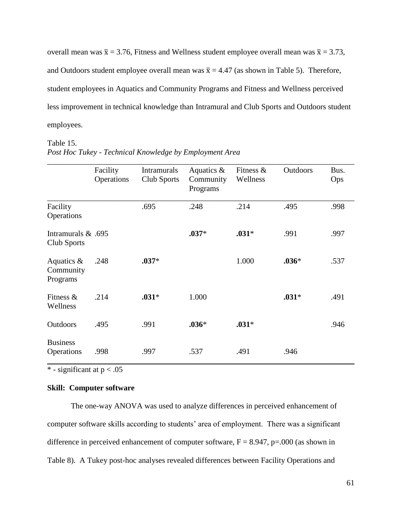overall mean was  $\bar{x} = 3.76$ , Fitness and Wellness student employee overall mean was  $\bar{x} = 3.73$ , and Outdoors student employee overall mean was  $\bar{x} = 4.47$  (as shown in Table 5). Therefore, student employees in Aquatics and Community Programs and Fitness and Wellness perceived less improvement in technical knowledge than Intramural and Club Sports and Outdoors student employees.

#### Table 15.

|                                        | Facility<br>Operations | <b>Intramurals</b><br>Club Sports | Aquatics $\&$<br>Community<br>Programs | Fitness $\&$<br>Wellness | Outdoors | Bus.<br>Ops |
|----------------------------------------|------------------------|-----------------------------------|----------------------------------------|--------------------------|----------|-------------|
| Facility<br>Operations                 |                        | .695                              | .248                                   | .214                     | .495     | .998        |
| Intramurals & .695<br>Club Sports      |                        |                                   | $.037*$                                | $.031*$                  | .991     | .997        |
| Aquatics $\&$<br>Community<br>Programs | .248                   | $.037*$                           |                                        | 1.000                    | $.036*$  | .537        |
| Fitness $\&$<br>Wellness               | .214                   | $.031*$                           | 1.000                                  |                          | $.031*$  | .491        |
| Outdoors                               | .495                   | .991                              | $.036*$                                | $.031*$                  |          | .946        |
| <b>Business</b><br>Operations          | .998                   | .997                              | .537                                   | .491                     | .946     |             |

*Post Hoc Tukey - Technical Knowledge by Employment Area*

 $*$  - significant at  $p < .05$ 

## **Skill: Computer software**

The one-way ANOVA was used to analyze differences in perceived enhancement of computer software skills according to students' area of employment. There was a significant difference in perceived enhancement of computer software,  $F = 8.947$ , p=.000 (as shown in Table 8). A Tukey post-hoc analyses revealed differences between Facility Operations and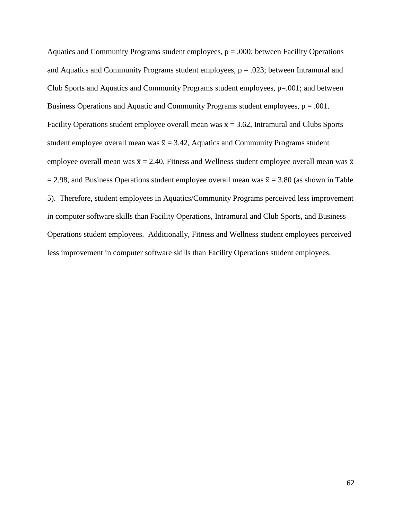Aquatics and Community Programs student employees,  $p = .000$ ; between Facility Operations and Aquatics and Community Programs student employees,  $p = .023$ ; between Intramural and Club Sports and Aquatics and Community Programs student employees, p=.001; and between Business Operations and Aquatic and Community Programs student employees, p = .001. Facility Operations student employee overall mean was  $\bar{x} = 3.62$ , Intramural and Clubs Sports student employee overall mean was  $\bar{x} = 3.42$ , Aquatics and Community Programs student employee overall mean was  $\bar{x} = 2.40$ , Fitness and Wellness student employee overall mean was  $\bar{x}$  $= 2.98$ , and Business Operations student employee overall mean was  $\bar{x} = 3.80$  (as shown in Table 5). Therefore, student employees in Aquatics/Community Programs perceived less improvement in computer software skills than Facility Operations, Intramural and Club Sports, and Business Operations student employees. Additionally, Fitness and Wellness student employees perceived less improvement in computer software skills than Facility Operations student employees.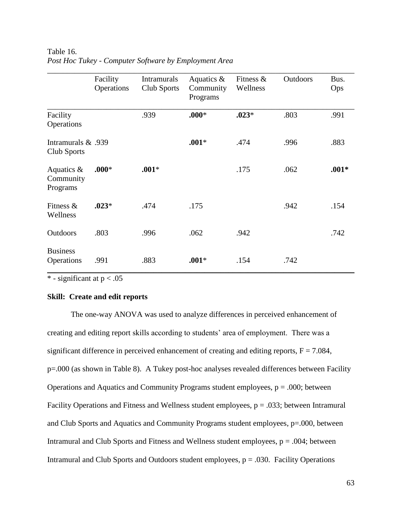|                                        | Facility<br>Operations | <b>Intramurals</b><br>Club Sports | Aquatics $\&$<br>Community<br>Programs | Fitness $\&$<br>Wellness | Outdoors | Bus.<br>Ops |
|----------------------------------------|------------------------|-----------------------------------|----------------------------------------|--------------------------|----------|-------------|
| Facility<br>Operations                 |                        | .939                              | $.000*$                                | $.023*$                  | .803     | .991        |
| 1939. Intramurals &<br>Club Sports     |                        |                                   | $.001*$                                | .474                     | .996     | .883        |
| Aquatics $\&$<br>Community<br>Programs | $.000*$                | $.001*$                           |                                        | .175                     | .062     | $.001*$     |
| Fitness $\&$<br>Wellness               | $.023*$                | .474                              | .175                                   |                          | .942     | .154        |
| Outdoors                               | .803                   | .996                              | .062                                   | .942                     |          | .742        |
| <b>Business</b><br>Operations          | .991                   | .883                              | $.001*$                                | .154                     | .742     |             |

Table 16. *Post Hoc Tukey - Computer Software by Employment Area*

 $*$  - significant at  $p < .05$ 

## **Skill: Create and edit reports**

The one-way ANOVA was used to analyze differences in perceived enhancement of creating and editing report skills according to students' area of employment. There was a significant difference in perceived enhancement of creating and editing reports,  $F = 7.084$ , p=.000 (as shown in Table 8). A Tukey post-hoc analyses revealed differences between Facility Operations and Aquatics and Community Programs student employees,  $p = .000$ ; between Facility Operations and Fitness and Wellness student employees,  $p = .033$ ; between Intramural and Club Sports and Aquatics and Community Programs student employees, p=.000, between Intramural and Club Sports and Fitness and Wellness student employees,  $p = .004$ ; between Intramural and Club Sports and Outdoors student employees,  $p = .030$ . Facility Operations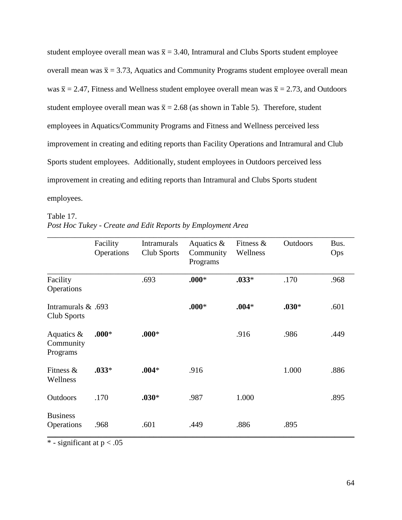student employee overall mean was  $\bar{x} = 3.40$ , Intramural and Clubs Sports student employee overall mean was  $\bar{x} = 3.73$ , Aquatics and Community Programs student employee overall mean was  $\bar{x} = 2.47$ , Fitness and Wellness student employee overall mean was  $\bar{x} = 2.73$ , and Outdoors student employee overall mean was  $\bar{x} = 2.68$  (as shown in Table 5). Therefore, student employees in Aquatics/Community Programs and Fitness and Wellness perceived less improvement in creating and editing reports than Facility Operations and Intramural and Club Sports student employees. Additionally, student employees in Outdoors perceived less improvement in creating and editing reports than Intramural and Clubs Sports student employees.

Table 17.

|                                        | Facility<br>Operations | <b>Intramurals</b><br>Club Sports | Aquatics $\&$<br>Community<br>Programs | Fitness $\&$<br>Wellness | Outdoors | Bus.<br>Ops |
|----------------------------------------|------------------------|-----------------------------------|----------------------------------------|--------------------------|----------|-------------|
| Facility<br>Operations                 |                        | .693                              | $.000*$                                | $.033*$                  | .170     | .968        |
| 1693. Intramurals &<br>Club Sports     |                        |                                   | $.000*$                                | $.004*$                  | $.030*$  | .601        |
| Aquatics $\&$<br>Community<br>Programs | $.000*$                | $.000*$                           |                                        | .916                     | .986     | .449        |
| Fitness &<br>Wellness                  | $.033*$                | $.004*$                           | .916                                   |                          | 1.000    | .886        |
| <b>Outdoors</b>                        | .170                   | $.030*$                           | .987                                   | 1.000                    |          | .895        |
| <b>Business</b><br>Operations          | .968                   | .601                              | .449                                   | .886                     | .895     |             |

 $\overline{\ast}$  - significant at  $p < .05$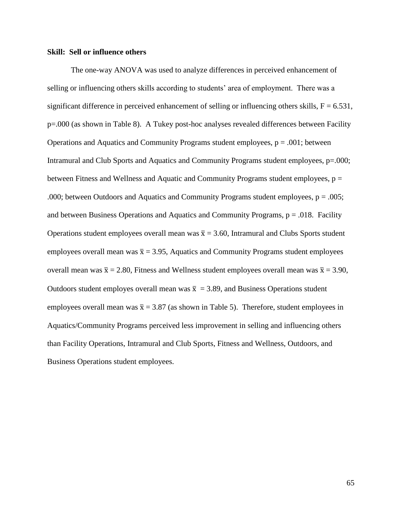### **Skill: Sell or influence others**

The one-way ANOVA was used to analyze differences in perceived enhancement of selling or influencing others skills according to students' area of employment. There was a significant difference in perceived enhancement of selling or influencing others skills,  $F = 6.531$ , p=.000 (as shown in Table 8). A Tukey post-hoc analyses revealed differences between Facility Operations and Aquatics and Community Programs student employees,  $p = .001$ ; between Intramural and Club Sports and Aquatics and Community Programs student employees, p=.000; between Fitness and Wellness and Aquatic and Community Programs student employees,  $p =$ .000; between Outdoors and Aquatics and Community Programs student employees,  $p = .005$ ; and between Business Operations and Aquatics and Community Programs,  $p = .018$ . Facility Operations student employees overall mean was  $\bar{x} = 3.60$ , Intramural and Clubs Sports student employees overall mean was  $\bar{x} = 3.95$ , Aquatics and Community Programs student employees overall mean was  $\bar{x} = 2.80$ , Fitness and Wellness student employees overall mean was  $\bar{x} = 3.90$ , Outdoors student employes overall mean was  $\bar{x} = 3.89$ , and Business Operations student employees overall mean was  $\bar{x} = 3.87$  (as shown in Table 5). Therefore, student employees in Aquatics/Community Programs perceived less improvement in selling and influencing others than Facility Operations, Intramural and Club Sports, Fitness and Wellness, Outdoors, and Business Operations student employees.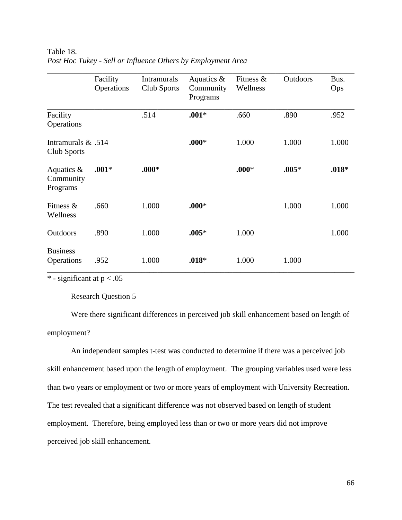|                                        | Facility<br>Operations | <b>Intramurals</b><br>Club Sports | Aquatics $\&$<br>Community<br>Programs | Fitness $\&$<br>Wellness | <b>Outdoors</b> | Bus.<br>Ops |
|----------------------------------------|------------------------|-----------------------------------|----------------------------------------|--------------------------|-----------------|-------------|
| Facility<br>Operations                 |                        | .514                              | $.001*$                                | .660                     | .890            | .952        |
| Intramurals $& .514$<br>Club Sports    |                        |                                   | $.000*$                                | 1.000                    | 1.000           | 1.000       |
| Aquatics $\&$<br>Community<br>Programs | $.001*$                | $.000*$                           |                                        | $.000*$                  | $.005*$         | $.018*$     |
| Fitness $\&$<br>Wellness               | .660                   | 1.000                             | $.000*$                                |                          | 1.000           | 1.000       |
| Outdoors                               | .890                   | 1.000                             | $.005*$                                | 1.000                    |                 | 1.000       |
| <b>Business</b><br>Operations          | .952                   | 1.000                             | $.018*$                                | 1.000                    | 1.000           |             |

Table 18. *Post Hoc Tukey - Sell or Influence Others by Employment Area*

 $*$  - significant at  $p < .05$ 

## Research Question 5

Were there significant differences in perceived job skill enhancement based on length of employment?

An independent samples t-test was conducted to determine if there was a perceived job skill enhancement based upon the length of employment. The grouping variables used were less than two years or employment or two or more years of employment with University Recreation. The test revealed that a significant difference was not observed based on length of student employment. Therefore, being employed less than or two or more years did not improve perceived job skill enhancement.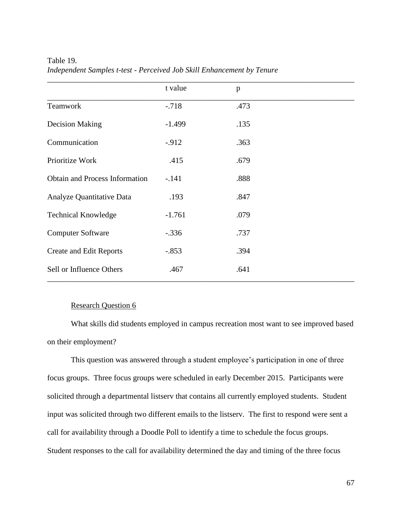|                                       | t value  | p    |
|---------------------------------------|----------|------|
| Teamwork                              | $-.718$  | .473 |
| <b>Decision Making</b>                | $-1.499$ | .135 |
| Communication                         | $-.912$  | .363 |
| Prioritize Work                       | .415     | .679 |
| <b>Obtain and Process Information</b> | $-.141$  | .888 |
| Analyze Quantitative Data             | .193     | .847 |
| <b>Technical Knowledge</b>            | $-1.761$ | .079 |
| <b>Computer Software</b>              | $-.336$  | .737 |
| <b>Create and Edit Reports</b>        | $-.853$  | .394 |
| Sell or Influence Others              | .467     | .641 |

Table 19. *Independent Samples t-test - Perceived Job Skill Enhancement by Tenure*

### Research Question 6

What skills did students employed in campus recreation most want to see improved based on their employment?

This question was answered through a student employee's participation in one of three focus groups. Three focus groups were scheduled in early December 2015. Participants were solicited through a departmental listserv that contains all currently employed students. Student input was solicited through two different emails to the listserv. The first to respond were sent a call for availability through a Doodle Poll to identify a time to schedule the focus groups. Student responses to the call for availability determined the day and timing of the three focus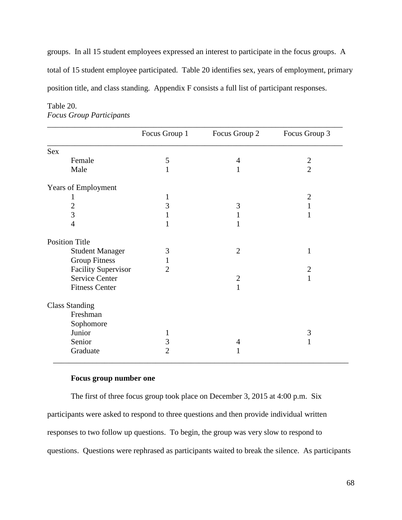groups. In all 15 student employees expressed an interest to participate in the focus groups. A total of 15 student employee participated. Table 20 identifies sex, years of employment, primary position title, and class standing. Appendix F consists a full list of participant responses.

|                            | Focus Group 1  | Focus Group 2  | Focus Group 3  |
|----------------------------|----------------|----------------|----------------|
| <b>Sex</b>                 |                |                |                |
| Female                     | 5              | 4              | $\mathbf{2}$   |
| Male                       | $\mathbf{1}$   | 1              | $\overline{2}$ |
| Years of Employment        |                |                |                |
| 1                          | 1              |                | $\overline{c}$ |
|                            | 3              | 3              | 1              |
| $\frac{2}{3}$              |                |                | 1              |
| $\overline{4}$             | 1              | 1              |                |
| <b>Position Title</b>      |                |                |                |
| <b>Student Manager</b>     | 3              | $\overline{2}$ | 1              |
| <b>Group Fitness</b>       | 1              |                |                |
| <b>Facility Supervisor</b> | $\overline{2}$ |                | $\mathbf{2}$   |
| <b>Service Center</b>      |                | $\overline{2}$ | $\mathbf{1}$   |
| <b>Fitness Center</b>      |                | $\mathbf{1}$   |                |
| <b>Class Standing</b>      |                |                |                |
| Freshman                   |                |                |                |
| Sophomore                  |                |                |                |
| Junior                     | 1              |                | 3              |
| Senior                     | $\mathfrak{Z}$ | 4              | 1              |
| Graduate                   | $\overline{2}$ | 1              |                |

## Table 20. *Focus Group Participants*

## **Focus group number one**

The first of three focus group took place on December 3, 2015 at 4:00 p.m. Six participants were asked to respond to three questions and then provide individual written responses to two follow up questions. To begin, the group was very slow to respond to questions. Questions were rephrased as participants waited to break the silence. As participants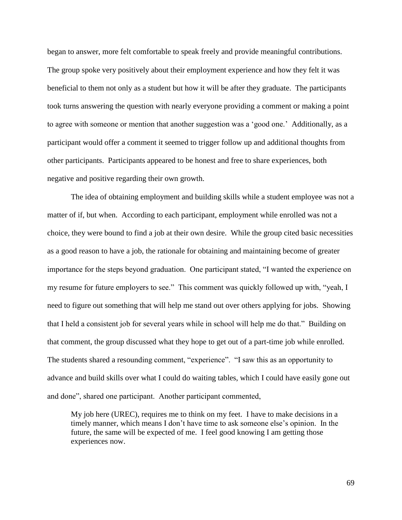began to answer, more felt comfortable to speak freely and provide meaningful contributions. The group spoke very positively about their employment experience and how they felt it was beneficial to them not only as a student but how it will be after they graduate. The participants took turns answering the question with nearly everyone providing a comment or making a point to agree with someone or mention that another suggestion was a 'good one.' Additionally, as a participant would offer a comment it seemed to trigger follow up and additional thoughts from other participants. Participants appeared to be honest and free to share experiences, both negative and positive regarding their own growth.

The idea of obtaining employment and building skills while a student employee was not a matter of if, but when. According to each participant, employment while enrolled was not a choice, they were bound to find a job at their own desire. While the group cited basic necessities as a good reason to have a job, the rationale for obtaining and maintaining become of greater importance for the steps beyond graduation. One participant stated, "I wanted the experience on my resume for future employers to see." This comment was quickly followed up with, "yeah, I need to figure out something that will help me stand out over others applying for jobs. Showing that I held a consistent job for several years while in school will help me do that." Building on that comment, the group discussed what they hope to get out of a part-time job while enrolled. The students shared a resounding comment, "experience". "I saw this as an opportunity to advance and build skills over what I could do waiting tables, which I could have easily gone out and done", shared one participant. Another participant commented,

My job here (UREC), requires me to think on my feet. I have to make decisions in a timely manner, which means I don't have time to ask someone else's opinion. In the future, the same will be expected of me. I feel good knowing I am getting those experiences now.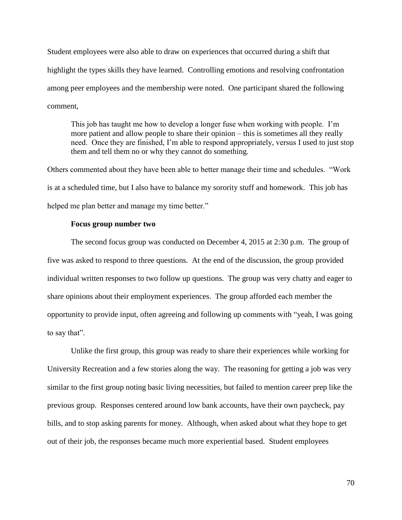Student employees were also able to draw on experiences that occurred during a shift that highlight the types skills they have learned. Controlling emotions and resolving confrontation among peer employees and the membership were noted. One participant shared the following comment,

This job has taught me how to develop a longer fuse when working with people. I'm more patient and allow people to share their opinion – this is sometimes all they really need. Once they are finished, I'm able to respond appropriately, versus I used to just stop them and tell them no or why they cannot do something.

Others commented about they have been able to better manage their time and schedules. "Work is at a scheduled time, but I also have to balance my sorority stuff and homework. This job has helped me plan better and manage my time better."

### **Focus group number two**

The second focus group was conducted on December 4, 2015 at 2:30 p.m. The group of five was asked to respond to three questions. At the end of the discussion, the group provided individual written responses to two follow up questions. The group was very chatty and eager to share opinions about their employment experiences. The group afforded each member the opportunity to provide input, often agreeing and following up comments with "yeah, I was going to say that".

Unlike the first group, this group was ready to share their experiences while working for University Recreation and a few stories along the way. The reasoning for getting a job was very similar to the first group noting basic living necessities, but failed to mention career prep like the previous group. Responses centered around low bank accounts, have their own paycheck, pay bills, and to stop asking parents for money. Although, when asked about what they hope to get out of their job, the responses became much more experiential based. Student employees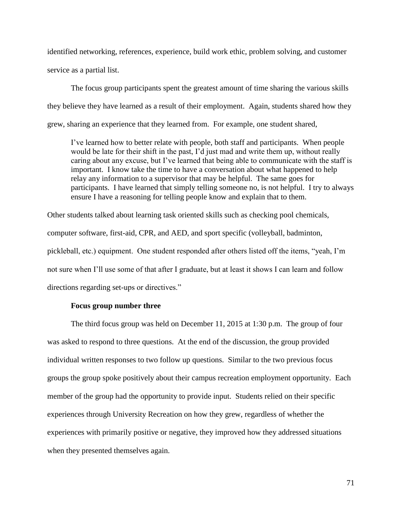identified networking, references, experience, build work ethic, problem solving, and customer service as a partial list.

The focus group participants spent the greatest amount of time sharing the various skills they believe they have learned as a result of their employment. Again, students shared how they grew, sharing an experience that they learned from. For example, one student shared,

I've learned how to better relate with people, both staff and participants. When people would be late for their shift in the past, I'd just mad and write them up, without really caring about any excuse, but I've learned that being able to communicate with the staff is important. I know take the time to have a conversation about what happened to help relay any information to a supervisor that may be helpful. The same goes for participants. I have learned that simply telling someone no, is not helpful. I try to always ensure I have a reasoning for telling people know and explain that to them.

Other students talked about learning task oriented skills such as checking pool chemicals, computer software, first-aid, CPR, and AED, and sport specific (volleyball, badminton, pickleball, etc.) equipment. One student responded after others listed off the items, "yeah, I'm not sure when I'll use some of that after I graduate, but at least it shows I can learn and follow directions regarding set-ups or directives."

### **Focus group number three**

The third focus group was held on December 11, 2015 at 1:30 p.m. The group of four was asked to respond to three questions. At the end of the discussion, the group provided individual written responses to two follow up questions. Similar to the two previous focus groups the group spoke positively about their campus recreation employment opportunity. Each member of the group had the opportunity to provide input. Students relied on their specific experiences through University Recreation on how they grew, regardless of whether the experiences with primarily positive or negative, they improved how they addressed situations when they presented themselves again.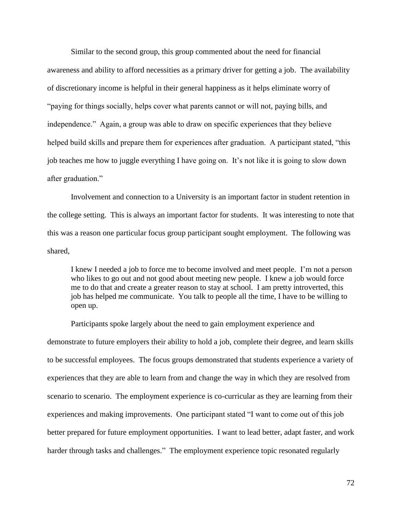Similar to the second group, this group commented about the need for financial awareness and ability to afford necessities as a primary driver for getting a job. The availability of discretionary income is helpful in their general happiness as it helps eliminate worry of "paying for things socially, helps cover what parents cannot or will not, paying bills, and independence." Again, a group was able to draw on specific experiences that they believe helped build skills and prepare them for experiences after graduation. A participant stated, "this job teaches me how to juggle everything I have going on. It's not like it is going to slow down after graduation."

Involvement and connection to a University is an important factor in student retention in the college setting. This is always an important factor for students. It was interesting to note that this was a reason one particular focus group participant sought employment. The following was shared,

I knew I needed a job to force me to become involved and meet people. I'm not a person who likes to go out and not good about meeting new people. I knew a job would force me to do that and create a greater reason to stay at school. I am pretty introverted, this job has helped me communicate. You talk to people all the time, I have to be willing to open up.

Participants spoke largely about the need to gain employment experience and demonstrate to future employers their ability to hold a job, complete their degree, and learn skills to be successful employees. The focus groups demonstrated that students experience a variety of experiences that they are able to learn from and change the way in which they are resolved from scenario to scenario. The employment experience is co-curricular as they are learning from their experiences and making improvements. One participant stated "I want to come out of this job better prepared for future employment opportunities. I want to lead better, adapt faster, and work harder through tasks and challenges." The employment experience topic resonated regularly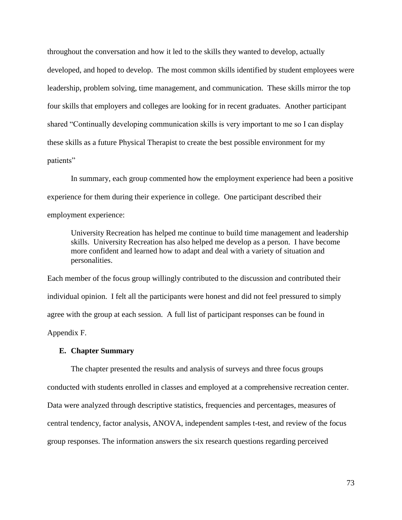throughout the conversation and how it led to the skills they wanted to develop, actually developed, and hoped to develop. The most common skills identified by student employees were leadership, problem solving, time management, and communication. These skills mirror the top four skills that employers and colleges are looking for in recent graduates. Another participant shared "Continually developing communication skills is very important to me so I can display these skills as a future Physical Therapist to create the best possible environment for my patients"

In summary, each group commented how the employment experience had been a positive experience for them during their experience in college. One participant described their employment experience:

University Recreation has helped me continue to build time management and leadership skills. University Recreation has also helped me develop as a person. I have become more confident and learned how to adapt and deal with a variety of situation and personalities.

Each member of the focus group willingly contributed to the discussion and contributed their individual opinion. I felt all the participants were honest and did not feel pressured to simply agree with the group at each session. A full list of participant responses can be found in Appendix F.

## **E. Chapter Summary**

The chapter presented the results and analysis of surveys and three focus groups conducted with students enrolled in classes and employed at a comprehensive recreation center. Data were analyzed through descriptive statistics, frequencies and percentages, measures of central tendency, factor analysis, ANOVA, independent samples t-test, and review of the focus group responses. The information answers the six research questions regarding perceived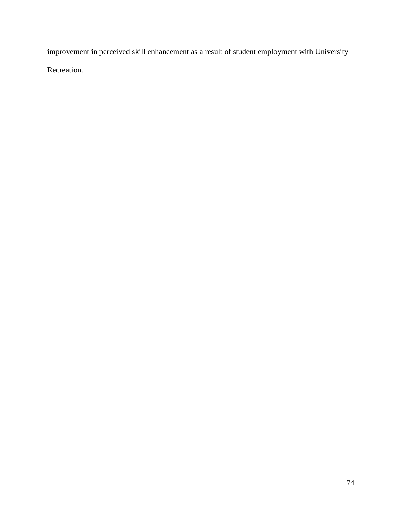improvement in perceived skill enhancement as a result of student employment with University Recreation.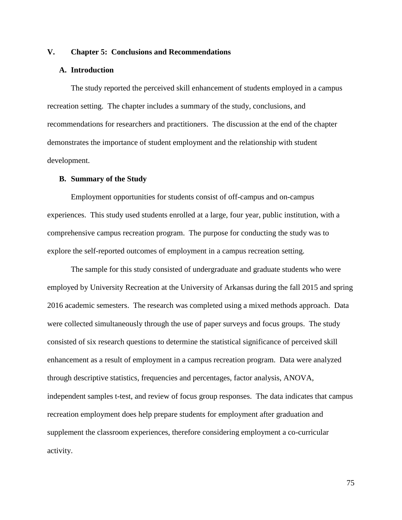## **V. Chapter 5: Conclusions and Recommendations**

### **A. Introduction**

The study reported the perceived skill enhancement of students employed in a campus recreation setting. The chapter includes a summary of the study, conclusions, and recommendations for researchers and practitioners. The discussion at the end of the chapter demonstrates the importance of student employment and the relationship with student development.

### **B. Summary of the Study**

Employment opportunities for students consist of off-campus and on-campus experiences. This study used students enrolled at a large, four year, public institution, with a comprehensive campus recreation program. The purpose for conducting the study was to explore the self-reported outcomes of employment in a campus recreation setting.

The sample for this study consisted of undergraduate and graduate students who were employed by University Recreation at the University of Arkansas during the fall 2015 and spring 2016 academic semesters. The research was completed using a mixed methods approach. Data were collected simultaneously through the use of paper surveys and focus groups. The study consisted of six research questions to determine the statistical significance of perceived skill enhancement as a result of employment in a campus recreation program. Data were analyzed through descriptive statistics, frequencies and percentages, factor analysis, ANOVA, independent samples t-test, and review of focus group responses. The data indicates that campus recreation employment does help prepare students for employment after graduation and supplement the classroom experiences, therefore considering employment a co-curricular activity.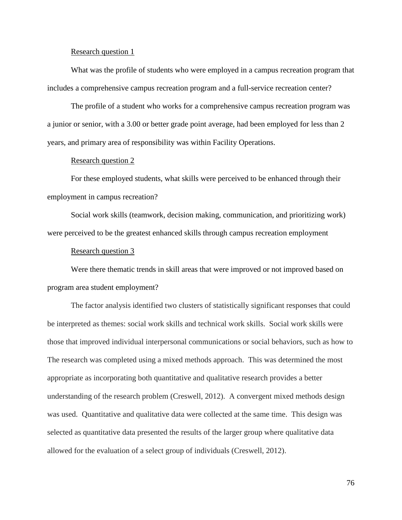#### Research question 1

What was the profile of students who were employed in a campus recreation program that includes a comprehensive campus recreation program and a full-service recreation center?

The profile of a student who works for a comprehensive campus recreation program was a junior or senior, with a 3.00 or better grade point average, had been employed for less than 2 years, and primary area of responsibility was within Facility Operations.

## Research question 2

For these employed students, what skills were perceived to be enhanced through their employment in campus recreation?

Social work skills (teamwork, decision making, communication, and prioritizing work) were perceived to be the greatest enhanced skills through campus recreation employment

#### Research question 3

Were there thematic trends in skill areas that were improved or not improved based on program area student employment?

The factor analysis identified two clusters of statistically significant responses that could be interpreted as themes: social work skills and technical work skills. Social work skills were those that improved individual interpersonal communications or social behaviors, such as how to The research was completed using a mixed methods approach. This was determined the most appropriate as incorporating both quantitative and qualitative research provides a better understanding of the research problem (Creswell, 2012). A convergent mixed methods design was used. Quantitative and qualitative data were collected at the same time. This design was selected as quantitative data presented the results of the larger group where qualitative data allowed for the evaluation of a select group of individuals (Creswell, 2012).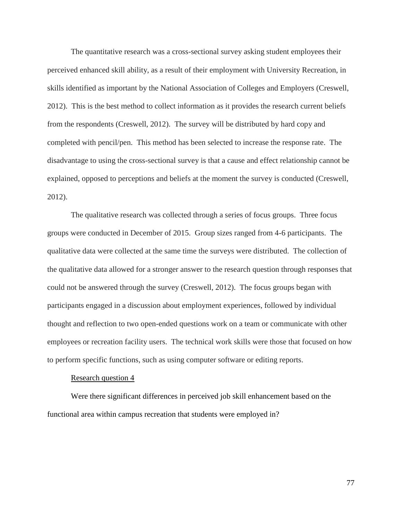The quantitative research was a cross-sectional survey asking student employees their perceived enhanced skill ability, as a result of their employment with University Recreation, in skills identified as important by the National Association of Colleges and Employers (Creswell, 2012). This is the best method to collect information as it provides the research current beliefs from the respondents (Creswell, 2012). The survey will be distributed by hard copy and completed with pencil/pen. This method has been selected to increase the response rate. The disadvantage to using the cross-sectional survey is that a cause and effect relationship cannot be explained, opposed to perceptions and beliefs at the moment the survey is conducted (Creswell, 2012).

The qualitative research was collected through a series of focus groups. Three focus groups were conducted in December of 2015. Group sizes ranged from 4-6 participants. The qualitative data were collected at the same time the surveys were distributed. The collection of the qualitative data allowed for a stronger answer to the research question through responses that could not be answered through the survey (Creswell, 2012). The focus groups began with participants engaged in a discussion about employment experiences, followed by individual thought and reflection to two open-ended questions work on a team or communicate with other employees or recreation facility users. The technical work skills were those that focused on how to perform specific functions, such as using computer software or editing reports.

### Research question 4

Were there significant differences in perceived job skill enhancement based on the functional area within campus recreation that students were employed in?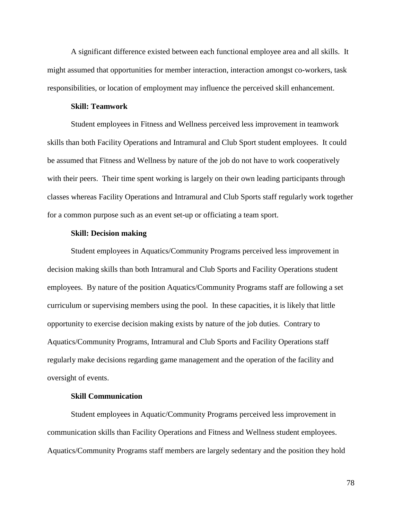A significant difference existed between each functional employee area and all skills. It might assumed that opportunities for member interaction, interaction amongst co-workers, task responsibilities, or location of employment may influence the perceived skill enhancement.

### **Skill: Teamwork**

Student employees in Fitness and Wellness perceived less improvement in teamwork skills than both Facility Operations and Intramural and Club Sport student employees. It could be assumed that Fitness and Wellness by nature of the job do not have to work cooperatively with their peers. Their time spent working is largely on their own leading participants through classes whereas Facility Operations and Intramural and Club Sports staff regularly work together for a common purpose such as an event set-up or officiating a team sport.

## **Skill: Decision making**

Student employees in Aquatics/Community Programs perceived less improvement in decision making skills than both Intramural and Club Sports and Facility Operations student employees. By nature of the position Aquatics/Community Programs staff are following a set curriculum or supervising members using the pool. In these capacities, it is likely that little opportunity to exercise decision making exists by nature of the job duties. Contrary to Aquatics/Community Programs, Intramural and Club Sports and Facility Operations staff regularly make decisions regarding game management and the operation of the facility and oversight of events.

## **Skill Communication**

Student employees in Aquatic/Community Programs perceived less improvement in communication skills than Facility Operations and Fitness and Wellness student employees. Aquatics/Community Programs staff members are largely sedentary and the position they hold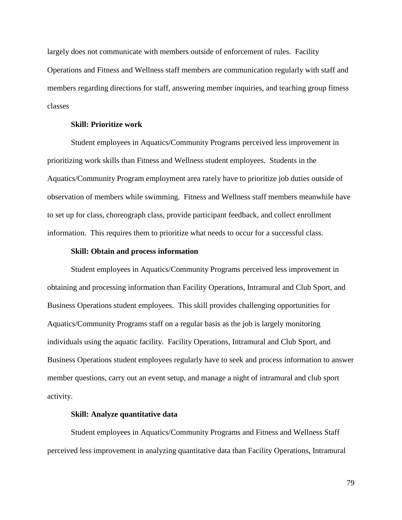largely does not communicate with members outside of enforcement of rules. Facility Operations and Fitness and Wellness staff members are communication regularly with staff and members regarding directions for staff, answering member inquiries, and teaching group fitness classes

### **Skill: Prioritize work**

Student employees in Aquatics/Community Programs perceived less improvement in prioritizing work skills than Fitness and Wellness student employees. Students in the Aquatics/Community Program employment area rarely have to prioritize job duties outside of observation of members while swimming. Fitness and Wellness staff members meanwhile have to set up for class, choreograph class, provide participant feedback, and collect enrollment information. This requires them to prioritize what needs to occur for a successful class.

### **Skill: Obtain and process information**

Student employees in Aquatics/Community Programs perceived less improvement in obtaining and processing information than Facility Operations, Intramural and Club Sport, and Business Operations student employees. This skill provides challenging opportunities for Aquatics/Community Programs staff on a regular basis as the job is largely monitoring individuals using the aquatic facility. Facility Operations, Intramural and Club Sport, and Business Operations student employees regularly have to seek and process information to answer member questions, carry out an event setup, and manage a night of intramural and club sport activity.

#### **Skill: Analyze quantitative data**

Student employees in Aquatics/Community Programs and Fitness and Wellness Staff perceived less improvement in analyzing quantitative data than Facility Operations, Intramural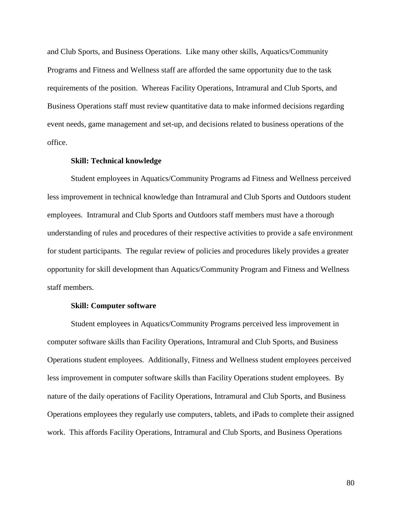and Club Sports, and Business Operations. Like many other skills, Aquatics/Community Programs and Fitness and Wellness staff are afforded the same opportunity due to the task requirements of the position. Whereas Facility Operations, Intramural and Club Sports, and Business Operations staff must review quantitative data to make informed decisions regarding event needs, game management and set-up, and decisions related to business operations of the office.

### **Skill: Technical knowledge**

Student employees in Aquatics/Community Programs ad Fitness and Wellness perceived less improvement in technical knowledge than Intramural and Club Sports and Outdoors student employees. Intramural and Club Sports and Outdoors staff members must have a thorough understanding of rules and procedures of their respective activities to provide a safe environment for student participants. The regular review of policies and procedures likely provides a greater opportunity for skill development than Aquatics/Community Program and Fitness and Wellness staff members.

#### **Skill: Computer software**

Student employees in Aquatics/Community Programs perceived less improvement in computer software skills than Facility Operations, Intramural and Club Sports, and Business Operations student employees. Additionally, Fitness and Wellness student employees perceived less improvement in computer software skills than Facility Operations student employees. By nature of the daily operations of Facility Operations, Intramural and Club Sports, and Business Operations employees they regularly use computers, tablets, and iPads to complete their assigned work. This affords Facility Operations, Intramural and Club Sports, and Business Operations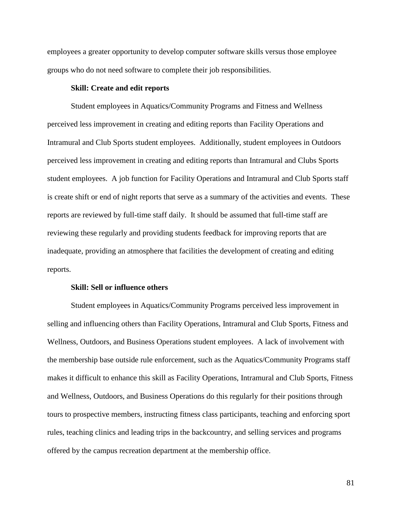employees a greater opportunity to develop computer software skills versus those employee groups who do not need software to complete their job responsibilities.

## **Skill: Create and edit reports**

Student employees in Aquatics/Community Programs and Fitness and Wellness perceived less improvement in creating and editing reports than Facility Operations and Intramural and Club Sports student employees. Additionally, student employees in Outdoors perceived less improvement in creating and editing reports than Intramural and Clubs Sports student employees. A job function for Facility Operations and Intramural and Club Sports staff is create shift or end of night reports that serve as a summary of the activities and events. These reports are reviewed by full-time staff daily. It should be assumed that full-time staff are reviewing these regularly and providing students feedback for improving reports that are inadequate, providing an atmosphere that facilities the development of creating and editing reports.

### **Skill: Sell or influence others**

Student employees in Aquatics/Community Programs perceived less improvement in selling and influencing others than Facility Operations, Intramural and Club Sports, Fitness and Wellness, Outdoors, and Business Operations student employees. A lack of involvement with the membership base outside rule enforcement, such as the Aquatics/Community Programs staff makes it difficult to enhance this skill as Facility Operations, Intramural and Club Sports, Fitness and Wellness, Outdoors, and Business Operations do this regularly for their positions through tours to prospective members, instructing fitness class participants, teaching and enforcing sport rules, teaching clinics and leading trips in the backcountry, and selling services and programs offered by the campus recreation department at the membership office.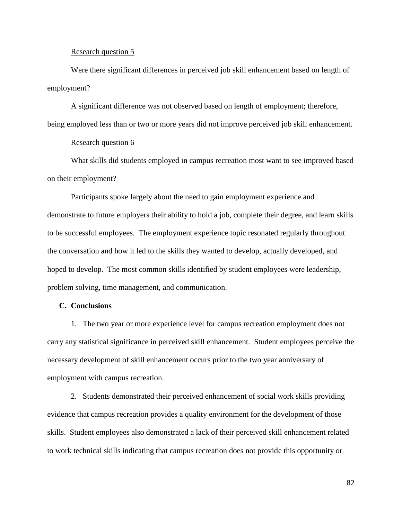#### Research question 5

Were there significant differences in perceived job skill enhancement based on length of employment?

A significant difference was not observed based on length of employment; therefore,

being employed less than or two or more years did not improve perceived job skill enhancement.

### Research question 6

What skills did students employed in campus recreation most want to see improved based on their employment?

Participants spoke largely about the need to gain employment experience and demonstrate to future employers their ability to hold a job, complete their degree, and learn skills to be successful employees. The employment experience topic resonated regularly throughout the conversation and how it led to the skills they wanted to develop, actually developed, and hoped to develop. The most common skills identified by student employees were leadership, problem solving, time management, and communication.

### **C. Conclusions**

1. The two year or more experience level for campus recreation employment does not carry any statistical significance in perceived skill enhancement. Student employees perceive the necessary development of skill enhancement occurs prior to the two year anniversary of employment with campus recreation.

2. Students demonstrated their perceived enhancement of social work skills providing evidence that campus recreation provides a quality environment for the development of those skills. Student employees also demonstrated a lack of their perceived skill enhancement related to work technical skills indicating that campus recreation does not provide this opportunity or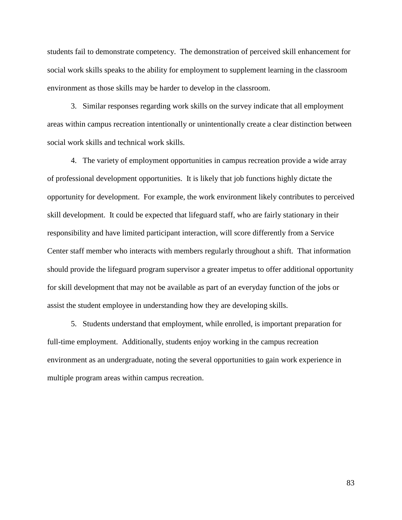students fail to demonstrate competency. The demonstration of perceived skill enhancement for social work skills speaks to the ability for employment to supplement learning in the classroom environment as those skills may be harder to develop in the classroom.

3. Similar responses regarding work skills on the survey indicate that all employment areas within campus recreation intentionally or unintentionally create a clear distinction between social work skills and technical work skills.

4. The variety of employment opportunities in campus recreation provide a wide array of professional development opportunities. It is likely that job functions highly dictate the opportunity for development. For example, the work environment likely contributes to perceived skill development. It could be expected that lifeguard staff, who are fairly stationary in their responsibility and have limited participant interaction, will score differently from a Service Center staff member who interacts with members regularly throughout a shift. That information should provide the lifeguard program supervisor a greater impetus to offer additional opportunity for skill development that may not be available as part of an everyday function of the jobs or assist the student employee in understanding how they are developing skills.

5. Students understand that employment, while enrolled, is important preparation for full-time employment. Additionally, students enjoy working in the campus recreation environment as an undergraduate, noting the several opportunities to gain work experience in multiple program areas within campus recreation.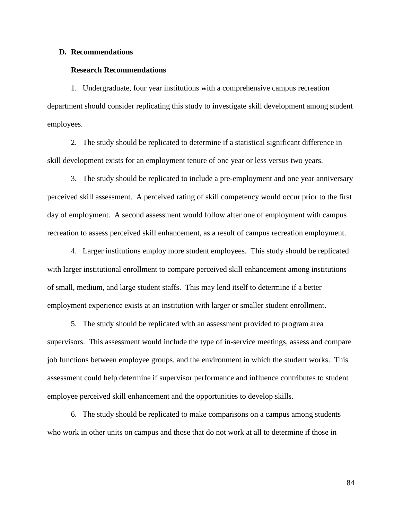#### **D. Recommendations**

### **Research Recommendations**

1. Undergraduate, four year institutions with a comprehensive campus recreation department should consider replicating this study to investigate skill development among student employees.

2. The study should be replicated to determine if a statistical significant difference in skill development exists for an employment tenure of one year or less versus two years.

3. The study should be replicated to include a pre-employment and one year anniversary perceived skill assessment. A perceived rating of skill competency would occur prior to the first day of employment. A second assessment would follow after one of employment with campus recreation to assess perceived skill enhancement, as a result of campus recreation employment.

4. Larger institutions employ more student employees. This study should be replicated with larger institutional enrollment to compare perceived skill enhancement among institutions of small, medium, and large student staffs. This may lend itself to determine if a better employment experience exists at an institution with larger or smaller student enrollment.

5. The study should be replicated with an assessment provided to program area supervisors. This assessment would include the type of in-service meetings, assess and compare job functions between employee groups, and the environment in which the student works. This assessment could help determine if supervisor performance and influence contributes to student employee perceived skill enhancement and the opportunities to develop skills.

6. The study should be replicated to make comparisons on a campus among students who work in other units on campus and those that do not work at all to determine if those in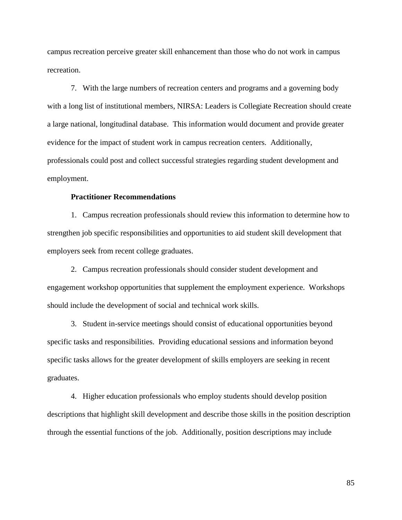campus recreation perceive greater skill enhancement than those who do not work in campus recreation.

7. With the large numbers of recreation centers and programs and a governing body with a long list of institutional members, NIRSA: Leaders is Collegiate Recreation should create a large national, longitudinal database. This information would document and provide greater evidence for the impact of student work in campus recreation centers. Additionally, professionals could post and collect successful strategies regarding student development and employment.

## **Practitioner Recommendations**

1. Campus recreation professionals should review this information to determine how to strengthen job specific responsibilities and opportunities to aid student skill development that employers seek from recent college graduates.

2. Campus recreation professionals should consider student development and engagement workshop opportunities that supplement the employment experience. Workshops should include the development of social and technical work skills.

3. Student in-service meetings should consist of educational opportunities beyond specific tasks and responsibilities. Providing educational sessions and information beyond specific tasks allows for the greater development of skills employers are seeking in recent graduates.

4. Higher education professionals who employ students should develop position descriptions that highlight skill development and describe those skills in the position description through the essential functions of the job. Additionally, position descriptions may include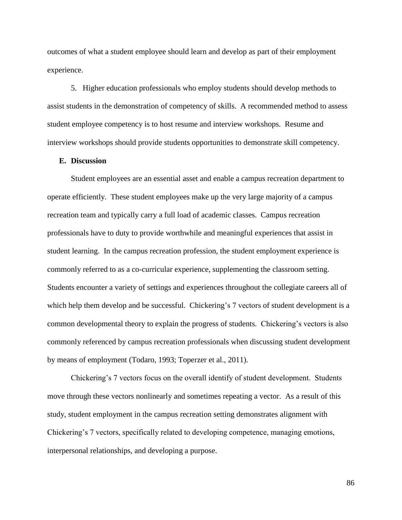outcomes of what a student employee should learn and develop as part of their employment experience.

5. Higher education professionals who employ students should develop methods to assist students in the demonstration of competency of skills. A recommended method to assess student employee competency is to host resume and interview workshops. Resume and interview workshops should provide students opportunities to demonstrate skill competency.

## **E. Discussion**

Student employees are an essential asset and enable a campus recreation department to operate efficiently. These student employees make up the very large majority of a campus recreation team and typically carry a full load of academic classes. Campus recreation professionals have to duty to provide worthwhile and meaningful experiences that assist in student learning. In the campus recreation profession, the student employment experience is commonly referred to as a co-curricular experience, supplementing the classroom setting. Students encounter a variety of settings and experiences throughout the collegiate careers all of which help them develop and be successful. Chickering's 7 vectors of student development is a common developmental theory to explain the progress of students. Chickering's vectors is also commonly referenced by campus recreation professionals when discussing student development by means of employment (Todaro, 1993; Toperzer et al., 2011).

Chickering's 7 vectors focus on the overall identify of student development. Students move through these vectors nonlinearly and sometimes repeating a vector. As a result of this study, student employment in the campus recreation setting demonstrates alignment with Chickering's 7 vectors, specifically related to developing competence, managing emotions, interpersonal relationships, and developing a purpose.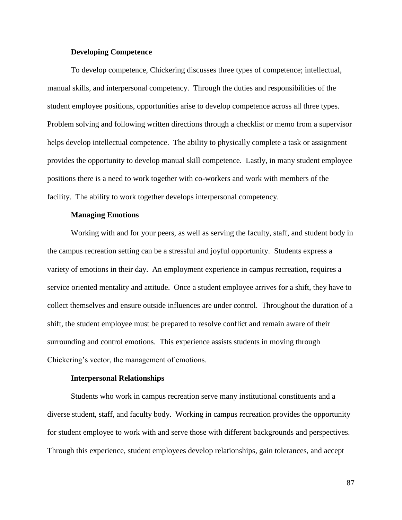## **Developing Competence**

To develop competence, Chickering discusses three types of competence; intellectual, manual skills, and interpersonal competency. Through the duties and responsibilities of the student employee positions, opportunities arise to develop competence across all three types. Problem solving and following written directions through a checklist or memo from a supervisor helps develop intellectual competence. The ability to physically complete a task or assignment provides the opportunity to develop manual skill competence. Lastly, in many student employee positions there is a need to work together with co-workers and work with members of the facility. The ability to work together develops interpersonal competency.

### **Managing Emotions**

Working with and for your peers, as well as serving the faculty, staff, and student body in the campus recreation setting can be a stressful and joyful opportunity. Students express a variety of emotions in their day. An employment experience in campus recreation, requires a service oriented mentality and attitude. Once a student employee arrives for a shift, they have to collect themselves and ensure outside influences are under control. Throughout the duration of a shift, the student employee must be prepared to resolve conflict and remain aware of their surrounding and control emotions. This experience assists students in moving through Chickering's vector, the management of emotions.

#### **Interpersonal Relationships**

Students who work in campus recreation serve many institutional constituents and a diverse student, staff, and faculty body. Working in campus recreation provides the opportunity for student employee to work with and serve those with different backgrounds and perspectives. Through this experience, student employees develop relationships, gain tolerances, and accept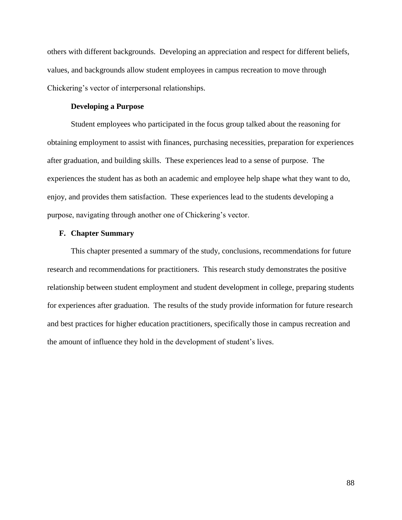others with different backgrounds. Developing an appreciation and respect for different beliefs, values, and backgrounds allow student employees in campus recreation to move through Chickering's vector of interpersonal relationships.

## **Developing a Purpose**

Student employees who participated in the focus group talked about the reasoning for obtaining employment to assist with finances, purchasing necessities, preparation for experiences after graduation, and building skills. These experiences lead to a sense of purpose. The experiences the student has as both an academic and employee help shape what they want to do, enjoy, and provides them satisfaction. These experiences lead to the students developing a purpose, navigating through another one of Chickering's vector.

## **F. Chapter Summary**

This chapter presented a summary of the study, conclusions, recommendations for future research and recommendations for practitioners. This research study demonstrates the positive relationship between student employment and student development in college, preparing students for experiences after graduation. The results of the study provide information for future research and best practices for higher education practitioners, specifically those in campus recreation and the amount of influence they hold in the development of student's lives.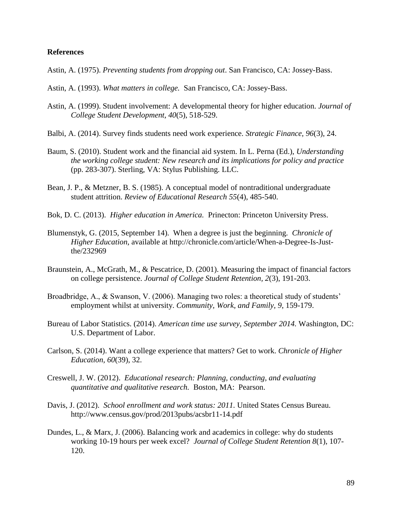## **References**

- Astin, A. (1975). *Preventing students from dropping out*. San Francisco, CA: Jossey-Bass.
- Astin, A. (1993). *What matters in college.* San Francisco, CA: Jossey-Bass.
- Astin, A. (1999). Student involvement: A developmental theory for higher education. *Journal of College Student Development, 40*(5), 518-529.
- Balbi, A. (2014). Survey finds students need work experience. *Strategic Finance, 96*(3), 24.
- Baum, S. (2010). Student work and the financial aid system. In L. Perna (Ed.), *Understanding the working college student: New research and its implications for policy and practice* (pp. 283-307). Sterling, VA: Stylus Publishing. LLC.
- Bean, J. P., & Metzner, B. S. (1985). A conceptual model of nontraditional undergraduate student attrition. *Review of Educational Research 55*(4), 485-540.
- Bok, D. C. (2013). *Higher education in America.* Prinecton: Princeton University Press.
- Blumenstyk, G. (2015, September 14). When a degree is just the beginning. *Chronicle of Higher Education*, available at http://chronicle.com/article/When-a-Degree-Is-Justthe/232969
- Braunstein, A., McGrath, M., & Pescatrice, D. (2001). Measuring the impact of financial factors on college persistence. *Journal of College Student Retention, 2*(3), 191-203.
- Broadbridge, A., & Swanson, V. (2006). Managing two roles: a theoretical study of students' employment whilst at university. *Community, Work, and Family, 9*, 159-179.
- Bureau of Labor Statistics. (2014). *American time use survey, September 2014.* Washington, DC: U.S. Department of Labor.
- Carlson, S. (2014). Want a college experience that matters? Get to work. *Chronicle of Higher Education, 60*(39), 32.
- Creswell, J. W. (2012). *Educational research: Planning, conducting, and evaluating quantitative and qualitative research.* Boston, MA: Pearson.
- Davis, J. (2012). *School enrollment and work status: 2011.* United States Census Bureau. http://www.census.gov/prod/2013pubs/acsbr11-14.pdf
- Dundes, L., & Marx, J. (2006). Balancing work and academics in college: why do students working 10-19 hours per week excel? *Journal of College Student Retention 8*(1), 107- 120.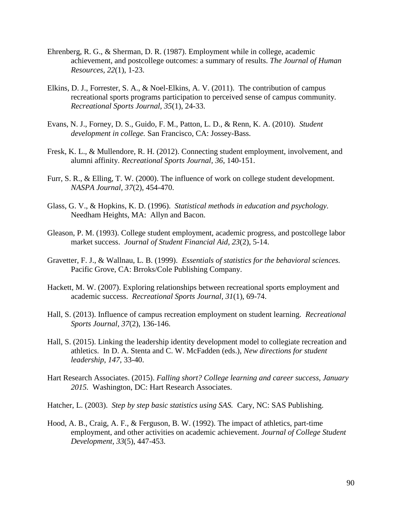- Ehrenberg, R. G., & Sherman, D. R. (1987). Employment while in college, academic achievement, and postcollege outcomes: a summary of results. *The Journal of Human Resources, 22*(1), 1-23.
- Elkins, D. J., Forrester, S. A., & Noel-Elkins, A. V. (2011). The contribution of campus recreational sports programs participation to perceived sense of campus community. *Recreational Sports Journal, 35*(1), 24-33.
- Evans, N. J., Forney, D. S., Guido, F. M., Patton, L. D., & Renn, K. A. (2010). *Student development in college.* San Francisco, CA: Jossey-Bass.
- Fresk, K. L., & Mullendore, R. H. (2012). Connecting student employment, involvement, and alumni affinity. *Recreational Sports Journal, 36*, 140-151.
- Furr, S. R., & Elling, T. W. (2000). The influence of work on college student development. *NASPA Journal, 37*(2), 454-470.
- Glass, G. V., & Hopkins, K. D. (1996). *Statistical methods in education and psychology.* Needham Heights, MA: Allyn and Bacon.
- Gleason, P. M. (1993). College student employment, academic progress, and postcollege labor market success. *Journal of Student Financial Aid, 23*(2), 5-14.
- Gravetter, F. J., & Wallnau, L. B. (1999). *Essentials of statistics for the behavioral sciences.*  Pacific Grove, CA: Brroks/Cole Publishing Company.
- Hackett, M. W. (2007). Exploring relationships between recreational sports employment and academic success. *Recreational Sports Journal, 31*(1), 69-74.
- Hall, S. (2013). Influence of campus recreation employment on student learning. *Recreational Sports Journal, 37*(2), 136-146.
- Hall, S. (2015). Linking the leadership identity development model to collegiate recreation and athletics. In D. A. Stenta and C. W. McFadden (eds.), *New directions for student leadership, 147*, 33-40.
- Hart Research Associates. (2015). *Falling short? College learning and career success, January 2015.* Washington, DC: Hart Research Associates.
- Hatcher, L. (2003). *Step by step basic statistics using SAS.* Cary, NC: SAS Publishing.
- Hood, A. B., Craig, A. F., & Ferguson, B. W. (1992). The impact of athletics, part-time employment, and other activities on academic achievement. *Journal of College Student Development, 33*(5), 447-453.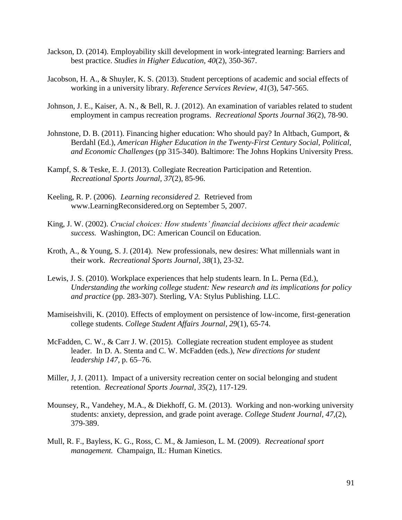- Jackson, D. (2014). Employability skill development in work-integrated learning: Barriers and best practice. *Studies in Higher Education, 40*(2), 350-367.
- Jacobson, H. A., & Shuyler, K. S. (2013). Student perceptions of academic and social effects of working in a university library. *Reference Services Review, 41*(3), 547-565.
- Johnson, J. E., Kaiser, A. N., & Bell, R. J. (2012). An examination of variables related to student employment in campus recreation programs. *Recreational Sports Journal 36*(2), 78-90.
- Johnstone, D. B. (2011). Financing higher education: Who should pay? In Altbach, Gumport, & Berdahl (Ed.), *American Higher Education in the Twenty-First Century Social, Political, and Economic Challenges* (pp 315-340). Baltimore: The Johns Hopkins University Press.
- Kampf, S. & Teske, E. J. (2013). Collegiate Recreation Participation and Retention. *Recreational Sports Journal, 37*(2), 85-96.
- Keeling, R. P. (2006). *Learning reconsidered 2.* Retrieved from [www.LearningReconsidered.org](http://www.learningreconsidered.org/) on September 5, 2007.
- King, J. W. (2002). *Crucial choices: How students' financial decisions affect their academic success.* Washington, DC: American Council on Education.
- Kroth, A., & Young, S. J. (2014). New professionals, new desires: What millennials want in their work. *Recreational Sports Journal, 38*(1), 23-32.
- Lewis, J. S. (2010). Workplace experiences that help students learn. In L. Perna (Ed.), *Understanding the working college student: New research and its implications for policy and practice* (pp. 283-307). Sterling, VA: Stylus Publishing. LLC.
- Mamiseishvili, K. (2010). Effects of employment on persistence of low-income, first-generation college students. *College Student Affairs Journal, 29*(1), 65-74.
- McFadden, C. W., & Carr J. W. (2015). Collegiate recreation student employee as student leader. In D. A. Stenta and C. W. McFadden (eds.), *New directions for student leadership 147*, p. 65–76.
- Miller, J, J. (2011). Impact of a university recreation center on social belonging and student retention. *Recreational Sports Journal, 35*(2), 117-129.
- Mounsey, R., Vandehey, M.A., & Diekhoff, G. M. (2013). Working and non-working university students: anxiety, depression, and grade point average. *College Student Journal, 47,*(2), 379-389.
- Mull, R. F., Bayless, K. G., Ross, C. M., & Jamieson, L. M. (2009). *Recreational sport management.* Champaign, IL: Human Kinetics.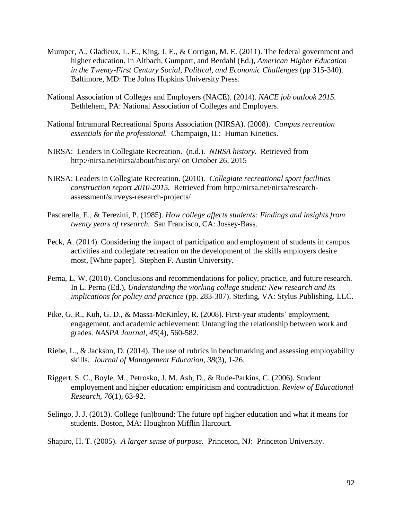- Mumper, A., Gladieux, L. E., King, J. E., & Corrigan, M. E. (2011). The federal government and higher education. In Altbach, Gumport, and Berdahl (Ed.), *American Higher Education in the Twenty-First Century Social, Political, and Economic Challenges* (pp 315-340). Baltimore, MD: The Johns Hopkins University Press.
- National Association of Colleges and Employers (NACE). (2014). *NACE job outlook 2015.* Bethlehem, PA: National Association of Colleges and Employers.
- National Intramural Recreational Sports Association (NIRSA). (2008). *Campus recreation essentials for the professional.* Champaign, IL: Human Kinetics.
- NIRSA: Leaders in Collegiate Recreation. (n.d.). *NIRSA history.* Retrieved from <http://nirsa.net/nirsa/about/history/> on October 26, 2015
- NIRSA: Leaders in Collegiate Recreation. (2010). *Collegiate recreational sport facilities construction report 2010-2015.* Retrieved from http://nirsa.net/nirsa/researchassessment/surveys-research-projects/
- Pascarella, E., & Terezini, P. (1985). *How college affects students: Findings and insights from twenty years of research.* San Francisco, CA: Jossey-Bass.
- Peck, A. (2014). Considering the impact of participation and employment of students in campus activities and collegiate recreation on the development of the skills employers desire most, [White paper]. Stephen F. Austin University.
- Perna, L. W. (2010). Conclusions and recommendations for policy, practice, and future research. In L. Perna (Ed.), *Understanding the working college student: New research and its implications for policy and practice* (pp. 283-307). Sterling, VA: Stylus Publishing. LLC.
- Pike, G. R., Kuh, G. D., & Massa-McKinley, R. (2008). First-year students' employment, engagement, and academic achievement: Untangling the relationship between work and grades. *NASPA Journal, 45*(4), 560-582.
- Riebe, L., & Jackson, D. (2014). The use of rubrics in benchmarking and assessing employability skills. *Journal of Management Education, 38*(3), 1-26.
- Riggert, S. C., Boyle, M., Petrosko, J. M. Ash, D., & Rude-Parkins, C. (2006). Student employement and higher education: empiricism and contradiction. *Review of Educational Research, 76*(1), 63-92.
- Selingo, J. J. (2013). College (un)bound: The future opf higher education and what it means for students. Boston, MA: Houghton Mifflin Harcourt.
- Shapiro, H. T. (2005). *A larger sense of purpose.* Princeton, NJ: Princeton University.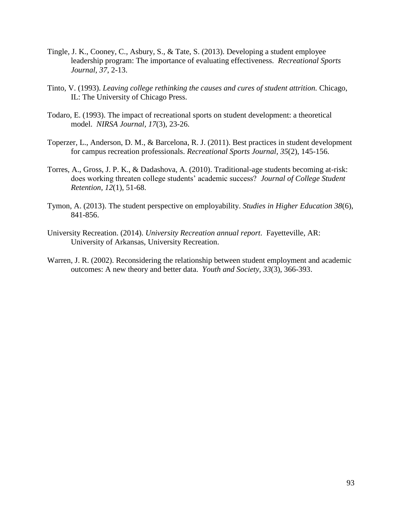- Tingle, J. K., Cooney, C., Asbury, S., & Tate, S. (2013). Developing a student employee leadership program: The importance of evaluating effectiveness. *Recreational Sports Journal, 37*, 2-13.
- Tinto, V. (1993). *Leaving college rethinking the causes and cures of student attrition.* Chicago, IL: The University of Chicago Press.
- Todaro, E. (1993). The impact of recreational sports on student development: a theoretical model. *NIRSA Journal, 17*(3), 23-26.
- Toperzer, L., Anderson, D. M., & Barcelona, R. J. (2011). Best practices in student development for campus recreation professionals. *Recreational Sports Journal, 35*(2), 145-156.
- Torres, A., Gross, J. P. K., & Dadashova, A. (2010). Traditional-age students becoming at-risk: does working threaten college students' academic success? *Journal of College Student Retention, 12*(1), 51-68.
- Tymon, A. (2013). The student perspective on employability. *Studies in Higher Education 38*(6), 841-856.
- University Recreation. (2014). *University Recreation annual report*. Fayetteville, AR: University of Arkansas, University Recreation.
- Warren, J. R. (2002). Reconsidering the relationship between student employment and academic outcomes: A new theory and better data. *Youth and Society, 33*(3), 366-393.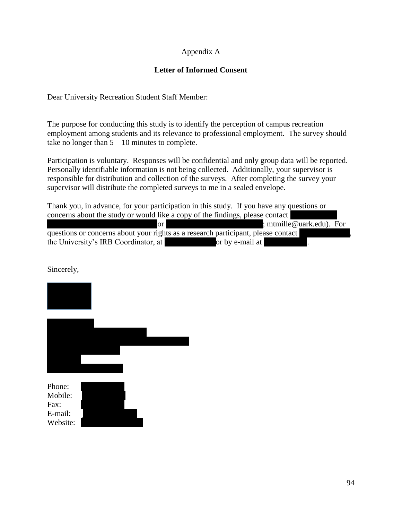# Appendix A

# **Letter of Informed Consent**

Dear University Recreation Student Staff Member:

The purpose for conducting this study is to identify the perception of campus recreation employment among students and its relevance to professional employment. The survey should take no longer than  $5 - 10$  minutes to complete.

Participation is voluntary. Responses will be confidential and only group data will be reported. Personally identifiable information is not being collected. Additionally, your supervisor is responsible for distribution and collection of the surveys. After completing the survey your supervisor will distribute the completed surveys to me in a sealed envelope.

Thank you, in advance, for your participation in this study. If you have any questions or concerns about the study or would like a copy of the findings, please contact or **Allen Michael Michael Michael Michael Michael Michael Michael Michael Michael Michael Michael Michael Mich** questions or concerns about your rights as a research participant, please contact the University's IRB Coordinator, at  $\qquad \qquad$  or by e-mail at irrat.

## Sincerely,

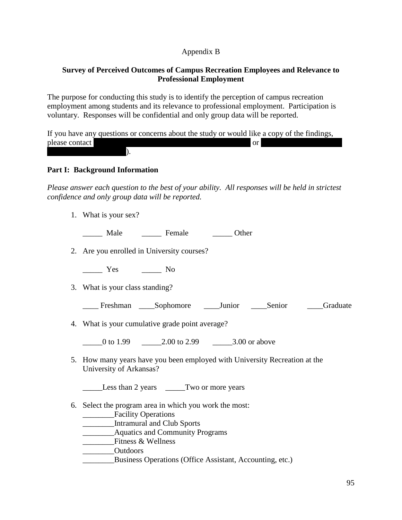## Appendix B

## **Survey of Perceived Outcomes of Campus Recreation Employees and Relevance to Professional Employment**

The purpose for conducting this study is to identify the perception of campus recreation employment among students and its relevance to professional employment. Participation is voluntary. Responses will be confidential and only group data will be reported.

If you have any questions or concerns about the study or would like a copy of the findings, please contact  $\overline{a}$  $\,$ 

## **Part I: Background Information**

*Please answer each question to the best of your ability. All responses will be held in strictest confidence and only group data will be reported.*

1. What is your sex?

\_\_\_\_\_ Male \_\_\_\_\_ Female \_\_\_\_\_ Other

2. Are you enrolled in University courses?

\_\_\_\_\_ Yes \_\_\_\_\_ No

3. What is your class standing?

\_\_\_\_ Freshman \_\_\_\_Sophomore \_\_\_\_Junior \_\_\_\_Senior \_\_\_\_Graduate

4. What is your cumulative grade point average?

0 to 1.99 **b** 2.00 to 2.99 **c** 3.00 or above

5. How many years have you been employed with University Recreation at the University of Arkansas?

Less than 2 years Two or more years

- 6. Select the program area in which you work the most:
	- \_\_\_\_\_\_\_\_Facility Operations
	- \_\_\_\_\_\_\_\_Intramural and Club Sports
	- \_\_\_\_\_\_\_\_Aquatics and Community Programs
	- Fitness & Wellness
	- Outdoors
	- \_\_\_\_\_\_\_\_Business Operations (Office Assistant, Accounting, etc.)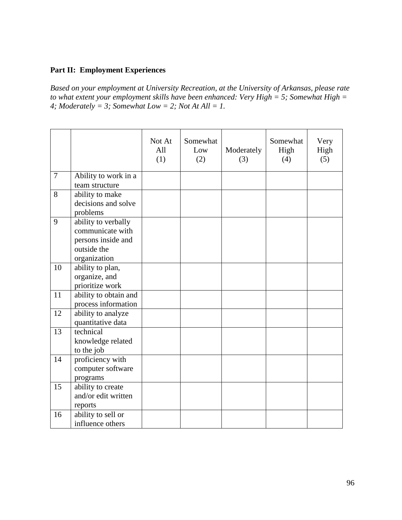# **Part II: Employment Experiences**

*Based on your employment at University Recreation, at the University of Arkansas, please rate to what extent your employment skills have been enhanced: Very High = 5; Somewhat High =*  4; Moderately = 3; Somewhat Low = 2; Not At All = 1.

|                |                                                                                              | Not At<br>All<br>(1) | Somewhat<br>Low<br>(2) | Moderately<br>(3) | Somewhat<br>High<br>(4) | Very<br>High<br>(5) |
|----------------|----------------------------------------------------------------------------------------------|----------------------|------------------------|-------------------|-------------------------|---------------------|
| $\overline{7}$ | Ability to work in a<br>team structure                                                       |                      |                        |                   |                         |                     |
| 8              | ability to make<br>decisions and solve<br>problems                                           |                      |                        |                   |                         |                     |
| 9              | ability to verbally<br>communicate with<br>persons inside and<br>outside the<br>organization |                      |                        |                   |                         |                     |
| 10             | ability to plan,<br>organize, and<br>prioritize work                                         |                      |                        |                   |                         |                     |
| 11             | ability to obtain and<br>process information                                                 |                      |                        |                   |                         |                     |
| 12             | ability to analyze<br>quantitative data                                                      |                      |                        |                   |                         |                     |
| 13             | technical<br>knowledge related<br>to the job                                                 |                      |                        |                   |                         |                     |
| 14             | proficiency with<br>computer software<br>programs                                            |                      |                        |                   |                         |                     |
| 15             | ability to create<br>and/or edit written<br>reports                                          |                      |                        |                   |                         |                     |
| 16             | ability to sell or<br>influence others                                                       |                      |                        |                   |                         |                     |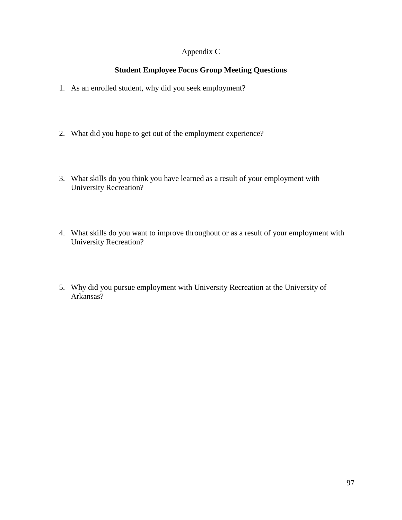# Appendix C

## **Student Employee Focus Group Meeting Questions**

- 1. As an enrolled student, why did you seek employment?
- 2. What did you hope to get out of the employment experience?
- 3. What skills do you think you have learned as a result of your employment with University Recreation?
- 4. What skills do you want to improve throughout or as a result of your employment with University Recreation?
- 5. Why did you pursue employment with University Recreation at the University of Arkansas?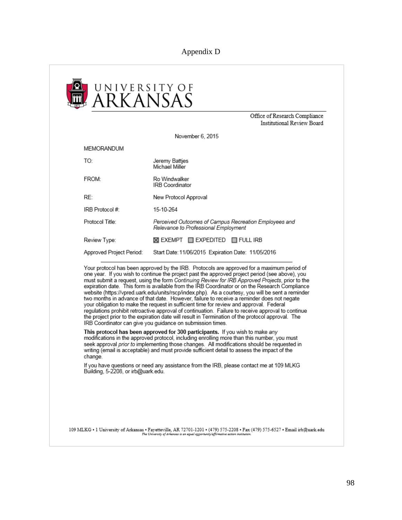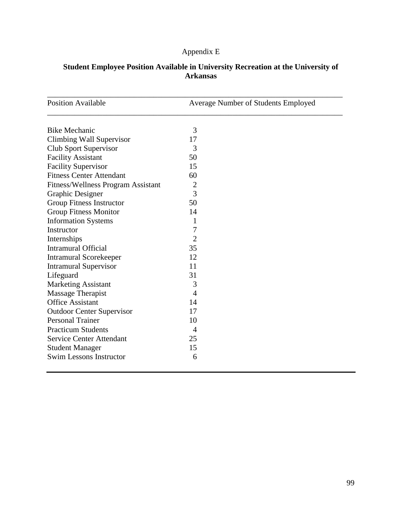# Appendix E

| <b>Position Available</b>          | Average Number of Students Employed |
|------------------------------------|-------------------------------------|
| <b>Bike Mechanic</b>               | 3                                   |
| Climbing Wall Supervisor           | 17                                  |
| Club Sport Supervisor              | 3                                   |
| <b>Facility Assistant</b>          | 50                                  |
| <b>Facility Supervisor</b>         | 15                                  |
| <b>Fitness Center Attendant</b>    | 60                                  |
| Fitness/Wellness Program Assistant | $\overline{2}$                      |
| Graphic Designer                   | 3                                   |
| <b>Group Fitness Instructor</b>    | 50                                  |
| <b>Group Fitness Monitor</b>       | 14                                  |
| <b>Information Systems</b>         | 1                                   |
| Instructor                         | 7                                   |
| Internships                        | $\overline{2}$                      |
| <b>Intramural Official</b>         | 35                                  |
| <b>Intramural Scorekeeper</b>      | 12                                  |
| <b>Intramural Supervisor</b>       | 11                                  |
| Lifeguard                          | 31                                  |
| <b>Marketing Assistant</b>         | 3                                   |
| Massage Therapist                  | $\overline{A}$                      |
| <b>Office Assistant</b>            | 14                                  |
| <b>Outdoor Center Supervisor</b>   | 17                                  |
| <b>Personal Trainer</b>            | 10                                  |
| <b>Practicum Students</b>          | $\overline{4}$                      |
| <b>Service Center Attendant</b>    | 25                                  |
| <b>Student Manager</b>             | 15                                  |
| <b>Swim Lessons Instructor</b>     | 6                                   |

# **Student Employee Position Available in University Recreation at the University of Arkansas**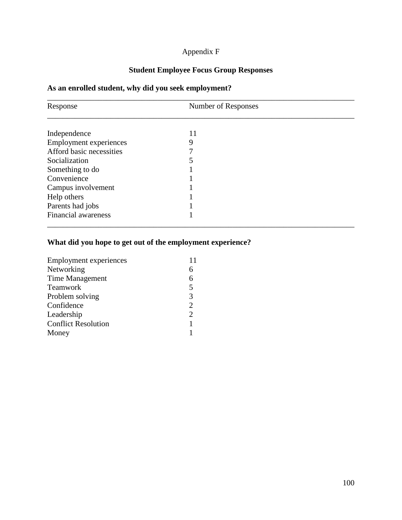# Appendix F

# **Student Employee Focus Group Responses**

# **As an enrolled student, why did you seek employment?**

| Response                      | Number of Responses |  |  |
|-------------------------------|---------------------|--|--|
|                               |                     |  |  |
| Independence                  | 11                  |  |  |
| <b>Employment experiences</b> | 9                   |  |  |
| Afford basic necessities      |                     |  |  |
| Socialization                 |                     |  |  |
| Something to do               |                     |  |  |
| Convenience                   |                     |  |  |
| Campus involvement            |                     |  |  |
| Help others                   |                     |  |  |
| Parents had jobs              |                     |  |  |
| <b>Financial awareness</b>    |                     |  |  |

## **What did you hope to get out of the employment experience?**

| <b>Employment experiences</b> | 11             |
|-------------------------------|----------------|
| Networking                    | 6              |
| Time Management               | 6              |
| <b>Teamwork</b>               | 5              |
| Problem solving               | 3              |
| Confidence                    | $\overline{2}$ |
| Leadership                    | $\overline{2}$ |
| <b>Conflict Resolution</b>    |                |
| Money                         |                |
|                               |                |